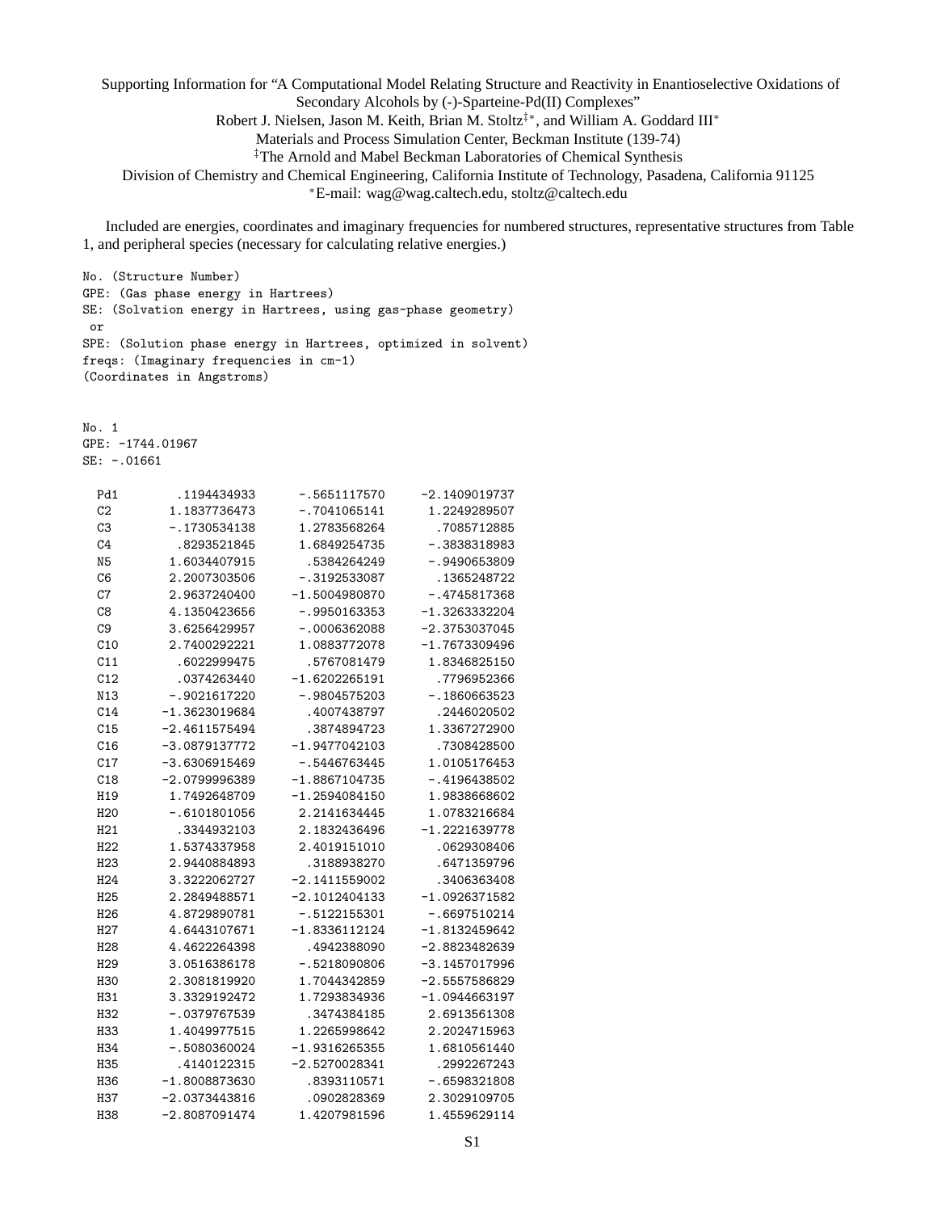Supporting Information for "A Computational Model Relating Structure and Reactivity in Enantioselective Oxidations of Secondary Alcohols by (-)-Sparteine-Pd(II) Complexes" Robert J. Nielsen, Jason M. Keith, Brian M. Stoltz<sup>‡\*</sup>, and William A. Goddard III<sup>\*</sup> Materials and Process Simulation Center, Beckman Institute (139-74) ‡The Arnold and Mabel Beckman Laboratories of Chemical Synthesis

Division of Chemistry and Chemical Engineering, California Institute of Technology, Pasadena, California 91125 ∗E-mail: wag@wag.caltech.edu, stoltz@caltech.edu

Included are energies, coordinates and imaginary frequencies for numbered structures, representative structures from Table 1, and peripheral species (necessary for calculating relative energies.)

No. (Structure Number) GPE: (Gas phase energy in Hartrees) SE: (Solvation energy in Hartrees, using gas-phase geometry) or SPE: (Solution phase energy in Hartrees, optimized in solvent) freqs: (Imaginary frequencies in cm-1) (Coordinates in Angstroms)

No. 1 GPE: -1744.01967 SE: -.01661

| Pd1             | .1194434933     | $-.5651117570$  | $-2.1409019737$ |
|-----------------|-----------------|-----------------|-----------------|
| C <sub>2</sub>  | 1.1837736473    | -.7041065141    | 1.2249289507    |
| C3              | $-.1730534138$  | 1.2783568264    | .7085712885     |
| C <sub>4</sub>  | .8293521845     | 1.6849254735    | $-.3838318983$  |
| N <sub>5</sub>  | 1.6034407915    | .5384264249     | $-.9490653809$  |
| C6              | 2.2007303506    | $-.3192533087$  | .1365248722     |
| C7              | 2.9637240400    | $-1.5004980870$ | $-.4745817368$  |
| C8              | 4.1350423656    | $-.9950163353$  | $-1.3263332204$ |
| C <sub>9</sub>  | 3.6256429957    | $-.0006362088$  | $-2.3753037045$ |
| C10             | 2.7400292221    | 1.0883772078    | $-1.7673309496$ |
| C11             | .6022999475     | .5767081479     | 1.8346825150    |
| C12             | .0374263440     | $-1.6202265191$ | .7796952366     |
| N13             | $-.9021617220$  | $-.9804575203$  | $-.1860663523$  |
| C14             | $-1.3623019684$ | .4007438797     | .2446020502     |
| C15             | $-2.4611575494$ | .3874894723     | 1.3367272900    |
| C16             | $-3.0879137772$ | -1.9477042103   | .7308428500     |
| C17             | $-3.6306915469$ | $-.5446763445$  | 1.0105176453    |
| C18             | $-2.0799996389$ | $-1.8867104735$ | $-.4196438502$  |
| H19             | 1.7492648709    | $-1.2594084150$ | 1.9838668602    |
| H20             | $-.6101801056$  | 2.2141634445    | 1.0783216684    |
| H21             | .3344932103     | 2.1832436496    | $-1.2221639778$ |
| H <sub>22</sub> | 1.5374337958    | 2.4019151010    | .0629308406     |
| H <sub>23</sub> | 2.9440884893    | .3188938270     | .6471359796     |
| H <sub>24</sub> | 3.3222062727    | $-2.1411559002$ | .3406363408     |
| H <sub>25</sub> | 2.2849488571    | $-2.1012404133$ | $-1.0926371582$ |
| H <sub>26</sub> | 4.8729890781    | $-.5122155301$  | $-.6697510214$  |
| H27             | 4.6443107671    | $-1.8336112124$ | $-1.8132459642$ |
| H <sub>28</sub> | 4.4622264398    | .4942388090     | $-2.8823482639$ |
| H <sub>29</sub> | 3.0516386178    | $-.5218090806$  | $-3.1457017996$ |
| H30             | 2.3081819920    | 1.7044342859    | $-2.5557586829$ |
| H31             | 3.3329192472    | 1.7293834936    | $-1.0944663197$ |
| H32             | $-0379767539$   | .3474384185     | 2.6913561308    |
| H33             | 1.4049977515    | 1.2265998642    | 2.2024715963    |
| H34             | $-.5080360024$  | $-1.9316265355$ | 1.6810561440    |
| H35             | .4140122315     | $-2.5270028341$ | .2992267243     |
| H36             | $-1.8008873630$ | .8393110571     | $-.6598321808$  |
| H37             | -2.0373443816   | .0902828369     | 2.3029109705    |
| H38             | $-2.8087091474$ | 1.4207981596    | 1.4559629114    |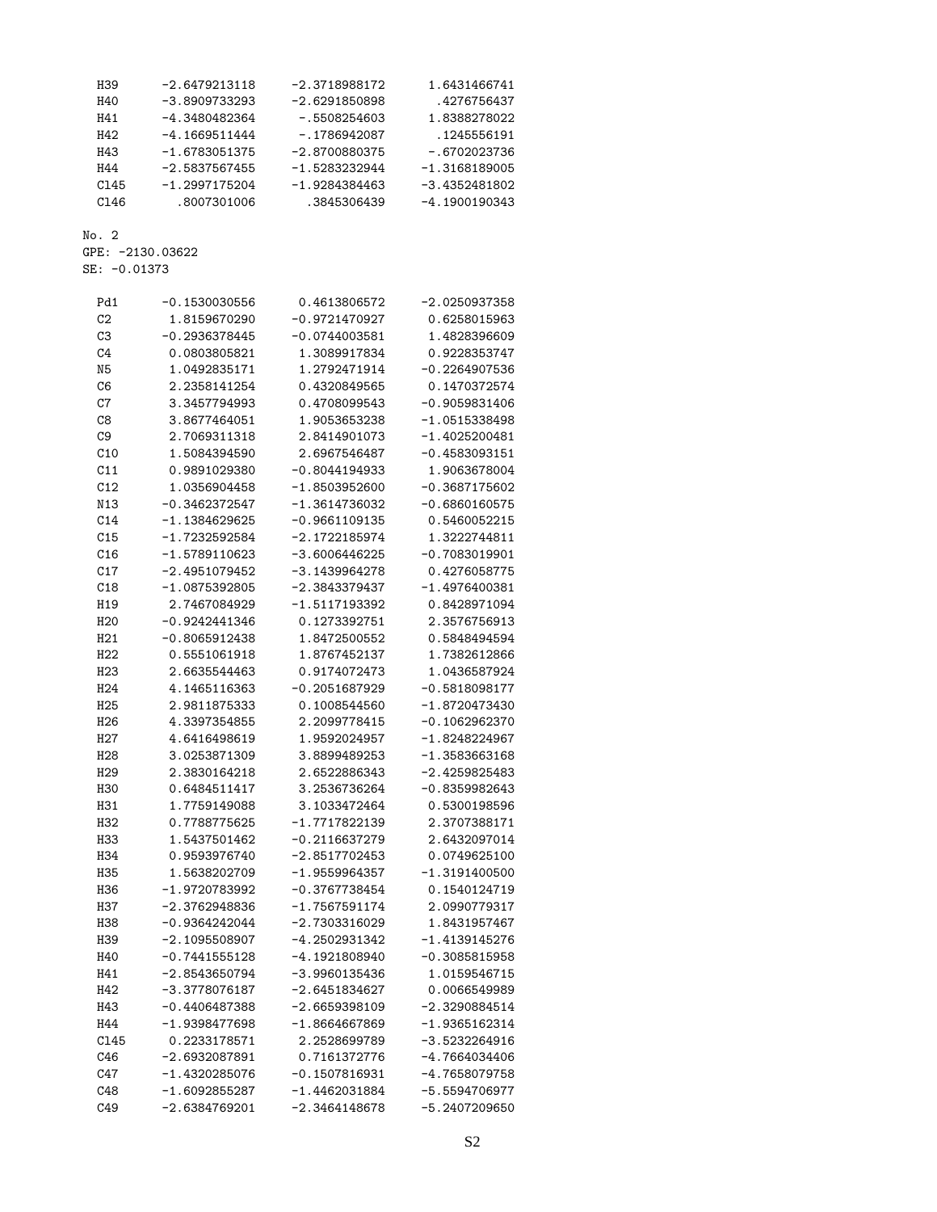| H39  | $-2.6479213118$ | $-2.3718988172$ | 1.6431466741    |
|------|-----------------|-----------------|-----------------|
| H40  | $-3.8909733293$ | $-2.6291850898$ | .4276756437     |
| H41  | $-4.3480482364$ | $-0.5508254603$ | 1.8388278022    |
| H42  | $-4.1669511444$ | - 1786942087    | .1245556191     |
| H43  | -1.6783051375   | $-2.8700880375$ | -.6702023736    |
| H44  | $-2.5837567455$ | $-1.5283232944$ | $-1.3168189005$ |
| C145 | $-1.2997175204$ | $-1.9284384463$ | -3.4352481802   |
| C146 | .8007301006     | .3845306439     | $-4.1900190343$ |

GPE: -2130.03622

|  | SE: -0.01373 |
|--|--------------|
|  |              |

| Pd1             | $-0.1530030556$ | 0.4613806572    | $-2.0250937358$ |
|-----------------|-----------------|-----------------|-----------------|
| C <sub>2</sub>  | 1.8159670290    | $-0.9721470927$ | 0.6258015963    |
| C <sub>3</sub>  | $-0.2936378445$ | $-0.0744003581$ | 1.4828396609    |
| C4              | 0.0803805821    | 1.3089917834    | 0.9228353747    |
| N <sub>5</sub>  | 1.0492835171    | 1.2792471914    | $-0.2264907536$ |
| C <sub>6</sub>  | 2.2358141254    | 0.4320849565    | 0.1470372574    |
| C7              | 3.3457794993    | 0.4708099543    | $-0.9059831406$ |
| C8              | 3.8677464051    | 1.9053653238    | $-1.0515338498$ |
| C9              | 2.7069311318    | 2.8414901073    | $-1.4025200481$ |
| C10             | 1.5084394590    | 2.6967546487    | $-0.4583093151$ |
| C11             | 0.9891029380    | $-0.8044194933$ | 1.9063678004    |
| C12             | 1.0356904458    | $-1.8503952600$ | $-0.3687175602$ |
| N13             | $-0.3462372547$ | $-1.3614736032$ | $-0.6860160575$ |
| C14             | $-1.1384629625$ | $-0.9661109135$ | 0.5460052215    |
| C15             | -1.7232592584   | -2.1722185974   | 1.3222744811    |
| C16             | $-1.5789110623$ | $-3.6006446225$ | $-0.7083019901$ |
| C17             | $-2.4951079452$ | $-3.1439964278$ | 0.4276058775    |
| C18             | $-1.0875392805$ | $-2.3843379437$ | $-1.4976400381$ |
| H19             | 2.7467084929    | $-1.5117193392$ | 0.8428971094    |
| H <sub>20</sub> | $-0.9242441346$ | 0.1273392751    | 2.3576756913    |
| H21             | $-0.8065912438$ | 1.8472500552    | 0.5848494594    |
| H <sub>22</sub> | 0.5551061918    | 1.8767452137    | 1.7382612866    |
| H <sub>23</sub> | 2.6635544463    | 0.9174072473    | 1.0436587924    |
| H <sub>24</sub> | 4.1465116363    | $-0.2051687929$ | $-0.5818098177$ |
| H <sub>25</sub> | 2.9811875333    | 0.1008544560    | $-1.8720473430$ |
| H <sub>26</sub> | 4.3397354855    | 2.2099778415    | $-0.1062962370$ |
| H27             | 4.6416498619    | 1.9592024957    | $-1.8248224967$ |
| H <sub>28</sub> | 3.0253871309    | 3.8899489253    | -1.3583663168   |
| H <sub>29</sub> | 2.3830164218    | 2.6522886343    | -2.4259825483   |
| H30             | 0.6484511417    | 3.2536736264    | $-0.8359982643$ |
| H31             | 1.7759149088    | 3.1033472464    | 0.5300198596    |
| H32             | 0.7788775625    | $-1.7717822139$ | 2.3707388171    |
| H33             | 1.5437501462    | -0.2116637279   | 2.6432097014    |
| H34             | 0.9593976740    | $-2.8517702453$ | 0.0749625100    |
| H35             | 1.5638202709    | $-1.9559964357$ | $-1.3191400500$ |
| H36             | -1.9720783992   | $-0.3767738454$ | 0.1540124719    |
| H37             | $-2.3762948836$ | $-1.7567591174$ | 2.0990779317    |
| H38             | $-0.9364242044$ | -2.7303316029   | 1.8431957467    |
| H39             | $-2.1095508907$ | -4.2502931342   | $-1.4139145276$ |
| H40             | $-0.7441555128$ | $-4.1921808940$ | $-0.3085815958$ |
| H41             | $-2.8543650794$ | $-3.9960135436$ | 1.0159546715    |
| H42             | -3.3778076187   | $-2.6451834627$ | 0.0066549989    |
| H43             | $-0.4406487388$ | $-2.6659398109$ | $-2.3290884514$ |
| H44             | $-1.9398477698$ | $-1.8664667869$ | -1.9365162314   |
| C145            | 0.2233178571    | 2.2528699789    | $-3.5232264916$ |
| C46             | $-2.6932087891$ | 0.7161372776    | -4.7664034406   |
| C47             | $-1.4320285076$ | $-0.1507816931$ | $-4.7658079758$ |
| C48             | $-1.6092855287$ | $-1.4462031884$ | $-5.5594706977$ |
| C49             | $-2.6384769201$ | $-2.3464148678$ | $-5.2407209650$ |
|                 |                 |                 |                 |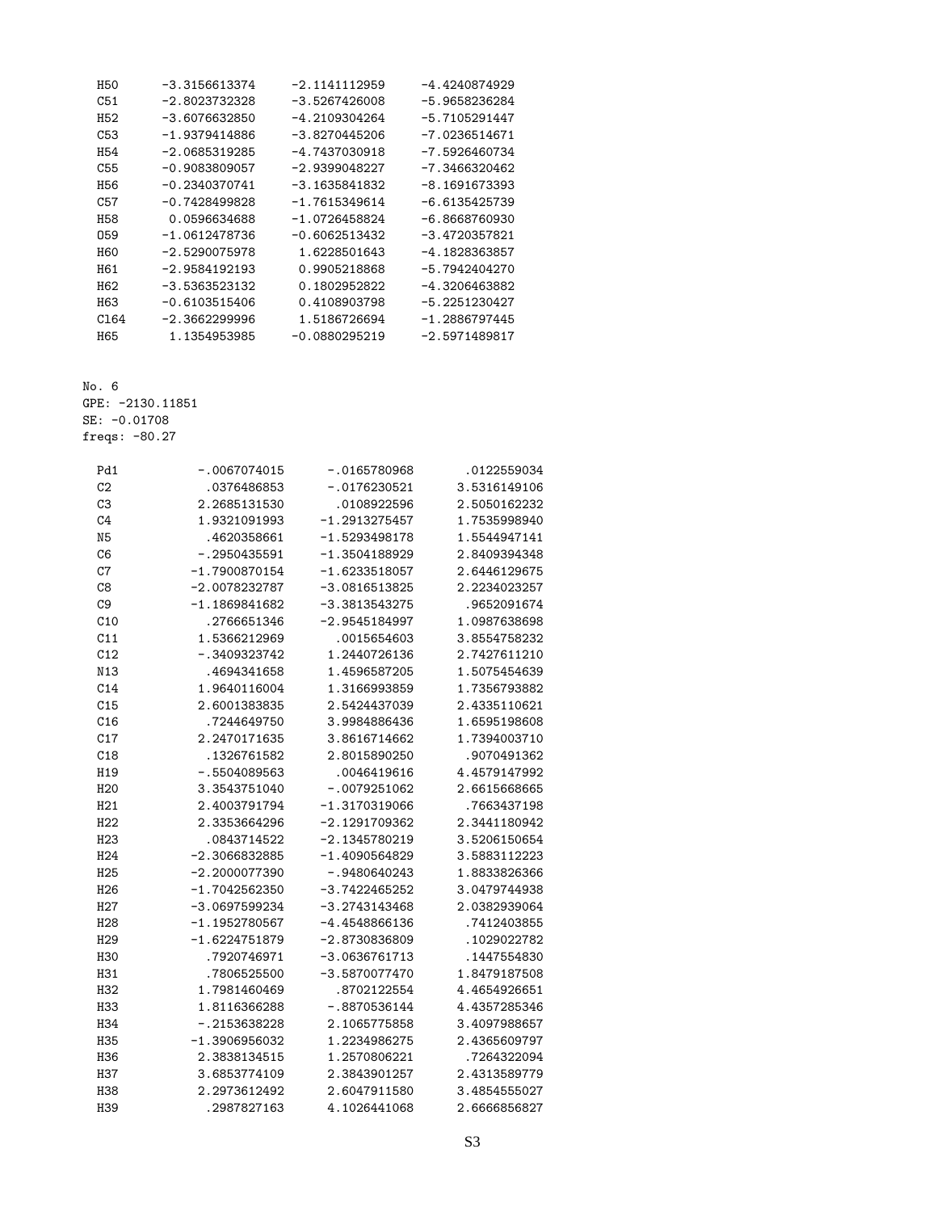| H50              | $-3.3156613374$ | $-2.1141112959$ | $-4.4240874929$ |
|------------------|-----------------|-----------------|-----------------|
| C51              | $-2.8023732328$ | $-3.5267426008$ | $-5.9658236284$ |
| H52              | $-3.6076632850$ | -4.2109304264   | $-5.7105291447$ |
| C <sub>53</sub>  | $-1.9379414886$ | $-3.8270445206$ | $-7.0236514671$ |
| H <sub>54</sub>  | $-2.0685319285$ | -4.7437030918   | -7.5926460734   |
| C <sub>55</sub>  | $-0.9083809057$ | $-2.9399048227$ | -7.3466320462   |
| H56              | $-0.2340370741$ | $-3.1635841832$ | $-8.1691673393$ |
| C <sub>5</sub> 7 | $-0.7428499828$ | $-1.7615349614$ | $-6.6135425739$ |
| H58              | 0.0596634688    | $-1.0726458824$ | -6.8668760930   |
| 059              | $-1.0612478736$ | $-0.6062513432$ | $-3.4720357821$ |
| <b>H60</b>       | $-2.5290075978$ | 1.6228501643    | -4.1828363857   |
| H61              | $-2.9584192193$ | 0.9905218868    | $-5.7942404270$ |
| H62              | $-3.5363523132$ | 0.1802952822    | $-4.3206463882$ |
| H63              | $-0.6103515406$ | 0.4108903798    | -5.2251230427   |
| C <sub>164</sub> | $-2.3662299996$ | 1.5186726694    | $-1.2886797445$ |
| H65              | 1.1354953985    | $-0.0880295219$ | $-2.5971489817$ |

GPE: -2130.11851

SE: -0.01708

freqs: -80.27

| Pd1              | $-.0067074015$  | $-.0165780968$  | .0122559034  |
|------------------|-----------------|-----------------|--------------|
| C <sub>2</sub>   | .0376486853     | $-.0176230521$  | 3.5316149106 |
| C3               | 2.2685131530    | .0108922596     | 2.5050162232 |
| C <sub>4</sub>   | 1.9321091993    | $-1.2913275457$ | 1.7535998940 |
| N <sub>5</sub>   | .4620358661     | -1.5293498178   | 1.5544947141 |
| C6               | $-.2950435591$  | $-1.3504188929$ | 2.8409394348 |
| C7               | $-1.7900870154$ | $-1.6233518057$ | 2.6446129675 |
| C8               | $-2.0078232787$ | $-3.0816513825$ | 2.2234023257 |
| C <sub>9</sub>   | $-1.1869841682$ | -3.3813543275   | .9652091674  |
| C10              | .2766651346     | -2.9545184997   | 1.0987638698 |
| C11              | 1.5366212969    | .0015654603     | 3.8554758232 |
| C12              | -.3409323742    | 1.2440726136    | 2.7427611210 |
| N13              | .4694341658     | 1.4596587205    | 1.5075454639 |
| C14              | 1.9640116004    | 1.3166993859    | 1.7356793882 |
| C15              | 2.6001383835    | 2.5424437039    | 2.4335110621 |
| C16              | .7244649750     | 3.9984886436    | 1.6595198608 |
| C17              | 2.2470171635    | 3.8616714662    | 1.7394003710 |
| C18              | .1326761582     | 2.8015890250    | .9070491362  |
| H19              | -.5504089563    | .0046419616     | 4.4579147992 |
| H <sub>20</sub>  | 3.3543751040    | -.0079251062    | 2.6615668665 |
| H21              | 2.4003791794    | $-1.3170319066$ | .7663437198  |
| H22              | 2.3353664296    | $-2.1291709362$ | 2.3441180942 |
| H <sub>23</sub>  | .0843714522     | -2.1345780219   | 3.5206150654 |
| H <sub>24</sub>  | $-2.3066832885$ | -1.4090564829   | 3.5883112223 |
| H <sub>25</sub>  | $-2.2000077390$ | $-.9480640243$  | 1.8833826366 |
| H <sub>26</sub>  | $-1.7042562350$ | $-3.7422465252$ | 3.0479744938 |
| H <sub>2</sub> 7 | $-3.0697599234$ | $-3.2743143468$ | 2.0382939064 |
| H <sub>28</sub>  | $-1.1952780567$ | $-4.4548866136$ | .7412403855  |
| H <sub>29</sub>  | $-1.6224751879$ | -2.8730836809   | .1029022782  |
| H30              | .7920746971     | $-3.0636761713$ | .1447554830  |
| H31              | .7806525500     | $-3.5870077470$ | 1.8479187508 |
| H32              | 1.7981460469    | .8702122554     | 4.4654926651 |
| H33              | 1.8116366288    | -.8870536144    | 4.4357285346 |
| H34              | $-.2153638228$  | 2.1065775858    | 3.4097988657 |
| H35              | $-1.3906956032$ | 1.2234986275    | 2.4365609797 |
| H36              | 2.3838134515    | 1.2570806221    | .7264322094  |
| H37              | 3.6853774109    | 2.3843901257    | 2.4313589779 |
| H38              | 2.2973612492    | 2.6047911580    | 3.4854555027 |
| H39              | .2987827163     | 4.1026441068    | 2.6666856827 |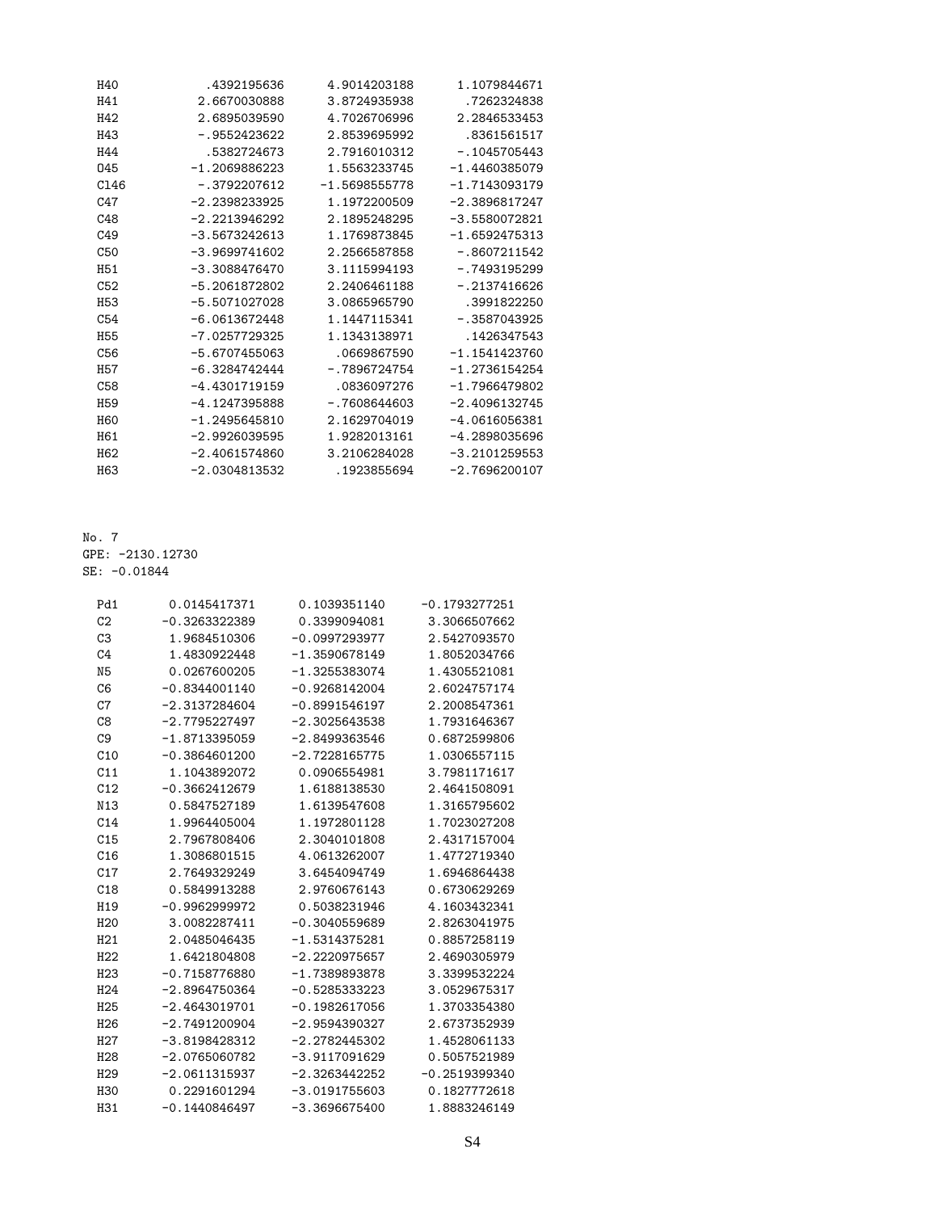| H40              | .4392195636     | 4.9014203188    | 1.1079844671    |
|------------------|-----------------|-----------------|-----------------|
| H41              | 2.6670030888    | 3.8724935938    | .7262324838     |
| H42              | 2.6895039590    | 4.7026706996    | 2.2846533453    |
| H43              | $-.9552423622$  | 2.8539695992    | .8361561517     |
| H44              | .5382724673     | 2.7916010312    | $-.1045705443$  |
| 045              | $-1.2069886223$ | 1.5563233745    | $-1.4460385079$ |
| C <sub>146</sub> | $-.3792207612$  | $-1.5698555778$ | $-1.7143093179$ |
| C47              | $-2.2398233925$ | 1.1972200509    | $-2.3896817247$ |
| C48              | $-2.2213946292$ | 2.1895248295    | $-3.5580072821$ |
| C <sub>49</sub>  | $-3.5673242613$ | 1.1769873845    | $-1.6592475313$ |
| C <sub>50</sub>  | $-3.9699741602$ | 2.2566587858    | $-.8607211542$  |
| H <sub>51</sub>  | $-3.3088476470$ | 3.1115994193    | $-.7493195299$  |
| C <sub>52</sub>  | $-5.2061872802$ | 2.2406461188    | $-.2137416626$  |
| H <sub>53</sub>  | $-5.5071027028$ | 3.0865965790    | .3991822250     |
| C54              | $-6.0613672448$ | 1.1447115341    | $-.3587043925$  |
| <b>H55</b>       | $-7.0257729325$ | 1.1343138971    | .1426347543     |
| C <sub>56</sub>  | $-5.6707455063$ | .0669867590     | $-1.1541423760$ |
| <b>H57</b>       | $-6.3284742444$ | $-.7896724754$  | $-1.2736154254$ |
| C58              | $-4.4301719159$ | .0836097276     | $-1.7966479802$ |
| H <sub>59</sub>  | $-4.1247395888$ | $-0.7608644603$ | $-2.4096132745$ |
| <b>H60</b>       | $-1.2495645810$ | 2.1629704019    | $-4.0616056381$ |
| H <sub>61</sub>  | $-2.9926039595$ | 1.9282013161    | $-4.2898035696$ |
| H <sub>62</sub>  | $-2.4061574860$ | 3.2106284028    | $-3.2101259553$ |
| H <sub>63</sub>  | $-2.0304813532$ | .1923855694     | $-2.7696200107$ |

No. 7 GPE: -2130.12730 SE: -0.01844

| Pd1             | 0.0145417371    | 0.1039351140    | $-0.1793277251$ |
|-----------------|-----------------|-----------------|-----------------|
| C <sub>2</sub>  | $-0.3263322389$ | 0.3399094081    | 3.3066507662    |
| C <sub>3</sub>  | 1.9684510306    | $-0.0997293977$ | 2.5427093570    |
| C <sub>4</sub>  | 1.4830922448    | $-1.3590678149$ | 1.8052034766    |
| N <sub>5</sub>  | 0.0267600205    | $-1.3255383074$ | 1.4305521081    |
| C6              | $-0.8344001140$ | $-0.9268142004$ | 2.6024757174    |
| C7              | $-2.3137284604$ | $-0.8991546197$ | 2.2008547361    |
| C8              | $-2.7795227497$ | $-2.3025643538$ | 1.7931646367    |
| C <sub>9</sub>  | $-1.8713395059$ | $-2.8499363546$ | 0.6872599806    |
| C10             | $-0.3864601200$ | $-2.7228165775$ | 1.0306557115    |
| C11             | 1.1043892072    | 0.0906554981    | 3.7981171617    |
| C12             | $-0.3662412679$ | 1.6188138530    | 2.4641508091    |
| N13             | 0.5847527189    | 1.6139547608    | 1.3165795602    |
| C14             | 1.9964405004    | 1.1972801128    | 1.7023027208    |
| C15             | 2.7967808406    | 2.3040101808    | 2.4317157004    |
| C16             | 1.3086801515    | 4.0613262007    | 1.4772719340    |
| C17             | 2.7649329249    | 3.6454094749    | 1.6946864438    |
| C18             | 0.5849913288    | 2.9760676143    | 0.6730629269    |
| H <sub>19</sub> | $-0.9962999972$ | 0.5038231946    | 4.1603432341    |
| H <sub>20</sub> | 3.0082287411    | $-0.3040559689$ | 2.8263041975    |
| H21             | 2.0485046435    | $-1.5314375281$ | 0.8857258119    |
| H22             | 1.6421804808    | $-2.2220975657$ | 2.4690305979    |
| H <sub>23</sub> | $-0.7158776880$ | $-1.7389893878$ | 3.3399532224    |
| H <sub>24</sub> | $-2.8964750364$ | $-0.5285333223$ | 3.0529675317    |
| H <sub>25</sub> | $-2.4643019701$ | $-0.1982617056$ | 1.3703354380    |
| H <sub>26</sub> | $-2.7491200904$ | $-2.9594390327$ | 2.6737352939    |
| H27             | $-3.8198428312$ | $-2.2782445302$ | 1.4528061133    |
| H <sub>28</sub> | $-2.0765060782$ | $-3.9117091629$ | 0.5057521989    |
| H <sub>29</sub> | $-2.0611315937$ | $-2.3263442252$ | $-0.2519399340$ |
| <b>H30</b>      | 0.2291601294    | $-3.0191755603$ | 0.1827772618    |
| H31             | $-0.1440846497$ | $-3.3696675400$ | 1.8883246149    |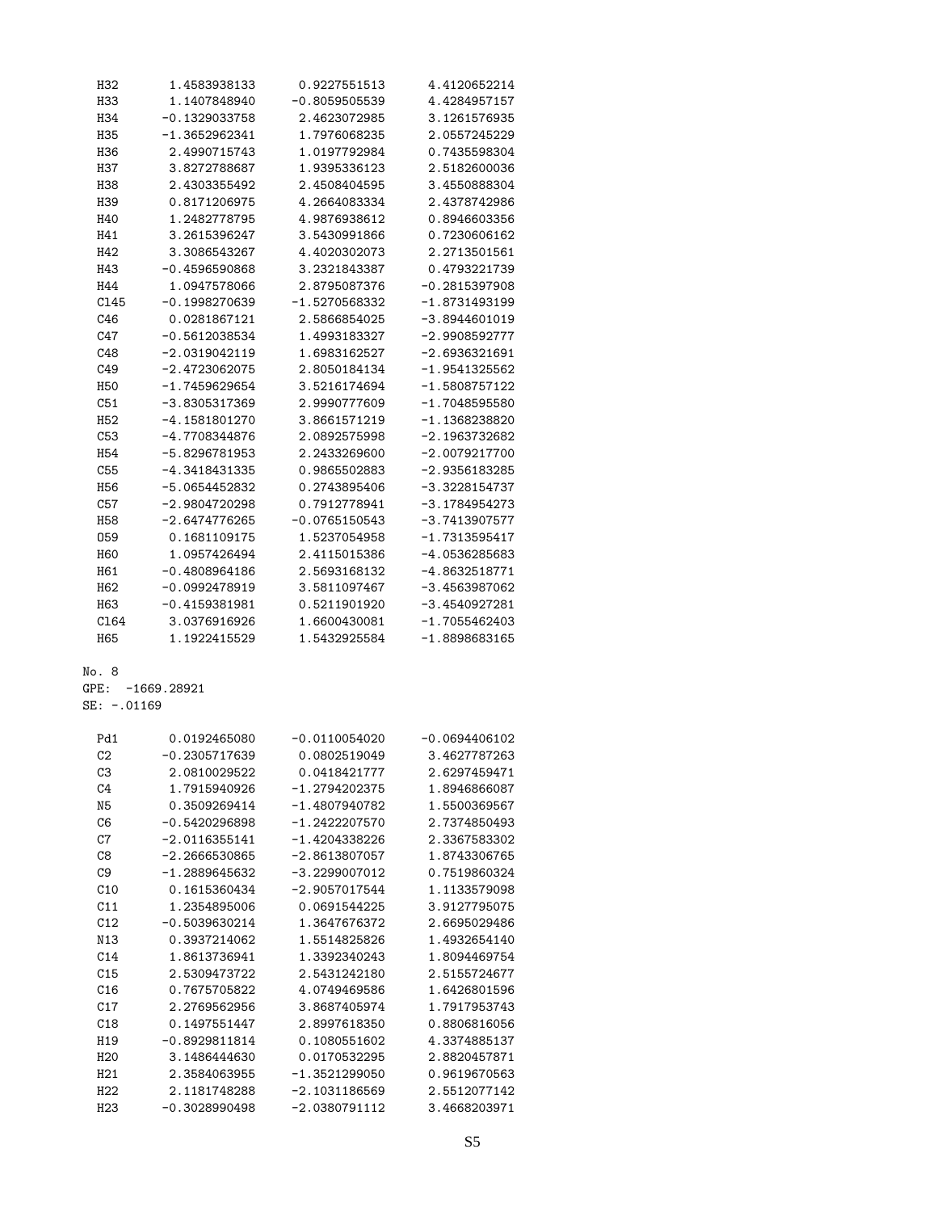| H32             | 1.4583938133    | 0.9227551513      | 4.4120652214    |
|-----------------|-----------------|-------------------|-----------------|
| H33             | 1.1407848940    | $-0.8059505539$   | 4.4284957157    |
| H34             | -0.1329033758   | 2.4623072985      | 3.1261576935    |
| H35             | $-1.3652962341$ | 1.7976068235      | 2.0557245229    |
| H36             | 2.4990715743    | 1.0197792984      | 0.7435598304    |
| H37             | 3.8272788687    | 1.9395336123      | 2.5182600036    |
| H38             | 2.4303355492    | 2.4508404595      | 3.4550888304    |
| H39             | 0.8171206975    | 4.2664083334      | 2.4378742986    |
| H40             | 1.2482778795    | 4.9876938612      | 0.8946603356    |
| H41             | 3.2615396247    | 3.5430991866      | 0.7230606162    |
| H42             | 3.3086543267    | 4.4020302073      | 2.2713501561    |
| H43             | $-0.4596590868$ | 3.2321843387      | 0.4793221739    |
| H44             | 1.0947578066    | 2.8795087376      | $-0.2815397908$ |
| C145            | $-0.1998270639$ | $-1.5270568332$   | $-1.8731493199$ |
| C46             | 0.0281867121    | 2.5866854025      | $-3.8944601019$ |
| C47             | $-0.5612038534$ | 1.4993183327      | $-2.9908592777$ |
| C48             | $-2.0319042119$ | 1.6983162527      | $-2.6936321691$ |
| C49             | $-2.4723062075$ | 2.8050184134      | $-1.9541325562$ |
| H50             | $-1.7459629654$ | 3.5216174694      | $-1.5808757122$ |
| C51             | -3.8305317369   | 2.9990777609      | $-1.7048595580$ |
| H <sub>52</sub> | -4.1581801270   | 3.8661571219      | $-1.1368238820$ |
| C53             | -4.7708344876   | 2.0892575998      | $-2.1963732682$ |
| H <sub>54</sub> | -5.8296781953   | 2.2433269600      | $-2.0079217700$ |
| C55             | -4.3418431335   | 0.9865502883      | $-2.9356183285$ |
| H <sub>56</sub> | -5.0654452832   | 0.2743895406      | $-3.3228154737$ |
| C57             | $-2.9804720298$ | 0.7912778941      | $-3.1784954273$ |
| H <sub>58</sub> | $-2.6474776265$ | $-0.0765150543$   | $-3.7413907577$ |
| 059             | 0.1681109175    | 1.5237054958      | $-1.7313595417$ |
| H60             | 1.0957426494    | 2.4115015386      | -4.0536285683   |
| H <sub>61</sub> | $-0.4808964186$ | 2.5693168132      | $-4.8632518771$ |
| H <sub>62</sub> | -0.0992478919   | 3.5811097467      | $-3.4563987062$ |
| H63             | $-0.4159381981$ | 0.5211901920      | $-3.4540927281$ |
| C164            | 3.0376916926    | 1.6600430081      | $-1.7055462403$ |
| H65             | 1.1922415529    | 1.5432925584      | $-1.8898683165$ |
| No. 8           |                 |                   |                 |
| ${\tt GPE:}$    | $-1669.28921$   |                   |                 |
| SE: -.01169     |                 |                   |                 |
| Pd1             | 0.0192465080    | $-0.0110054020$   | $-0.0694406102$ |
| C <sub>2</sub>  | $-0.2305717639$ | 0.0802519049      | 3.4627787263    |
| C <sub>3</sub>  | 2.0810029522    | 0.0418421777      | 2.6297459471    |
| C <sub>4</sub>  | 1.7915940926    | $-1.2794202375$   | 1.8946866087    |
| N <sub>5</sub>  | 0.3509269414    | $-1.4807940782$   | 1.5500369567    |
| C6              | -0.5420296898   | $-1.2422207570$   | 2.7374850493    |
| $\sim$          | $0.0116900111$  | $-1$ $1001990000$ | n poetroppan    |

| C4              | 1.7915940926    | $-1.2794202375$ | 1.8946866087 |
|-----------------|-----------------|-----------------|--------------|
| N <sub>5</sub>  | 0.3509269414    | $-1.4807940782$ | 1.5500369567 |
| C6              | $-0.5420296898$ | $-1.2422207570$ | 2.7374850493 |
| C7              | $-2.0116355141$ | $-1.4204338226$ | 2.3367583302 |
| C8              | $-2.2666530865$ | $-2.8613807057$ | 1.8743306765 |
| C <sub>9</sub>  | $-1.2889645632$ | $-3.2299007012$ | 0.7519860324 |
| C10             | 0.1615360434    | $-2.9057017544$ | 1.1133579098 |
| C11             | 1.2354895006    | 0.0691544225    | 3.9127795075 |
| C12             | $-0.5039630214$ | 1.3647676372    | 2.6695029486 |
| N13             | 0.3937214062    | 1.5514825826    | 1.4932654140 |
| C14             | 1.8613736941    | 1.3392340243    | 1.8094469754 |
| C15             | 2.5309473722    | 2.5431242180    | 2.5155724677 |
| C16             | 0.7675705822    | 4.0749469586    | 1.6426801596 |
| C17             | 2.2769562956    | 3.8687405974    | 1.7917953743 |
| C18             | 0.1497551447    | 2.8997618350    | 0.8806816056 |
| H19             | $-0.8929811814$ | 0.1080551602    | 4.3374885137 |
| H <sub>20</sub> | 3.1486444630    | 0.0170532295    | 2.8820457871 |
| H <sub>21</sub> | 2.3584063955    | $-1.3521299050$ | 0.9619670563 |
| H <sub>22</sub> | 2.1181748288    | $-2.1031186569$ | 2.5512077142 |
| H <sub>23</sub> | $-0.3028990498$ | $-2.0380791112$ | 3.4668203971 |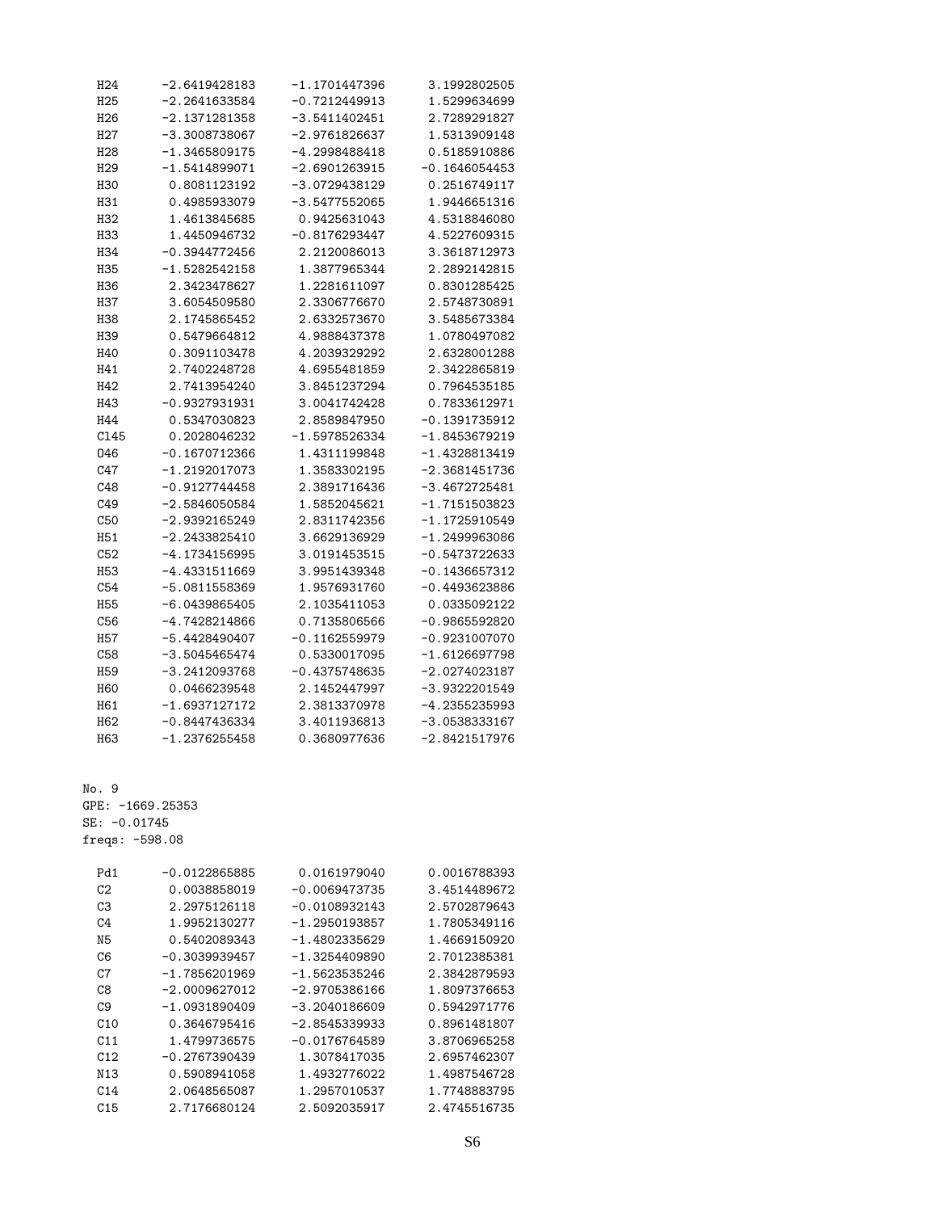| H <sub>24</sub> | -2.6419428183   | $-1.1701447396$ | 3.1992802505    |
|-----------------|-----------------|-----------------|-----------------|
| H <sub>25</sub> | $-2.2641633584$ | $-0.7212449913$ | 1.5299634699    |
| H <sub>26</sub> | -2.1371281358   | -3.5411402451   | 2.7289291827    |
| H27             | -3.3008738067   | -2.9761826637   | 1.5313909148    |
| H <sub>28</sub> | $-1.3465809175$ | -4.2998488418   | 0.5185910886    |
| H <sub>29</sub> | -1.5414899071   | -2.6901263915   | $-0.1646054453$ |
| H30             | 0.8081123192    | -3.0729438129   | 0.2516749117    |
| H31             | 0.4985933079    | $-3.5477552065$ | 1.9446651316    |
| H32             | 1.4613845685    | 0.9425631043    | 4.5318846080    |
| H33             | 1.4450946732    | $-0.8176293447$ | 4.5227609315    |
| H34             | $-0.3944772456$ | 2.2120086013    | 3.3618712973    |
| H35             | $-1.5282542158$ | 1.3877965344    | 2.2892142815    |
| H36             | 2.3423478627    | 1.2281611097    | 0.8301285425    |
| H37             | 3.6054509580    | 2.3306776670    | 2.5748730891    |
| H38             | 2.1745865452    | 2.6332573670    | 3.5485673384    |
| H39             | 0.5479664812    | 4.9888437378    | 1.0780497082    |
| H40             | 0.3091103478    | 4.2039329292    | 2.6328001288    |
| H41             | 2.7402248728    | 4.6955481859    | 2.3422865819    |
| H42             | 2.7413954240    | 3.8451237294    | 0.7964535185    |
| H43             | $-0.9327931931$ | 3.0041742428    | 0.7833612971    |
| H44             | 0.5347030823    | 2.8589847950    | $-0.1391735912$ |
| C145            | 0.2028046232    | $-1.5978526334$ | $-1.8453679219$ |
| 046             | $-0.1670712366$ | 1.4311199848    | -1.4328813419   |
| C47             | $-1.2192017073$ | 1.3583302195    | -2.3681451736   |
| C48             | $-0.9127744458$ | 2.3891716436    | -3.4672725481   |
| C49             | $-2.5846050584$ | 1.5852045621    | -1.7151503823   |
| C50             | -2.9392165249   | 2.8311742356    | -1.1725910549   |
| H <sub>51</sub> | -2.2433825410   | 3.6629136929    | -1.2499963086   |
| C52             | -4.1734156995   | 3.0191453515    | -0.5473722633   |
| <b>H53</b>      | -4.4331511669   | 3.9951439348    | -0.1436657312   |
| C54             | $-5.0811558369$ | 1.9576931760    | -0.4493623886   |
| <b>H55</b>      | -6.0439865405   | 2.1035411053    | 0.0335092122    |
| C56             | $-4.7428214866$ | 0.7135806566    | -0.9865592820   |
| H57             | -5.4428490407   | $-0.1162559979$ | -0.9231007070   |
| C58             | $-3.5045465474$ | 0.5330017095    | -1.6126697798   |
| H <sub>59</sub> | $-3.2412093768$ | $-0.4375748635$ | $-2.0274023187$ |
| <b>H60</b>      | 0.0466239548    | 2.1452447997    | -3.9322201549   |
| H61             | $-1.6937127172$ | 2.3813370978    | -4.2355235993   |
| H62             | $-0.8447436334$ | 3.4011936813    | $-3.0538333167$ |
| H63             | $-1.2376255458$ | 0.3680977636    | $-2.8421517976$ |

No. 9 GPE: -1669.25353 SE: -0.01745 freqs: -598.08

| $-0.0122865885$ | 0.0161979040    | 0.0016788393 |
|-----------------|-----------------|--------------|
| 0.0038858019    | $-0.0069473735$ | 3.4514489672 |
| 2.2975126118    | $-0.0108932143$ | 2.5702879643 |
| 1.9952130277    | $-1.2950193857$ | 1.7805349116 |
| 0.5402089343    | $-1.4802335629$ | 1.4669150920 |
| $-0.3039939457$ | $-1.3254409890$ | 2.7012385381 |
| $-1.7856201969$ | $-1.5623535246$ | 2.3842879593 |
| $-2.0009627012$ | $-2.9705386166$ | 1.8097376653 |
| $-1.0931890409$ | $-3.2040186609$ | 0.5942971776 |
| 0.3646795416    | $-2.8545339933$ | 0.8961481807 |
| 1.4799736575    | $-0.0176764589$ | 3.8706965258 |
| $-0.2767390439$ | 1.3078417035    | 2.6957462307 |
| 0.5908941058    | 1.4932776022    | 1.4987546728 |
| 2.0648565087    | 1.2957010537    | 1.7748883795 |
| 2.7176680124    | 2.5092035917    | 2.4745516735 |
|                 |                 |              |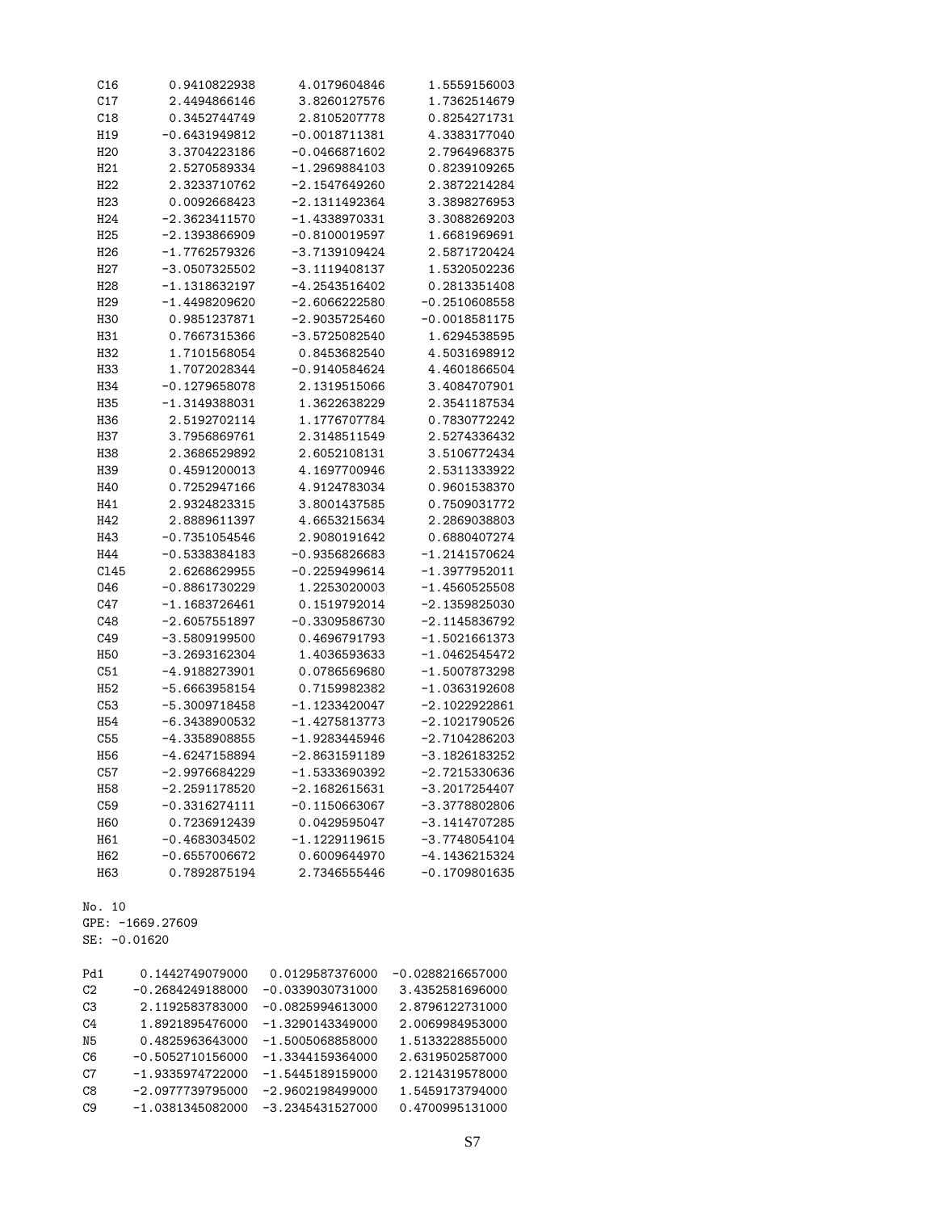| C16             | 0.9410822938    | 4.0179604846    | 1.5559156003    |
|-----------------|-----------------|-----------------|-----------------|
| C17             | 2.4494866146    | 3.8260127576    | 1.7362514679    |
| C18             | 0.3452744749    | 2.8105207778    | 0.8254271731    |
| H19             | $-0.6431949812$ | $-0.0018711381$ | 4.3383177040    |
| H <sub>20</sub> | 3.3704223186    | $-0.0466871602$ | 2.7964968375    |
| H21             | 2.5270589334    | $-1.2969884103$ | 0.8239109265    |
| H <sub>22</sub> | 2.3233710762    | -2.1547649260   | 2.3872214284    |
| H <sub>23</sub> | 0.0092668423    | $-2.1311492364$ | 3.3898276953    |
| H <sub>24</sub> | $-2.3623411570$ | $-1.4338970331$ | 3.3088269203    |
| H <sub>25</sub> | $-2.1393866909$ | $-0.8100019597$ | 1.6681969691    |
| H <sub>26</sub> | -1.7762579326   | -3.7139109424   | 2.5871720424    |
| H27             | $-3.0507325502$ | $-3.1119408137$ | 1.5320502236    |
| H <sub>28</sub> | -1.1318632197   | -4.2543516402   | 0.2813351408    |
| H <sub>29</sub> | -1.4498209620   | $-2.6066222580$ | $-0.2510608558$ |
| <b>H30</b>      | 0.9851237871    | $-2.9035725460$ | $-0.0018581175$ |
| H31             | 0.7667315366    | -3.5725082540   | 1.6294538595    |
| H32             | 1.7101568054    | 0.8453682540    | 4.5031698912    |
| H33             | 1.7072028344    | $-0.9140584624$ | 4.4601866504    |
| H34             | $-0.1279658078$ | 2.1319515066    | 3.4084707901    |
| H35             | -1.3149388031   | 1.3622638229    | 2.3541187534    |
| H36             | 2.5192702114    | 1.1776707784    | 0.7830772242    |
| H37             | 3.7956869761    | 2.3148511549    | 2.5274336432    |
| H38             | 2.3686529892    | 2.6052108131    | 3.5106772434    |
| H39             | 0.4591200013    | 4.1697700946    | 2.5311333922    |
| H40             | 0.7252947166    | 4.9124783034    | 0.9601538370    |
| H41             | 2.9324823315    | 3.8001437585    | 0.7509031772    |
| H42             | 2.8889611397    | 4.6653215634    | 2.2869038803    |
| H43             | $-0.7351054546$ | 2.9080191642    | 0.6880407274    |
| H44             | $-0.5338384183$ | $-0.9356826683$ | $-1.2141570624$ |
| C145            | 2.6268629955    | $-0.2259499614$ | $-1.3977952011$ |
| 046             | $-0.8861730229$ | 1.2253020003    | $-1.4560525508$ |
| C47             | $-1.1683726461$ | 0.1519792014    | $-2.1359825030$ |
| C48             | $-2.6057551897$ | $-0.3309586730$ | -2.1145836792   |
| C49             | -3.5809199500   | 0.4696791793    | $-1.5021661373$ |
| H <sub>50</sub> | $-3.2693162304$ | 1.4036593633    | $-1.0462545472$ |
| C51             | -4.9188273901   | 0.0786569680    | $-1.5007873298$ |
| H <sub>52</sub> | -5.6663958154   | 0.7159982382    | $-1.0363192608$ |
| C53             | $-5.3009718458$ | $-1.1233420047$ | $-2.1022922861$ |
| H <sub>54</sub> | $-6.3438900532$ | $-1.4275813773$ | $-2.1021790526$ |
| C55             | $-4.3358908855$ | $-1.9283445946$ | $-2.7104286203$ |
| H <sub>56</sub> | $-4.6247158894$ | $-2.8631591189$ | -3.1826183252   |
| C57             | $-2.9976684229$ | $-1.5333690392$ | -2.7215330636   |
| H58             | -2.2591178520   | $-2.1682615631$ | $-3.2017254407$ |
| C59             | $-0.3316274111$ | $-0.1150663067$ | -3.3778802806   |
| <b>H60</b>      | 0.7236912439    | 0.0429595047    | $-3.1414707285$ |
| H61             | $-0.4683034502$ | $-1.1229119615$ | $-3.7748054104$ |
| H62             | $-0.6557006672$ | 0.6009644970    | $-4.1436215324$ |
| H63             | 0.7892875194    | 2.7346555446    | $-0.1709801635$ |
|                 |                 |                 |                 |

No. 10

GPE: -1669.27609

SE: -0.01620

| Pd1            | 0.1442749079000    | 0.0129587376000    | $-0.0288216657000$ |
|----------------|--------------------|--------------------|--------------------|
| C2             | $-0.2684249188000$ | $-0.0339030731000$ | 3.4352581696000    |
| CЗ             | 2.1192583783000    | $-0.0825994613000$ | 2.8796122731000    |
| C4             | 1.8921895476000    | $-1.3290143349000$ | 2.0069984953000    |
| N5             | 0.4825963643000    | $-1.5005068858000$ | 1.5133228855000    |
| C <sub>6</sub> | $-0.5052710156000$ | $-1.3344159364000$ | 2.6319502587000    |
| C <sub>7</sub> | $-1.9335974722000$ | $-1.5445189159000$ | 2.1214319578000    |
| C8             | $-2.0977739795000$ | $-2.9602198499000$ | 1.5459173794000    |
| C9             | $-1.0381345082000$ | $-3.2345431527000$ | 0.4700995131000    |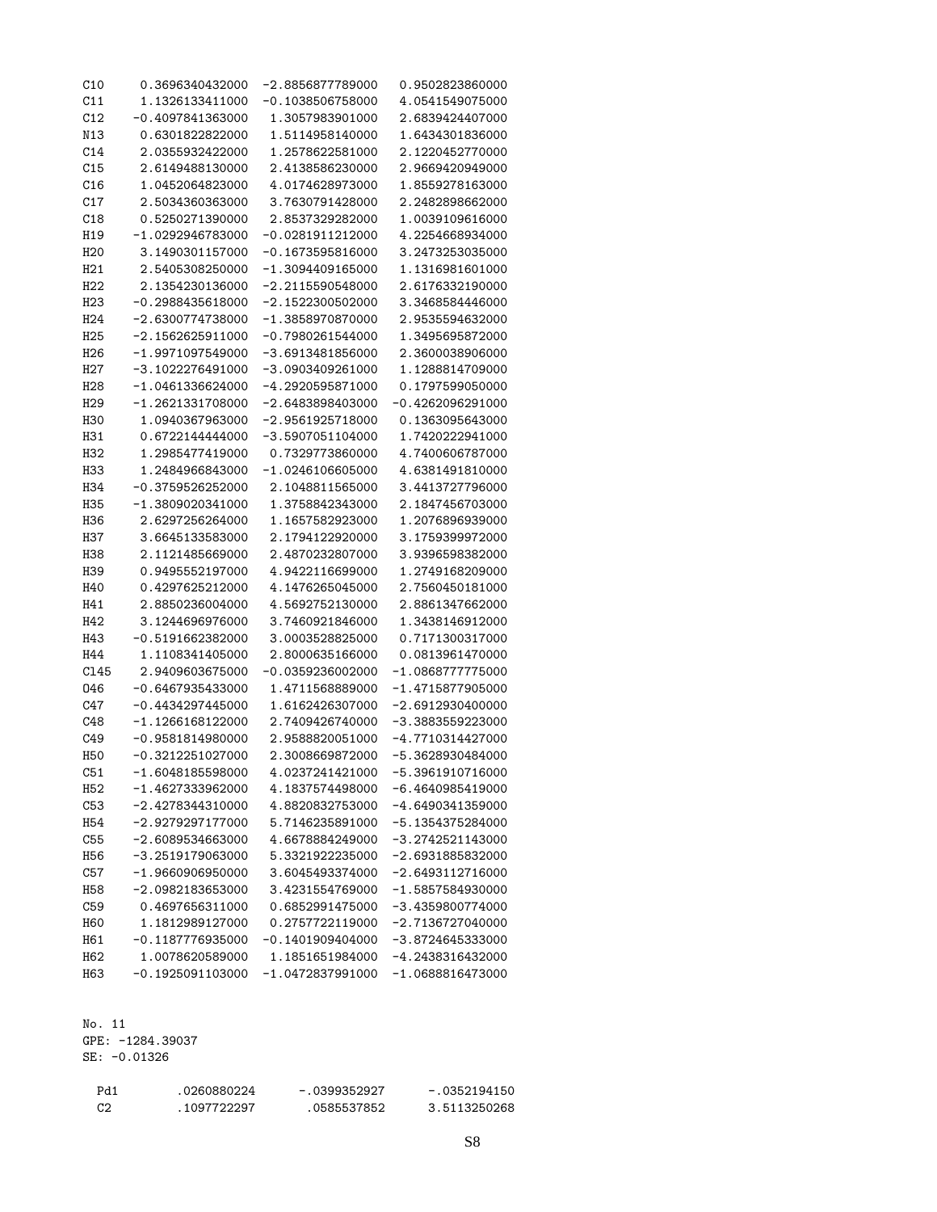| C10             | 0.3696340432000                       | -2.8856877789000                      | 0.9502823860000                          |
|-----------------|---------------------------------------|---------------------------------------|------------------------------------------|
| C11             | 1.1326133411000                       | -0.1038506758000                      | 4.0541549075000                          |
| C12             | -0.4097841363000                      | 1.3057983901000                       | 2.6839424407000                          |
| N13             | 0.6301822822000                       | 1.5114958140000                       | 1.6434301836000                          |
| C14             | 2.0355932422000                       | 1.2578622581000                       | 2.1220452770000                          |
| C15             | 2.6149488130000                       | 2.4138586230000                       | 2.9669420949000                          |
| C16             | 1.0452064823000                       | 4.0174628973000                       | 1.8559278163000                          |
| C17             | 2.5034360363000                       | 3.7630791428000                       | 2.2482898662000                          |
| C18             | 0.5250271390000                       | 2.8537329282000                       | 1.0039109616000                          |
| H19             | -1.0292946783000                      | $-0.0281911212000$                    | 4.2254668934000                          |
| H <sub>20</sub> | 3.1490301157000                       | -0.1673595816000                      | 3.2473253035000                          |
| H21             | 2.5405308250000                       | -1.3094409165000                      | 1.1316981601000                          |
| H <sub>22</sub> | 2.1354230136000                       | -2.2115590548000                      | 2.6176332190000                          |
| H <sub>23</sub> | -0.2988435618000                      | -2.1522300502000                      | 3.3468584446000                          |
| H <sub>24</sub> | -2.6300774738000                      | -1.3858970870000                      | 2.9535594632000                          |
| H <sub>25</sub> | $-2.1562625911000$                    | $-0.7980261544000$                    | 1.3495695872000                          |
| H <sub>26</sub> | $-1.9971097549000$                    | -3.6913481856000                      | 2.3600038906000                          |
| H <sub>27</sub> | -3.1022276491000                      | -3.0903409261000                      | 1.1288814709000                          |
| H <sub>28</sub> | -1.0461336624000                      | -4.2920595871000                      | 0.1797599050000                          |
| H <sub>29</sub> | -1.2621331708000                      | -2.6483898403000                      | -0.4262096291000                         |
| <b>H30</b>      | 1.0940367963000                       | $-2.9561925718000$                    | 0.1363095643000                          |
| H31             | 0.6722144444000                       | -3.5907051104000                      | 1.7420222941000                          |
| H <sub>32</sub> | 1.2985477419000                       | 0.7329773860000                       | 4.7400606787000                          |
| H33             | 1.2484966843000                       | -1.0246106605000                      | 4.6381491810000                          |
| H34             | -0.3759526252000                      | 2.1048811565000                       | 3.4413727796000                          |
| H35             | -1.3809020341000                      | 1.3758842343000                       | 2.1847456703000                          |
| H36             | 2.6297256264000                       | 1.1657582923000                       | 1.2076896939000                          |
| H37             | 3.6645133583000                       | 2.1794122920000                       | 3.1759399972000                          |
| H38             | 2.1121485669000                       | 2.4870232807000                       | 3.9396598382000                          |
| H39             | 0.9495552197000                       | 4.9422116699000                       | 1.2749168209000                          |
| H40             | 0.4297625212000                       | 4.1476265045000                       | 2.7560450181000                          |
| H41             | 2.8850236004000                       | 4.5692752130000                       | 2.8861347662000                          |
| H42             | 3.1244696976000                       | 3.7460921846000                       | 1.3438146912000                          |
| H43             | -0.5191662382000                      | 3.0003528825000                       | 0.7171300317000                          |
| H44             | 1.1108341405000                       | 2.8000635166000                       | 0.0813961470000                          |
| C145            | 2.9409603675000                       | -0.0359236002000                      | -1.0868777775000                         |
| 046             | -0.6467935433000                      | 1.4711568889000                       | -1.4715877905000                         |
| C47             | -0.4434297445000                      | 1.6162426307000                       | -2.6912930400000                         |
| C48             | -1.1266168122000                      | 2.7409426740000                       | -3.3883559223000                         |
| C49             | -0.9581814980000                      | 2.9588820051000                       | -4.7710314427000                         |
| H <sub>50</sub> | -0.3212251027000                      | 2.3008669872000                       | -5.3628930484000                         |
| C51             | $-1.6048185598000$                    | 4.0237241421000                       | -5.3961910716000                         |
| H <sub>52</sub> | $-1.4627333962000$                    | 4.1837574498000                       | -6.4640985419000                         |
| C53             | $-2.4278344310000$                    | 4.8820832753000                       | $-4.6490341359000$                       |
| H <sub>54</sub> | $-2.9279297177000$                    | 5.7146235891000                       | $-5.1354375284000$                       |
| C55             | $-2.6089534663000$                    | 4.6678884249000                       | $-3.2742521143000$                       |
|                 | $-3.2519179063000$                    | 5.3321922235000                       | $-2.6931885832000$                       |
| H <sub>56</sub> |                                       | 3.6045493374000                       |                                          |
| C57             | $-1.9660906950000$                    |                                       | $-2.6493112716000$                       |
| H <sub>58</sub> | $-2.0982183653000$<br>0.4697656311000 | 3.4231554769000<br>0.6852991475000    | $-1.5857584930000$<br>$-3.4359800774000$ |
| C59             |                                       |                                       |                                          |
| <b>H60</b>      | 1.1812989127000                       | 0.2757722119000                       | $-2.7136727040000$                       |
| H61             | $-0.1187776935000$                    | $-0.1401909404000$<br>1.1851651984000 | -3.8724645333000                         |
| H <sub>62</sub> | 1.0078620589000                       |                                       | $-4.2438316432000$                       |
| H63             | $-0.1925091103000$                    | $-1.0472837991000$                    | $-1.0688816473000$                       |

No. 11 GPE: -1284.39037

SE: -0.01326

| Pd1 | .0260880224 | $-.0399352927$ | $-.0352194150$ |
|-----|-------------|----------------|----------------|
| C2  | .1097722297 | .0585537852    | 3.5113250268   |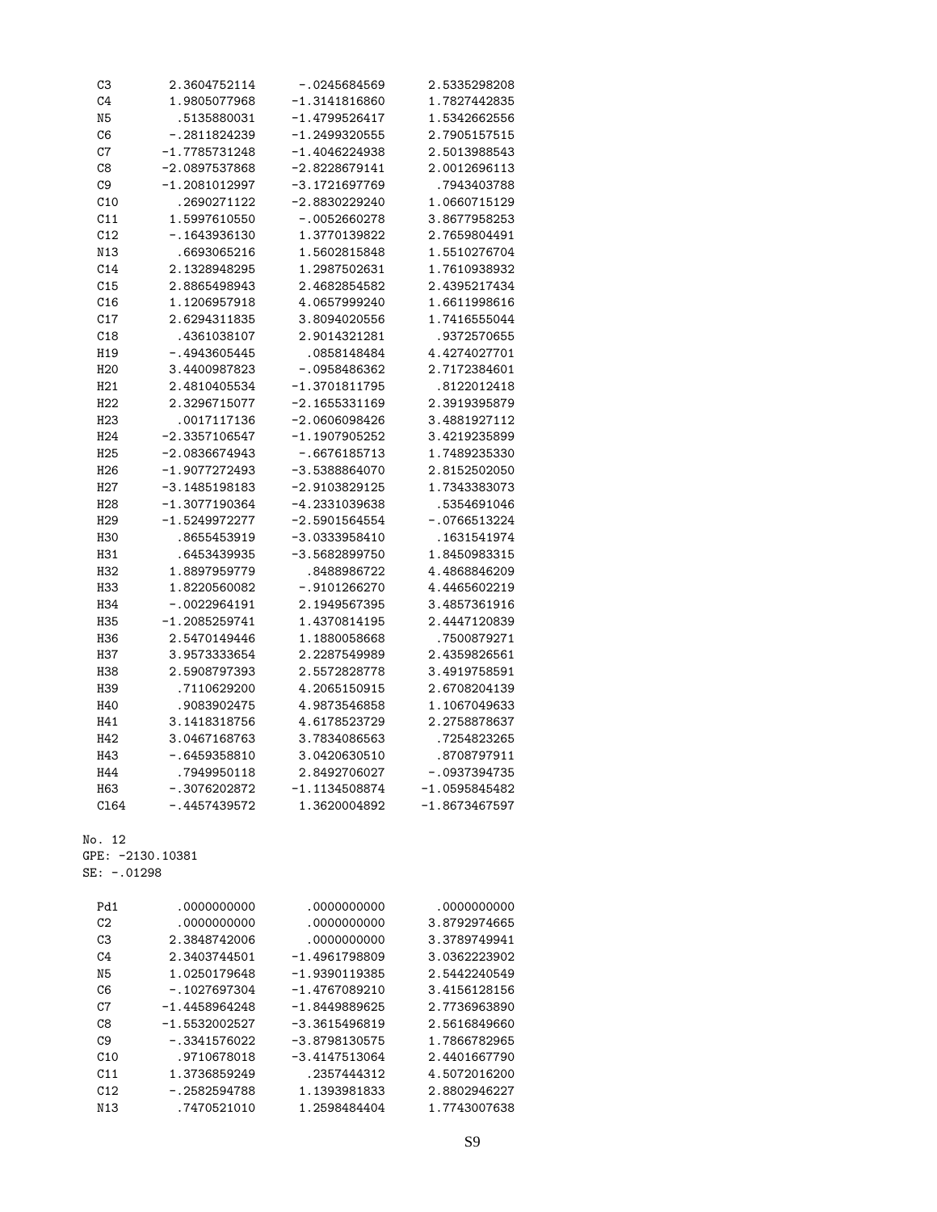| C3              | 2.3604752114    | $-.0245684569$  | 2.5335298208    |
|-----------------|-----------------|-----------------|-----------------|
| C <sub>4</sub>  | 1.9805077968    | $-1.3141816860$ | 1.7827442835    |
| N <sub>5</sub>  | .5135880031     | $-1.4799526417$ | 1.5342662556    |
| C <sub>6</sub>  | $-.2811824239$  | $-1.2499320555$ | 2.7905157515    |
| C7              | $-1.7785731248$ | $-1.4046224938$ | 2.5013988543    |
| C8              | $-2.0897537868$ | $-2.8228679141$ | 2.0012696113    |
| C <sub>9</sub>  | $-1.2081012997$ | $-3.1721697769$ | .7943403788     |
| C10             | .2690271122     | $-2.8830229240$ | 1.0660715129    |
| C11             | 1.5997610550    | $-.0052660278$  | 3.8677958253    |
| C12             | $-.1643936130$  | 1.3770139822    | 2.7659804491    |
| N13             | .6693065216     | 1.5602815848    | 1.5510276704    |
| C14             | 2.1328948295    | 1.2987502631    | 1.7610938932    |
| C15             | 2.8865498943    | 2.4682854582    | 2.4395217434    |
| C16             | 1.1206957918    | 4.0657999240    | 1.6611998616    |
| C17             | 2.6294311835    | 3.8094020556    | 1.7416555044    |
| C18             | .4361038107     | 2.9014321281    | .9372570655     |
| H19             | $-.4943605445$  | .0858148484     | 4.4274027701    |
| H <sub>20</sub> | 3.4400987823    | $-0.958486362$  | 2.7172384601    |
| H21             | 2.4810405534    | $-1.3701811795$ | .8122012418     |
| H <sub>22</sub> | 2.3296715077    | $-2.1655331169$ | 2.3919395879    |
| H <sub>23</sub> | .0017117136     | $-2.0606098426$ | 3.4881927112    |
| H <sub>24</sub> | $-2.3357106547$ | $-1.1907905252$ | 3.4219235899    |
| H <sub>25</sub> | $-2.0836674943$ | $-.6676185713$  | 1.7489235330    |
| H <sub>26</sub> | $-1.9077272493$ | $-3.5388864070$ | 2.8152502050    |
| H27             | $-3.1485198183$ | $-2.9103829125$ | 1.7343383073    |
| H <sub>28</sub> | $-1.3077190364$ | -4.2331039638   | .5354691046     |
| H <sub>29</sub> | $-1.5249972277$ | $-2.5901564554$ | $-.0766513224$  |
| H <sub>30</sub> | .8655453919     | -3.0333958410   | .1631541974     |
| H31             | .6453439935     | $-3.5682899750$ | 1.8450983315    |
| H <sub>32</sub> | 1.8897959779    | .8488986722     | 4.4868846209    |
| <b>H33</b>      | 1.8220560082    | $-.9101266270$  | 4.4465602219    |
| H34             | $-.0022964191$  | 2.1949567395    | 3.4857361916    |
| <b>H35</b>      | $-1.2085259741$ | 1.4370814195    | 2.4447120839    |
| H36             | 2.5470149446    | 1.1880058668    | .7500879271     |
| <b>H37</b>      | 3.9573333654    | 2.2287549989    | 2.4359826561    |
| <b>H38</b>      | 2.5908797393    | 2.5572828778    | 3.4919758591    |
| H39             | .7110629200     | 4.2065150915    | 2.6708204139    |
| H40             | .9083902475     | 4.9873546858    | 1.1067049633    |
| H41             | 3.1418318756    | 4.6178523729    | 2.2758878637    |
| H42             | 3.0467168763    | 3.7834086563    | .7254823265     |
| H43             | $-.6459358810$  | 3.0420630510    | .8708797911     |
| H44             | .7949950118     | 2.8492706027    | $-.0937394735$  |
| H63             | $-.3076202872$  | $-1.1134508874$ | $-1.0595845482$ |
| C164            | $-.4457439572$  | 1.3620004892    | $-1.8673467597$ |
|                 |                 |                 |                 |

GPE: -2130.10381

SE: -.01298

| Pd1            | .0000000000     | .0000000000     | .0000000000  |
|----------------|-----------------|-----------------|--------------|
| C2             | .000000000      | .000000000      | 3.8792974665 |
| C <sub>3</sub> | 2.3848742006    | .0000000000     | 3.3789749941 |
| C4             | 2.3403744501    | $-1.4961798809$ | 3.0362223902 |
| N5             | 1.0250179648    | $-1.9390119385$ | 2.5442240549 |
| C6             | $-.1027697304$  | $-1.4767089210$ | 3.4156128156 |
| C7             | $-1.4458964248$ | $-1.8449889625$ | 2.7736963890 |
| C8             | $-1.5532002527$ | $-3.3615496819$ | 2.5616849660 |
| C9             | $-.3341576022$  | $-3.8798130575$ | 1.7866782965 |
| C10            | .9710678018     | $-3.4147513064$ | 2.4401667790 |
| C11            | 1.3736859249    | .2357444312     | 4.5072016200 |
| C12            | $-.2582594788$  | 1.1393981833    | 2.8802946227 |
| N13            | .7470521010     | 1.2598484404    | 1.7743007638 |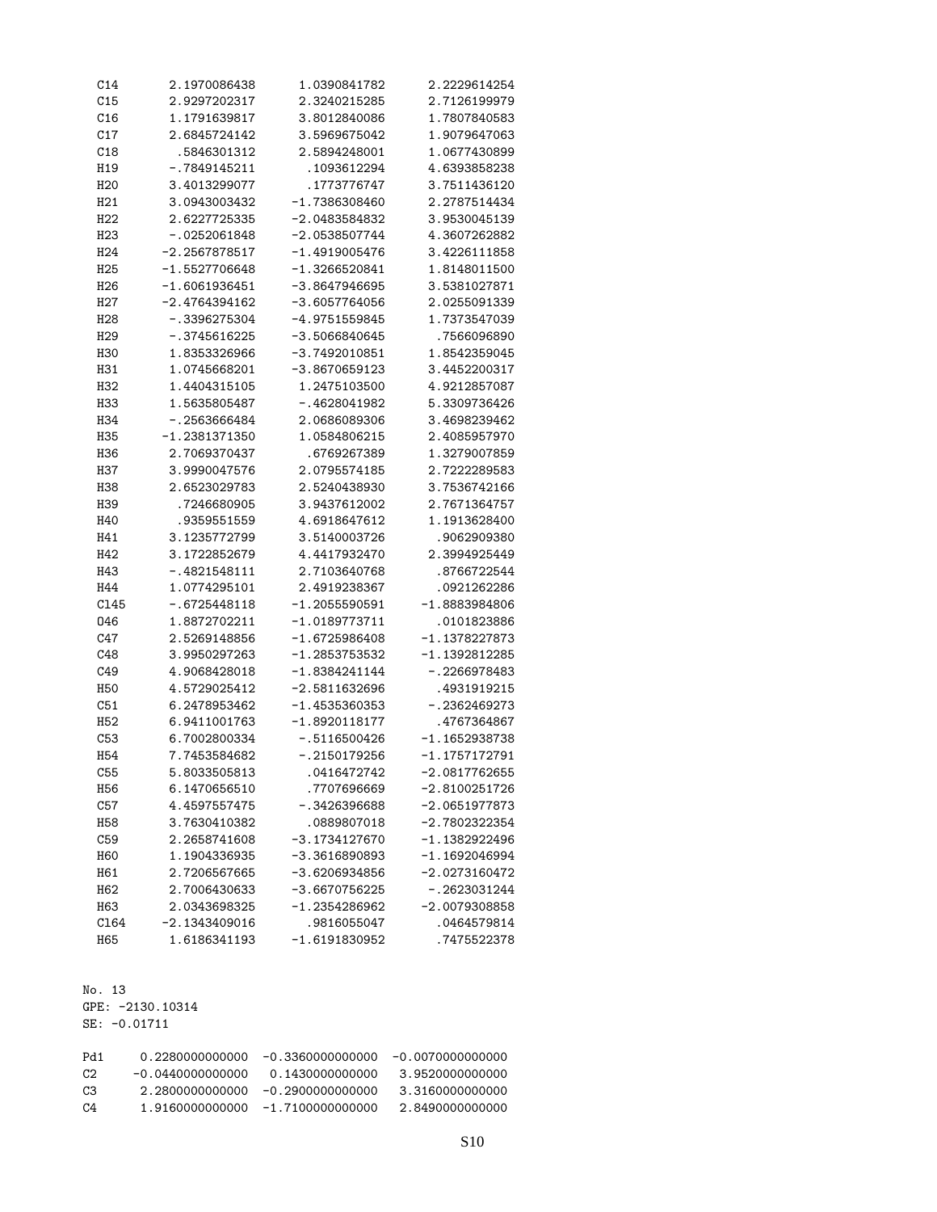| C14             | 2.1970086438    | 1.0390841782    | 2.2229614254    |
|-----------------|-----------------|-----------------|-----------------|
| C15             | 2.9297202317    | 2.3240215285    | 2.7126199979    |
| C16             | 1.1791639817    | 3.8012840086    | 1.7807840583    |
| C17             | 2.6845724142    | 3.5969675042    | 1.9079647063    |
| C18             | .5846301312     | 2.5894248001    | 1.0677430899    |
| H19             | -.7849145211    | . 1093612294    | 4.6393858238    |
| H <sub>20</sub> | 3.4013299077    | . 1773776747    | 3.7511436120    |
| H <sub>21</sub> | 3.0943003432    | -1.7386308460   | 2.2787514434    |
| H <sub>22</sub> | 2.6227725335    | $-2.0483584832$ | 3.9530045139    |
| H <sub>23</sub> | $-.0252061848$  | $-2.0538507744$ | 4.3607262882    |
| H <sub>24</sub> | $-2.2567878517$ | -1.4919005476   | 3.4226111858    |
| H <sub>25</sub> | $-1.5527706648$ | $-1.3266520841$ | 1.8148011500    |
| H <sub>26</sub> | $-1.6061936451$ | $-3.8647946695$ | 3.5381027871    |
| H27             | -2.4764394162   | -3.6057764056   | 2.0255091339    |
| H <sub>28</sub> | $-.3396275304$  | $-4.9751559845$ | 1.7373547039    |
| H <sub>29</sub> | -.3745616225    | -3.5066840645   | .7566096890     |
| <b>H30</b>      | 1.8353326966    | $-3.7492010851$ | 1.8542359045    |
| H31             | 1.0745668201    | -3.8670659123   | 3.4452200317    |
| H <sub>32</sub> | 1.4404315105    | 1.2475103500    | 4.9212857087    |
| H33             | 1.5635805487    | -.4628041982    | 5.3309736426    |
| H34             | $-0.2563666484$ | 2.0686089306    | 3.4698239462    |
| H35             | -1.2381371350   | 1.0584806215    | 2.4085957970    |
| H36             | 2.7069370437    | .6769267389     | 1.3279007859    |
| H37             | 3.9990047576    | 2.0795574185    | 2.7222289583    |
| H38             | 2.6523029783    | 2.5240438930    | 3.7536742166    |
| H39             | .7246680905     | 3.9437612002    | 2.7671364757    |
| H40             | .9359551559     | 4.6918647612    | 1.1913628400    |
| H41             | 3.1235772799    | 3.5140003726    | .9062909380     |
| H42             | 3.1722852679    | 4.4417932470    | 2.3994925449    |
| H43             | -.4821548111    | 2.7103640768    | .8766722544     |
| H44             | 1.0774295101    | 2.4919238367    | .0921262286     |
| C145            | $-.6725448118$  | $-1.2055590591$ | $-1.8883984806$ |
| 046             | 1.8872702211    | -1.0189773711   | .0101823886     |
| C47             | 2.5269148856    | $-1.6725986408$ | -1.1378227873   |
| C48             | 3.9950297263    | $-1.2853753532$ | $-1.1392812285$ |
| C49             | 4.9068428018    | $-1.8384241144$ | $-.2266978483$  |
| <b>H50</b>      | 4.5729025412    | -2.5811632696   | .4931919215     |
| C51             | 6.2478953462    | $-1.4535360353$ | $-.2362469273$  |
| H <sub>52</sub> | 6.9411001763    | $-1.8920118177$ | .4767364867     |
| C53             | 6.7002800334    | $-.5116500426$  | $-1.1652938738$ |
| H <sub>54</sub> | 7.7453584682    | $-.2150179256$  | $-1.1757172791$ |
| C55             | 5.8033505813    | .0416472742     | $-2.0817762655$ |
| H <sub>56</sub> | 6.1470656510    | .7707696669     | $-2.8100251726$ |
| C57             | 4.4597557475    | $-0.3426396688$ | $-2.0651977873$ |
| H58             | 3.7630410382    | .0889807018     | $-2.7802322354$ |
| C59             | 2.2658741608    | $-3.1734127670$ | $-1.1382922496$ |
| H60             | 1.1904336935    | $-3.3616890893$ | $-1.1692046994$ |
| H61             | 2.7206567665    | $-3.6206934856$ | $-2.0273160472$ |
| H62             | 2.7006430633    | $-3.6670756225$ | $-.2623031244$  |
| H63             | 2.0343698325    | $-1.2354286962$ | $-2.0079308858$ |
| C164            | $-2.1343409016$ | .9816055047     | .0464579814     |
| H65             | 1.6186341193    | $-1.6191830952$ | .7475522378     |
|                 |                 |                 |                 |

No. 13 GPE: -2130.10314 SE: -0.01711

| 0.2280000000000    | -0.3360000000000   | -0.0070000000000 |
|--------------------|--------------------|------------------|
| $-0.0440000000000$ | 0.1430000000000    | 3.9520000000000  |
| 2.2800000000000    | -0.2900000000000   | 3.3160000000000  |
| 1 9160000000000    | $-1.7100000000000$ | 2.8490000000000  |
|                    |                    |                  |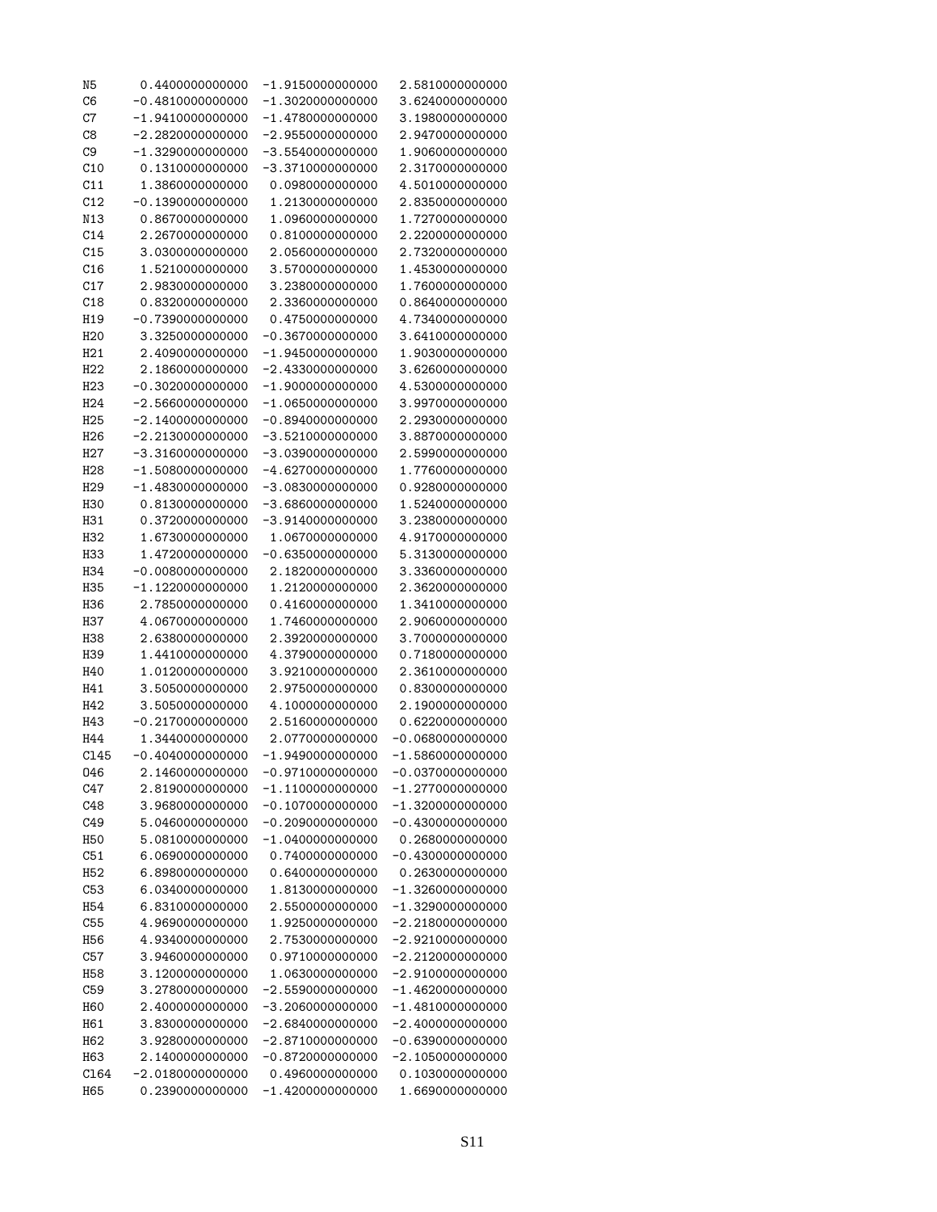| N5              | 0.440000000000      | $-1.9150000000000$  | 2.5810000000000     |
|-----------------|---------------------|---------------------|---------------------|
| C6              | $-0.4810000000000$  | $-1.3020000000000$  | 3.6240000000000     |
| C7              | $-1.9410000000000$  | $-1.4780000000000$  | 3.1980000000000     |
| C8              | $-2.2820000000000$  | -2.9550000000000    | 2.9470000000000     |
| C <sub>9</sub>  | $-1.32900000000000$ | -3.5540000000000    | 1.9060000000000     |
| C10             | 0.1310000000000     | $-3.3710000000000$  | 2.3170000000000     |
| C11             | 1.3860000000000     | 0.0980000000000     | 4.5010000000000     |
|                 |                     |                     |                     |
| C12             | $-0.1390000000000$  | 1.2130000000000     | 2.8350000000000     |
| N13             | 0.8670000000000     | 1.0960000000000     | 1.7270000000000     |
| C14             | 2.2670000000000     | 0.8100000000000     | 2.220000000000      |
| C15             | 3.0300000000000     | 2.0560000000000     | 2.7320000000000     |
| C16             | 1.5210000000000     | 3.5700000000000     | 1.4530000000000     |
| C17             | 2.9830000000000     | 3.2380000000000     | 1.760000000000      |
| C18             | 0.8320000000000     | 2.3360000000000     | 0.8640000000000     |
| H19             | $-0.7390000000000$  | 0.4750000000000     | 4.7340000000000     |
| H <sub>20</sub> | 3.3250000000000     | -0.3670000000000    | 3.6410000000000     |
| H21             | 2.4090000000000     | $-1.9450000000000$  | 1.9030000000000     |
| H22             | 2.1860000000000     | $-2.4330000000000$  | 3.6260000000000     |
| H <sub>23</sub> | $-0.3020000000000$  | $-1.9000000000000$  | 4.5300000000000     |
| H <sub>24</sub> | $-2.5660000000000$  |                     |                     |
|                 |                     | $-1.0650000000000$  | 3.9970000000000     |
| H <sub>25</sub> | $-2.1400000000000$  | $-0.8940000000000$  | 2.2930000000000     |
| H <sub>26</sub> | $-2.2130000000000$  | -3.5210000000000    | 3.8870000000000     |
| H <sub>27</sub> | $-3.3160000000000$  | -3.0390000000000    | 2.5990000000000     |
| H <sub>28</sub> | $-1.5080000000000$  | -4.6270000000000    | 1.7760000000000     |
| H <sub>29</sub> | $-1.4830000000000$  | $-3.0830000000000$  | 0.9280000000000     |
| H30             | 0.8130000000000     | $-3.6860000000000$  | 1.5240000000000     |
| H31             | 0.3720000000000     | -3.9140000000000    | 3.2380000000000     |
| H <sub>32</sub> | 1.6730000000000     | 1.0670000000000     | 4.9170000000000     |
| H33             | 1.4720000000000     | $-0.6350000000000$  | 5.3130000000000     |
| H34             | $-0.0080000000000$  | 2.1820000000000     | 3.3360000000000     |
| H35             | $-1.12200000000000$ | 1.2120000000000     | 2.3620000000000     |
| H36             | 2.7850000000000     | 0.4160000000000     | 1.3410000000000     |
| H37             | 4.0670000000000     | 1.7460000000000     | 2.9060000000000     |
|                 |                     |                     |                     |
| H38             | 2.6380000000000     | 2.3920000000000     | 3.700000000000      |
| H39             | 1.4410000000000     | 4.3790000000000     | 0.718000000000      |
| H40             | 1.0120000000000     | 3.9210000000000     | 2.3610000000000     |
| H41             | 3.5050000000000     | 2.9750000000000     | 0.8300000000000     |
| H42             | 3.5050000000000     | 4.1000000000000     | 2.1900000000000     |
| H43             | $-0.2170000000000$  | 2.5160000000000     | 0.6220000000000     |
| H44             | 1.3440000000000     | 2.0770000000000     | -0.0680000000000    |
| C145            | $-0.4040000000000$  | $-1.9490000000000$  | $-1.5860000000000$  |
| 046             | 2.1460000000000     | $-0.9710000000000$  | $-0.0370000000000$  |
| C47             | 2.8190000000000     | $-1.11000000000000$ | -1.2770000000000    |
| C48             | 3.9680000000000     | $-0.1070000000000$  | $-1.3200000000000$  |
| C49             | 5.0460000000000     | $-0.2090000000000$  | $-0.4300000000000$  |
| H50             | 5.0810000000000     | $-1.0400000000000$  | 0.2680000000000     |
| C51             | 6.0690000000000     | 0.740000000000      | $-0.4300000000000$  |
| H <sub>52</sub> | 6.8980000000000     | 0.6400000000000     | 0.2630000000000     |
|                 |                     |                     |                     |
| C53             | 6.0340000000000     | 1.8130000000000     | $-1.3260000000000$  |
| H <sub>54</sub> | 6.8310000000000     | 2.5500000000000     | -1.3290000000000    |
| C55             | 4.9690000000000     | 1.9250000000000     | $-2.2180000000000$  |
| H <sub>56</sub> | 4.9340000000000     | 2.7530000000000     | $-2.9210000000000$  |
| C57             | 3.9460000000000     | 0.9710000000000     | $-2.21200000000000$ |
| H <sub>58</sub> | 3.1200000000000     | 1.0630000000000     | $-2.9100000000000$  |
| C59             | 3.2780000000000     | $-2.55900000000000$ | $-1.4620000000000$  |
| H <sub>60</sub> | 2.4000000000000     | -3.2060000000000    | $-1.4810000000000$  |
| H61             | 3.8300000000000     | $-2.6840000000000$  | $-2.4000000000000$  |
| H62             | 3.9280000000000     | $-2.8710000000000$  | $-0.6390000000000$  |
| H63             | 2.1400000000000     | $-0.8720000000000$  | $-2.1050000000000$  |
| C164            | $-2.0180000000000$  | 0.4960000000000     | 0.1030000000000     |
| H65             | 0.2390000000000     | $-1.4200000000000$  | 1.6690000000000     |
|                 |                     |                     |                     |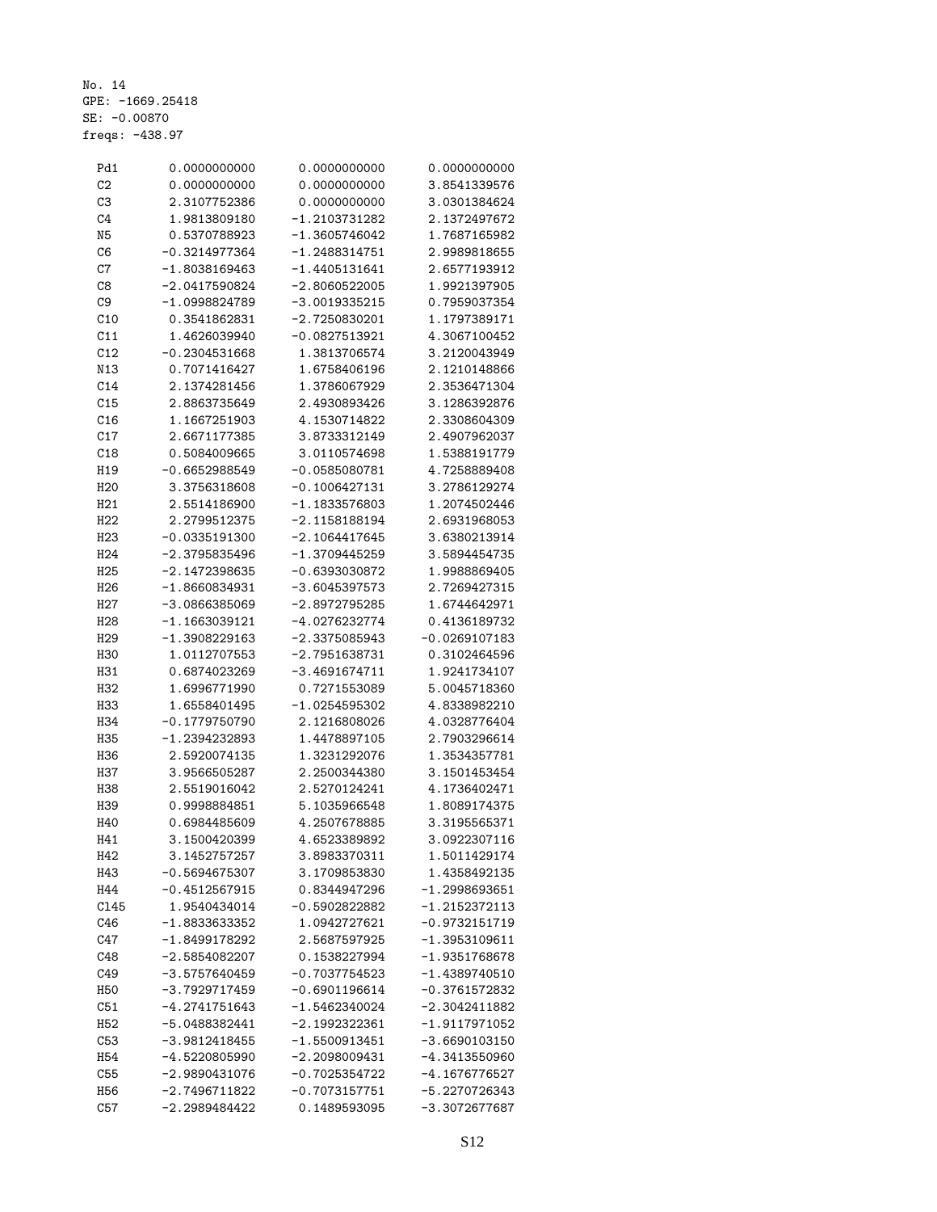No. 14 GPE: -1669.25418 SE: -0.00870 freqs: -438.97

| Pd1             | 0.0000000000    | 0.0000000000    | 0.0000000000    |
|-----------------|-----------------|-----------------|-----------------|
| C <sub>2</sub>  | 0.0000000000    | 0.0000000000    | 3.8541339576    |
| C <sub>3</sub>  | 2.3107752386    | 0.0000000000    | 3.0301384624    |
| C4              | 1.9813809180    | -1.2103731282   | 2.1372497672    |
| N <sub>5</sub>  | 0.5370788923    | -1.3605746042   | 1.7687165982    |
| C6              | $-0.3214977364$ | -1.2488314751   | 2.9989818655    |
| C7              | $-1.8038169463$ | $-1.4405131641$ | 2.6577193912    |
| C8              | $-2.0417590824$ | $-2.8060522005$ | 1.9921397905    |
| C9              | -1.0998824789   | -3.0019335215   | 0.7959037354    |
| C10             | 0.3541862831    | -2.7250830201   | 1.1797389171    |
| C11             | 1.4626039940    | $-0.0827513921$ | 4.3067100452    |
| C12             | $-0.2304531668$ | 1.3813706574    | 3.2120043949    |
| N13             | 0.7071416427    | 1.6758406196    | 2.1210148866    |
| C14             | 2.1374281456    | 1.3786067929    | 2.3536471304    |
| C15             | 2.8863735649    | 2.4930893426    | 3.1286392876    |
| C16             | 1.1667251903    | 4.1530714822    | 2.3308604309    |
| C17             | 2.6671177385    | 3.8733312149    | 2.4907962037    |
| C18             | 0.5084009665    | 3.0110574698    | 1.5388191779    |
| H19             | $-0.6652988549$ | $-0.0585080781$ | 4.7258889408    |
| H <sub>20</sub> | 3.3756318608    | $-0.1006427131$ | 3.2786129274    |
| H21             | 2.5514186900    | -1.1833576803   | 1.2074502446    |
| H22             | 2.2799512375    | -2.1158188194   | 2.6931968053    |
|                 |                 | $-2.1064417645$ |                 |
| H <sub>23</sub> | $-0.0335191300$ |                 | 3.6380213914    |
| H <sub>24</sub> | -2.3795835496   | $-1.3709445259$ | 3.5894454735    |
| H <sub>25</sub> | $-2.1472398635$ | -0.6393030872   | 1.9988869405    |
| H <sub>26</sub> | $-1.8660834931$ | $-3.6045397573$ | 2.7269427315    |
| H <sub>27</sub> | -3.0866385069   | -2.8972795285   | 1.6744642971    |
| H <sub>28</sub> | $-1.1663039121$ | -4.0276232774   | 0.4136189732    |
| H <sub>29</sub> | -1.3908229163   | $-2.3375085943$ | $-0.0269107183$ |
| <b>H30</b>      | 1.0112707553    | $-2.7951638731$ | 0.3102464596    |
| H31             | 0.6874023269    | $-3.4691674711$ | 1.9241734107    |
| H32             | 1.6996771990    | 0.7271553089    | 5.0045718360    |
| H33             | 1.6558401495    | -1.0254595302   | 4.8338982210    |
| H34             | $-0.1779750790$ | 2.1216808026    | 4.0328776404    |
| H35             | $-1.2394232893$ | 1.4478897105    | 2.7903296614    |
| H36             | 2.5920074135    | 1.3231292076    | 1.3534357781    |
| H37             | 3.9566505287    | 2.2500344380    | 3.1501453454    |
| H38             | 2.5519016042    | 2.5270124241    | 4.1736402471    |
| H39             | 0.9998884851    | 5.1035966548    | 1.8089174375    |
| H40             | 0.6984485609    | 4.2507678885    | 3.3195565371    |
| H41             | 3.1500420399    | 4.6523389892    | 3.0922307116    |
| H42             | 3.1452757257    | 3.8983370311    | 1.5011429174    |
| H43             | $-0.5694675307$ | 3.1709853830    | 1.4358492135    |
| H44             | $-0.4512567915$ | 0.8344947296    | $-1.2998693651$ |
| C145            | 1.9540434014    | -0.5902822882   | $-1.2152372113$ |
| C46             | -1.8833633352   | 1.0942727621    | $-0.9732151719$ |
| C47             | $-1.8499178292$ | 2.5687597925    | -1.3953109611   |
| C48             | $-2.5854082207$ | 0.1538227994    | $-1.9351768678$ |
| C49             | $-3.5757640459$ | $-0.7037754523$ | $-1.4389740510$ |
| <b>H50</b>      | -3.7929717459   | $-0.6901196614$ | $-0.3761572832$ |
| C51             | $-4.2741751643$ | -1.5462340024   | -2.3042411882   |
| H <sub>52</sub> | $-5.0488382441$ | $-2.1992322361$ | $-1.9117971052$ |
| C53             | $-3.9812418455$ | $-1.5500913451$ | $-3.6690103150$ |
| H <sub>54</sub> | -4.5220805990   | $-2.2098009431$ | $-4.3413550960$ |
| C55             | $-2.9890431076$ | $-0.7025354722$ | $-4.1676776527$ |
| H <sub>56</sub> | $-2.7496711822$ | $-0.7073157751$ | -5.2270726343   |
| C57             | $-2.2989484422$ | 0.1489593095    | $-3.3072677687$ |
|                 |                 |                 |                 |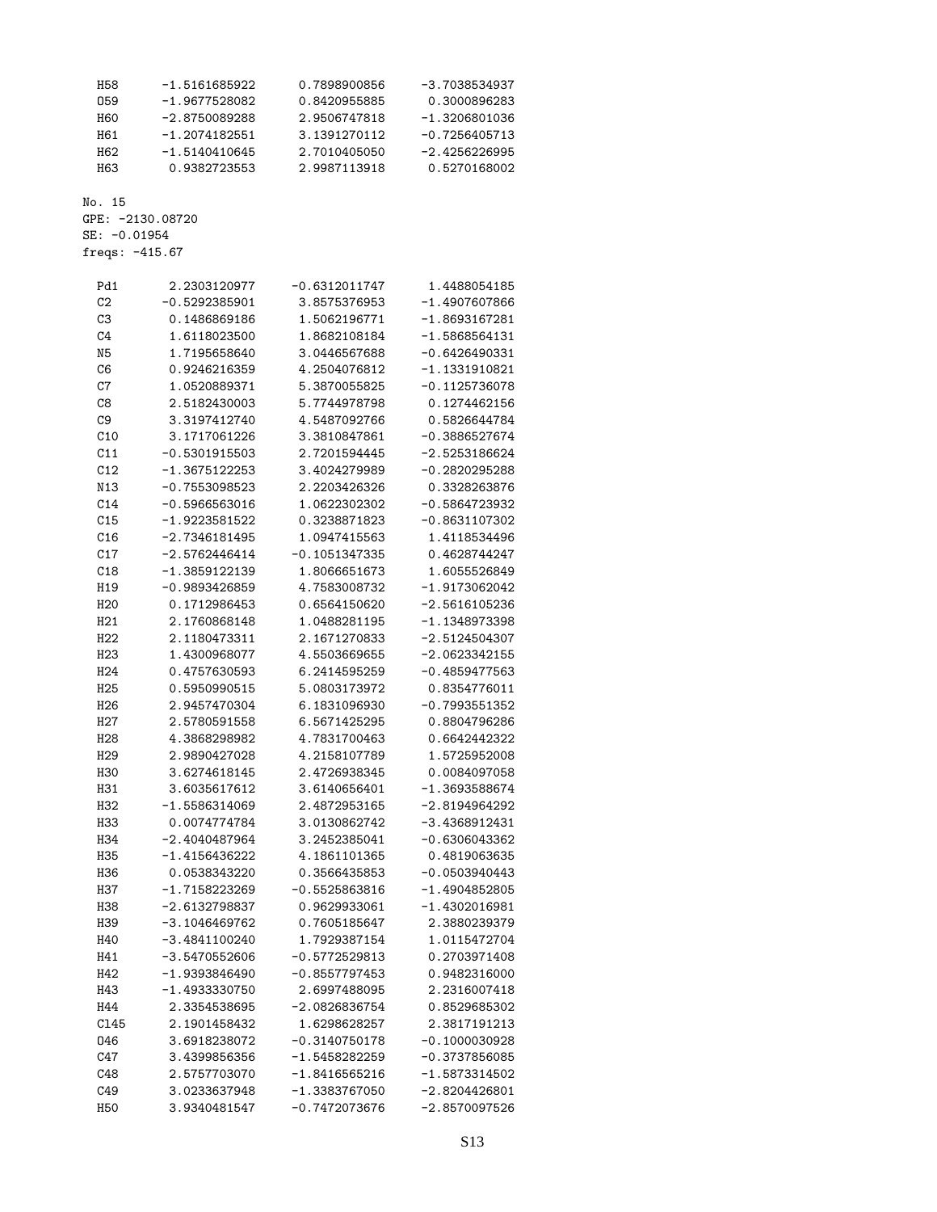| H58                                | $-1.5161685922$  | 0.7898900856    | $-3.7038534937$ |
|------------------------------------|------------------|-----------------|-----------------|
| 059                                | $-1.9677528082$  | 0.8420955885    | 0.3000896283    |
| <b>H60</b>                         | $-2.8750089288$  | 2.9506747818    | $-1.3206801036$ |
| H61                                | $-1.2074182551$  | 3.1391270112    | $-0.7256405713$ |
| H <sub>62</sub>                    | $-1.5140410645$  | 2.7010405050    | $-2.4256226995$ |
| H63                                | 0.9382723553     | 2.9987113918    | 0.5270168002    |
|                                    |                  |                 |                 |
| No. 15                             |                  |                 |                 |
|                                    | GPE: -2130.08720 |                 |                 |
| SE: -0.01954                       |                  |                 |                 |
| freqs: $-415.67$                   |                  |                 |                 |
|                                    |                  |                 |                 |
| Pd1                                | 2.2303120977     | $-0.6312011747$ | 1.4488054185    |
| C <sub>2</sub>                     | $-0.5292385901$  | 3.8575376953    | $-1.4907607866$ |
| C <sub>3</sub>                     | 0.1486869186     | 1.5062196771    | $-1.8693167281$ |
| C4                                 | 1.6118023500     | 1.8682108184    | $-1.5868564131$ |
| N5                                 | 1.7195658640     | 3.0446567688    | $-0.6426490331$ |
| C6                                 | 0.9246216359     | 4.2504076812    | $-1.1331910821$ |
| C7                                 | 1.0520889371     | 5.3870055825    | $-0.1125736078$ |
| C8                                 | 2.5182430003     | 5.7744978798    | 0.1274462156    |
| C9                                 | 3.3197412740     | 4.5487092766    | 0.5826644784    |
| C10                                | 3.1717061226     | 3.3810847861    | $-0.3886527674$ |
| C11                                | $-0.5301915503$  | 2.7201594445    | $-2.5253186624$ |
| C12                                | $-1.3675122253$  | 3.4024279989    | $-0.2820295288$ |
| N13                                | $-0.7553098523$  | 2.2203426326    | 0.3328263876    |
| C14                                | $-0.5966563016$  | 1.0622302302    | $-0.5864723932$ |
| C15                                | -1.9223581522    | 0.3238871823    | $-0.8631107302$ |
| C16                                | $-2.7346181495$  | 1.0947415563    | 1.4118534496    |
| C17                                | $-2.5762446414$  | $-0.1051347335$ | 0.4628744247    |
| C18                                | $-1.3859122139$  | 1.8066651673    | 1.6055526849    |
| H19                                | $-0.9893426859$  | 4.7583008732    | -1.9173062042   |
| H <sub>20</sub>                    | 0.1712986453     | 0.6564150620    | $-2.5616105236$ |
|                                    | 2.1760868148     | 1.0488281195    | $-1.1348973398$ |
| H <sub>21</sub><br>H <sub>22</sub> | 2.1180473311     | 2.1671270833    | $-2.5124504307$ |
|                                    |                  |                 |                 |
| H <sub>23</sub>                    | 1.4300968077     | 4.5503669655    | $-2.0623342155$ |
| H <sub>24</sub>                    | 0.4757630593     | 6.2414595259    | $-0.4859477563$ |
| H <sub>25</sub>                    | 0.5950990515     | 5.0803173972    | 0.8354776011    |
| H <sub>26</sub>                    | 2.9457470304     | 6.1831096930    | $-0.7993551352$ |
| H <sub>2</sub> 7                   | 2.5780591558     | 6.5671425295    | 0.8804796286    |
| H <sub>28</sub>                    | 4.3868298982     | 4.7831700463    | 0.6642442322    |
| H <sub>29</sub>                    | 2.9890427028     | 4.2158107789    | 1.5725952008    |
| H30                                | 3.6274618145     | 2.4726938345    | 0.0084097058    |
| H31                                | 3.6035617612     | 3.6140656401    | $-1.3693588674$ |
| H <sub>32</sub>                    | $-1.5586314069$  | 2.4872953165    | $-2.8194964292$ |
| H33                                | 0.0074774784     | 3.0130862742    | $-3.4368912431$ |
| H34                                | $-2.4040487964$  | 3.2452385041    | $-0.6306043362$ |
| H35                                | $-1.4156436222$  | 4.1861101365    | 0.4819063635    |
| H36                                | 0.0538343220     | 0.3566435853    | $-0.0503940443$ |
| H37                                | $-1.7158223269$  | $-0.5525863816$ | $-1.4904852805$ |
| H38                                | $-2.6132798837$  | 0.9629933061    | $-1.4302016981$ |
| H39                                | $-3.1046469762$  | 0.7605185647    | 2.3880239379    |
| H40                                | $-3.4841100240$  | 1.7929387154    | 1.0115472704    |
| H41                                | $-3.5470552606$  | $-0.5772529813$ | 0.2703971408    |
| H42                                | $-1.9393846490$  | $-0.8557797453$ | 0.9482316000    |
| H43                                | $-1.4933330750$  | 2.6997488095    | 2.2316007418    |
| H44                                | 2.3354538695     | $-2.0826836754$ | 0.8529685302    |
| C145                               | 2.1901458432     | 1.6298628257    | 2.3817191213    |
| 046                                | 3.6918238072     | $-0.3140750178$ | $-0.1000030928$ |
| C47                                | 3.4399856356     | $-1.5458282259$ | $-0.3737856085$ |
| C48                                | 2.5757703070     | $-1.8416565216$ | $-1.5873314502$ |
| C49                                | 3.0233637948     | $-1.3383767050$ | $-2.8204426801$ |
| H <sub>50</sub>                    | 3.9340481547     | $-0.7472073676$ | $-2.8570097526$ |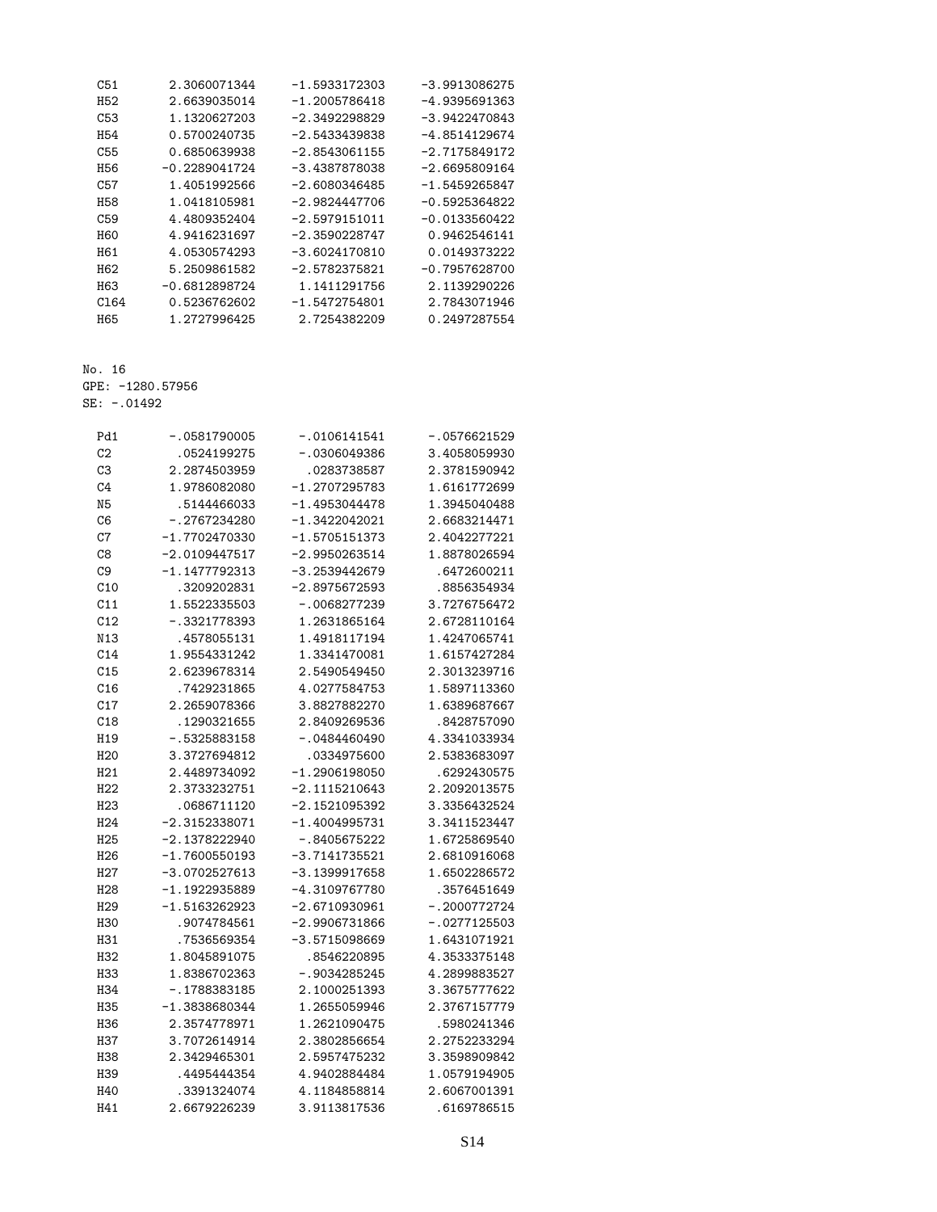| C51             | 2.3060071344    | $-1.5933172303$ | $-3.9913086275$ |
|-----------------|-----------------|-----------------|-----------------|
| H52             | 2.6639035014    | $-1.2005786418$ | $-4.9395691363$ |
| C53             | 1.1320627203    | $-2.3492298829$ | $-3.9422470843$ |
| H <sub>54</sub> | 0.5700240735    | $-2.5433439838$ | $-4.8514129674$ |
| C55             | 0.6850639938    | $-2.8543061155$ | $-2.7175849172$ |
| H56             | -0.2289041724   | $-3.4387878038$ | $-2.6695809164$ |
| C57             | 1.4051992566    | $-2.6080346485$ | -1.5459265847   |
| H58             | 1.0418105981    | $-2.9824447706$ | $-0.5925364822$ |
| C <sub>59</sub> | 4.4809352404    | $-2.5979151011$ | $-0.0133560422$ |
| <b>H60</b>      | 4.9416231697    | $-2.3590228747$ | 0.9462546141    |
| H61             | 4.0530574293    | $-3.6024170810$ | 0.0149373222    |
| H62             | 5.2509861582    | $-2.5782375821$ | $-0.7957628700$ |
| H <sub>63</sub> | $-0.6812898724$ | 1.1411291756    | 2.1139290226    |
| C164            | 0.5236762602    | $-1.5472754801$ | 2.7843071946    |
| H65             | 1.2727996425    | 2.7254382209    | 0.2497287554    |

GPE: -1280.57956

SE: -.01492

| Pd1             | $-.0581790005$  | $-.0106141541$  | -.0576621529   |
|-----------------|-----------------|-----------------|----------------|
| C <sub>2</sub>  | .0524199275     | -.0306049386    | 3.4058059930   |
| C <sub>3</sub>  | 2.2874503959    | .0283738587     | 2.3781590942   |
| C <sub>4</sub>  | 1.9786082080    | $-1.2707295783$ | 1.6161772699   |
| N <sub>5</sub>  | .5144466033     | $-1.4953044478$ | 1.3945040488   |
| C <sub>6</sub>  | $-.2767234280$  | $-1.3422042021$ | 2.6683214471   |
| C7              | $-1.7702470330$ | $-1.5705151373$ | 2.4042277221   |
| C8              | $-2.0109447517$ | $-2.9950263514$ | 1.8878026594   |
| C <sub>9</sub>  | $-1.1477792313$ | $-3.2539442679$ | .6472600211    |
| C10             | .3209202831     | $-2.8975672593$ | .8856354934    |
| C11             | 1.5522335503    | -.0068277239    | 3.7276756472   |
| C12             | $-.3321778393$  | 1.2631865164    | 2.6728110164   |
| N13             | .4578055131     | 1.4918117194    | 1.4247065741   |
| C14             | 1.9554331242    | 1.3341470081    | 1.6157427284   |
| C15             | 2.6239678314    | 2.5490549450    | 2.3013239716   |
| C16             | .7429231865     | 4.0277584753    | 1.5897113360   |
| C17             | 2.2659078366    | 3.8827882270    | 1.6389687667   |
| C18             | .1290321655     | 2.8409269536    | .8428757090    |
| H19             | $-.5325883158$  | $-0.0484460490$ | 4.3341033934   |
| H <sub>20</sub> | 3.3727694812    | .0334975600     | 2.5383683097   |
| H21             | 2.4489734092    | $-1.2906198050$ | .6292430575    |
| H <sub>22</sub> | 2.3733232751    | $-2.1115210643$ | 2.2092013575   |
| H <sub>23</sub> | .0686711120     | $-2.1521095392$ | 3.3356432524   |
| H <sub>24</sub> | $-2.3152338071$ | $-1.4004995731$ | 3.3411523447   |
| H <sub>25</sub> | $-2.1378222940$ | $-.8405675222$  | 1.6725869540   |
| H <sub>26</sub> | $-1.7600550193$ | $-3.7141735521$ | 2.6810916068   |
| H <sub>27</sub> | $-3.0702527613$ | $-3.1399917658$ | 1.6502286572   |
| H <sub>28</sub> | $-1.1922935889$ | -4.3109767780   | .3576451649    |
| H <sub>29</sub> | $-1.5163262923$ | $-2.6710930961$ | $-.2000772724$ |
| <b>H30</b>      | .9074784561     | $-2.9906731866$ | $-.0277125503$ |
| H31             | .7536569354     | $-3.5715098669$ | 1.6431071921   |
| H <sub>32</sub> | 1.8045891075    | .8546220895     | 4.3533375148   |
| <b>H33</b>      | 1.8386702363    | $-.9034285245$  | 4.2899883527   |
| H34             | $-.1788383185$  | 2.1000251393    | 3.3675777622   |
| <b>H35</b>      | $-1.3838680344$ | 1.2655059946    | 2.3767157779   |
| H36             | 2.3574778971    | 1.2621090475    | .5980241346    |
| H37             | 3.7072614914    | 2.3802856654    | 2.2752233294   |
| <b>H38</b>      | 2.3429465301    | 2.5957475232    | 3.3598909842   |
| H39             | .4495444354     | 4.9402884484    | 1.0579194905   |
| H40             | .3391324074     | 4.1184858814    | 2.6067001391   |
| H41             | 2.6679226239    | 3.9113817536    | .6169786515    |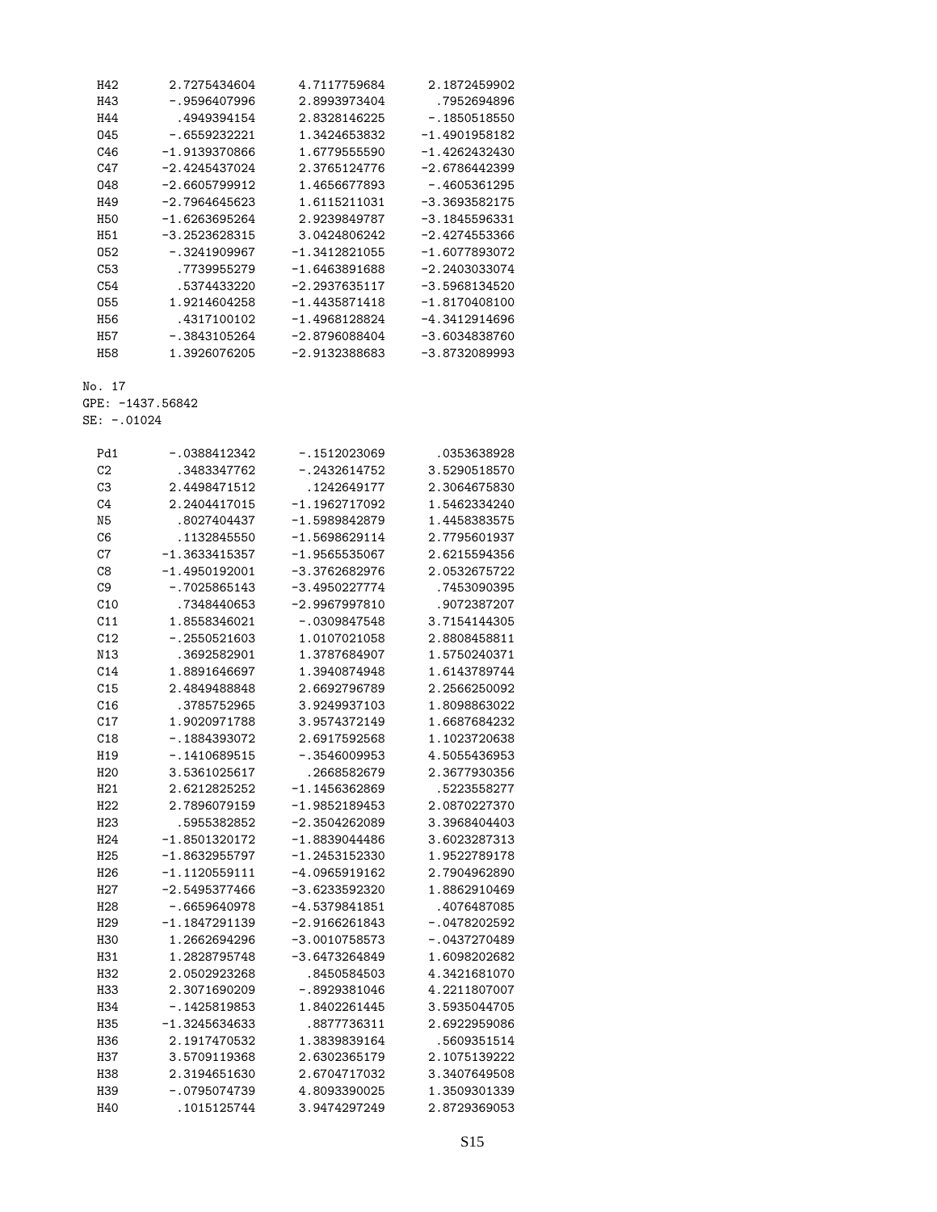| H42             | 2.7275434604    | 4.7117759684    | 2.1872459902    |
|-----------------|-----------------|-----------------|-----------------|
| H43             | -.9596407996    | 2.8993973404    | .7952694896     |
| H44             | .4949394154     | 2.8328146225    | $-1850518550$   |
| 045             | $-0.6559232221$ | 1.3424653832    | -1.4901958182   |
| C46             | $-1.9139370866$ | 1.6779555590    | $-1.4262432430$ |
| C47             | $-2.4245437024$ | 2.3765124776    | $-2.6786442399$ |
| 048             | $-2.6605799912$ | 1.4656677893    | $-0.4605361295$ |
| H49             | $-2.7964645623$ | 1.6115211031    | $-3.3693582175$ |
| <b>H50</b>      | $-1.6263695264$ | 2.9239849787    | $-3.1845596331$ |
| H <sub>51</sub> | $-3.2523628315$ | 3.0424806242    | $-2.4274553366$ |
| 052             | $-.3241909967$  | $-1.3412821055$ | $-1.6077893072$ |
| C53             | .7739955279     | $-1.6463891688$ | $-2.2403033074$ |
| C54             | .5374433220     | $-2.2937635117$ | -3.5968134520   |
| 055             | 1.9214604258    | $-1.4435871418$ | $-1.8170408100$ |
| H56             | .4317100102     | $-1.4968128824$ | -4.3412914696   |
| <b>H57</b>      | $-0.3843105264$ | $-2.8796088404$ | $-3.6034838760$ |
| <b>H58</b>      | 1.3926076205    | $-2.9132388683$ | -3.8732089993   |

GPE: -1437.56842

SE: -.01024

| Pd1             | $-.0388412342$  | $-.1512023069$  | .0353638928    |
|-----------------|-----------------|-----------------|----------------|
| C <sub>2</sub>  | . 3483347762    | $-.2432614752$  | 3.5290518570   |
| C <sub>3</sub>  | 2.4498471512    | .1242649177     | 2.3064675830   |
| C <sub>4</sub>  | 2.2404417015    | $-1.1962717092$ | 1.5462334240   |
| N <sub>5</sub>  | .8027404437     | $-1.5989842879$ | 1.4458383575   |
| C6              | .1132845550     | $-1.5698629114$ | 2.7795601937   |
| C7              | $-1.3633415357$ | $-1.9565535067$ | 2.6215594356   |
| C <sub>8</sub>  | $-1.4950192001$ | $-3.3762682976$ | 2.0532675722   |
| C <sub>9</sub>  | $-.7025865143$  | $-3.4950227774$ | .7453090395    |
| C10             | .7348440653     | $-2.9967997810$ | .9072387207    |
| C11             | 1.8558346021    | $-.0309847548$  | 3.7154144305   |
| C12             | $-0.2550521603$ | 1.0107021058    | 2.8808458811   |
| N13             | .3692582901     | 1.3787684907    | 1.5750240371   |
| C14             | 1.8891646697    | 1.3940874948    | 1.6143789744   |
| C15             | 2.4849488848    | 2.6692796789    | 2.2566250092   |
| C16             | .3785752965     | 3.9249937103    | 1.8098863022   |
| C17             | 1.9020971788    | 3.9574372149    | 1.6687684232   |
| C18             | $-.1884393072$  | 2.6917592568    | 1.1023720638   |
| H19             | $-.1410689515$  | $-.3546009953$  | 4.5055436953   |
| H <sub>20</sub> | 3.5361025617    | .2668582679     | 2.3677930356   |
| H21             | 2.6212825252    | $-1.1456362869$ | .5223558277    |
| H22             | 2.7896079159    | $-1.9852189453$ | 2.0870227370   |
| H <sub>23</sub> | .5955382852     | $-2.3504262089$ | 3.3968404403   |
| H <sub>24</sub> | -1.8501320172   | -1.8839044486   | 3.6023287313   |
| H <sub>25</sub> | $-1.8632955797$ | $-1.2453152330$ | 1.9522789178   |
| H <sub>26</sub> | $-1.1120559111$ | $-4.0965919162$ | 2.7904962890   |
| H <sub>27</sub> | $-2.5495377466$ | $-3.6233592320$ | 1.8862910469   |
| H <sub>28</sub> | $-.6659640978$  | $-4.5379841851$ | .4076487085    |
| H <sub>29</sub> | $-1.1847291139$ | $-2.9166261843$ | $-.0478202592$ |
| <b>H30</b>      | 1.2662694296    | $-3.0010758573$ | $-.0437270489$ |
| H31             | 1.2828795748    | $-3.6473264849$ | 1.6098202682   |
| H <sub>32</sub> | 2.0502923268    | .8450584503     | 4.3421681070   |
| H <sub>33</sub> | 2.3071690209    | $-.8929381046$  | 4.2211807007   |
| H <sub>34</sub> | $-.1425819853$  | 1.8402261445    | 3.5935044705   |
| H35             | $-1.3245634633$ | .8877736311     | 2.6922959086   |
| H36             | 2.1917470532    | 1.3839839164    | .5609351514    |
| H37             | 3.5709119368    | 2.6302365179    | 2.1075139222   |
| H38             | 2.3194651630    | 2.6704717032    | 3.3407649508   |
| H39             | $-.0795074739$  | 4.8093390025    | 1.3509301339   |
| H40             | .1015125744     | 3.9474297249    | 2.8729369053   |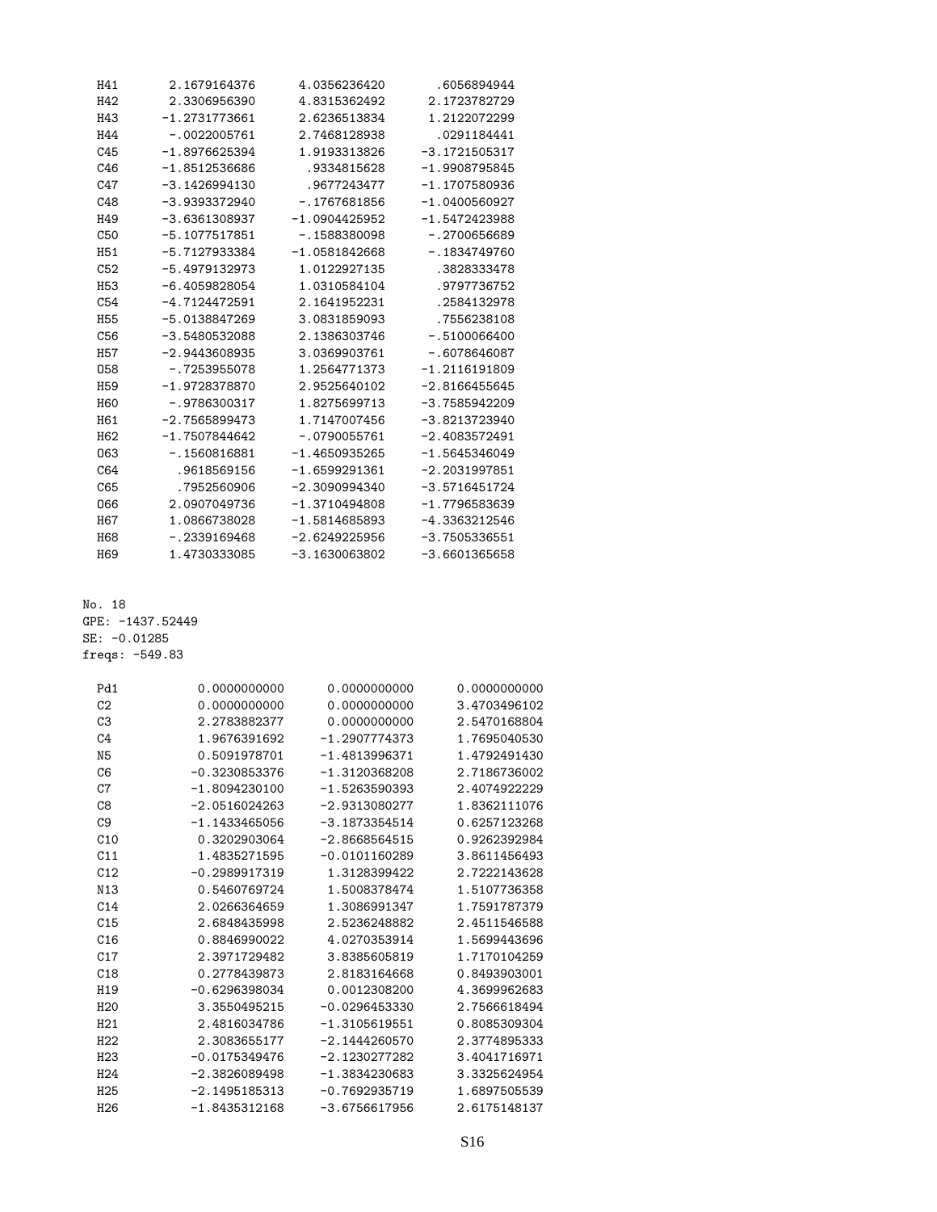| H41             | 2.1679164376    | 4.0356236420    | .6056894944     |
|-----------------|-----------------|-----------------|-----------------|
| H42             | 2.3306956390    | 4.8315362492    | 2.1723782729    |
| H43             | $-1.2731773661$ | 2.6236513834    | 1.2122072299    |
| H44             | $-.0022005761$  | 2.7468128938    | .0291184441     |
| C45             | $-1.8976625394$ | 1.9193313826    | $-3.1721505317$ |
| C46             | $-1.8512536686$ | .9334815628     | $-1.9908795845$ |
| C47             | $-3.1426994130$ | .9677243477     | $-1.1707580936$ |
| C48             | $-3.9393372940$ | $-.1767681856$  | $-1.0400560927$ |
| H49             | $-3.6361308937$ | $-1.0904425952$ | $-1.5472423988$ |
| C <sub>50</sub> | $-5.1077517851$ | $-1588380098$   | $-0.2700656689$ |
| H51             | $-5.7127933384$ | $-1.0581842668$ | $-.1834749760$  |
| C <sub>52</sub> | $-5.4979132973$ | 1.0122927135    | .3828333478     |
| H <sub>53</sub> | $-6.4059828054$ | 1.0310584104    | .9797736752     |
| C54             | $-4.7124472591$ | 2.1641952231    | .2584132978     |
| <b>H55</b>      | $-5.0138847269$ | 3.0831859093    | .7556238108     |
| C <sub>56</sub> | $-3.5480532088$ | 2.1386303746    | $-.5100066400$  |
| <b>H57</b>      | $-2.9443608935$ | 3.0369903761    | $-.6078646087$  |
| 058             | $-.7253955078$  | 1.2564771373    | $-1.2116191809$ |
| H <sub>59</sub> | $-1.9728378870$ | 2.9525640102    | $-2.8166455645$ |
| <b>H60</b>      | $-.9786300317$  | 1.8275699713    | $-3.7585942209$ |
| H61             | $-2.7565899473$ | 1.7147007456    | $-3.8213723940$ |
| H <sub>62</sub> | $-1.7507844642$ | $-.0790055761$  | $-2.4083572491$ |
| 063             | $-.1560816881$  | $-1.4650935265$ | $-1.5645346049$ |
| C64             | .9618569156     | $-1.6599291361$ | $-2.2031997851$ |
| C65             | .7952560906     | $-2.3090994340$ | $-3.5716451724$ |
| 066             | 2.0907049736    | $-1.3710494808$ | $-1.7796583639$ |
| H67             | 1.0866738028    | $-1.5814685893$ | $-4.3363212546$ |
| H68             | $-0.2339169468$ | $-2.6249225956$ | $-3.7505336551$ |
| H <sub>69</sub> | 1.4730333085    | $-3.1630063802$ | $-3.6601365658$ |
|                 |                 |                 |                 |

No. 18 GPE: -1437.52449 SE: -0.01285

freqs: -549.83

| Pd1             | 0.0000000000    | 0.0000000000    | 0.0000000000 |
|-----------------|-----------------|-----------------|--------------|
| C <sub>2</sub>  | 0.0000000000    | 0.0000000000    | 3.4703496102 |
| C <sub>3</sub>  | 2.2783882377    | 0.0000000000    | 2.5470168804 |
| C <sub>4</sub>  | 1.9676391692    | $-1.2907774373$ | 1.7695040530 |
| N <sub>5</sub>  | 0.5091978701    | $-1.4813996371$ | 1.4792491430 |
| C6              | $-0.3230853376$ | $-1.3120368208$ | 2.7186736002 |
| C7              | $-1.8094230100$ | $-1.5263590393$ | 2.4074922229 |
| C <sub>8</sub>  | $-2.0516024263$ | $-2.9313080277$ | 1.8362111076 |
| C <sub>9</sub>  | $-1.1433465056$ | $-3.1873354514$ | 0.6257123268 |
| C10             | 0.3202903064    | $-2.8668564515$ | 0.9262392984 |
| C11             | 1.4835271595    | $-0.0101160289$ | 3.8611456493 |
| C12             | $-0.2989917319$ | 1.3128399422    | 2.7222143628 |
| N13             | 0.5460769724    | 1.5008378474    | 1.5107736358 |
| C <sub>14</sub> | 2.0266364659    | 1.3086991347    | 1.7591787379 |
| C <sub>15</sub> | 2.6848435998    | 2.5236248882    | 2.4511546588 |
| C16             | 0.8846990022    | 4.0270353914    | 1.5699443696 |
| C17             | 2.3971729482    | 3.8385605819    | 1.7170104259 |
| C18             | 0.2778439873    | 2.8183164668    | 0.8493903001 |
| H <sub>19</sub> | $-0.6296398034$ | 0.0012308200    | 4.3699962683 |
| H <sub>20</sub> | 3.3550495215    | $-0.0296453330$ | 2.7566618494 |
| H21             | 2.4816034786    | $-1.3105619551$ | 0.8085309304 |
| H22             | 2.3083655177    | $-2.1444260570$ | 2.3774895333 |
| H23             | $-0.0175349476$ | $-2.1230277282$ | 3.4041716971 |
| H <sub>24</sub> | $-2.3826089498$ | $-1.3834230683$ | 3.3325624954 |
| H <sub>25</sub> | $-2.1495185313$ | $-0.7692935719$ | 1.6897505539 |
| H <sub>26</sub> | $-1.8435312168$ | $-3.6756617956$ | 2.6175148137 |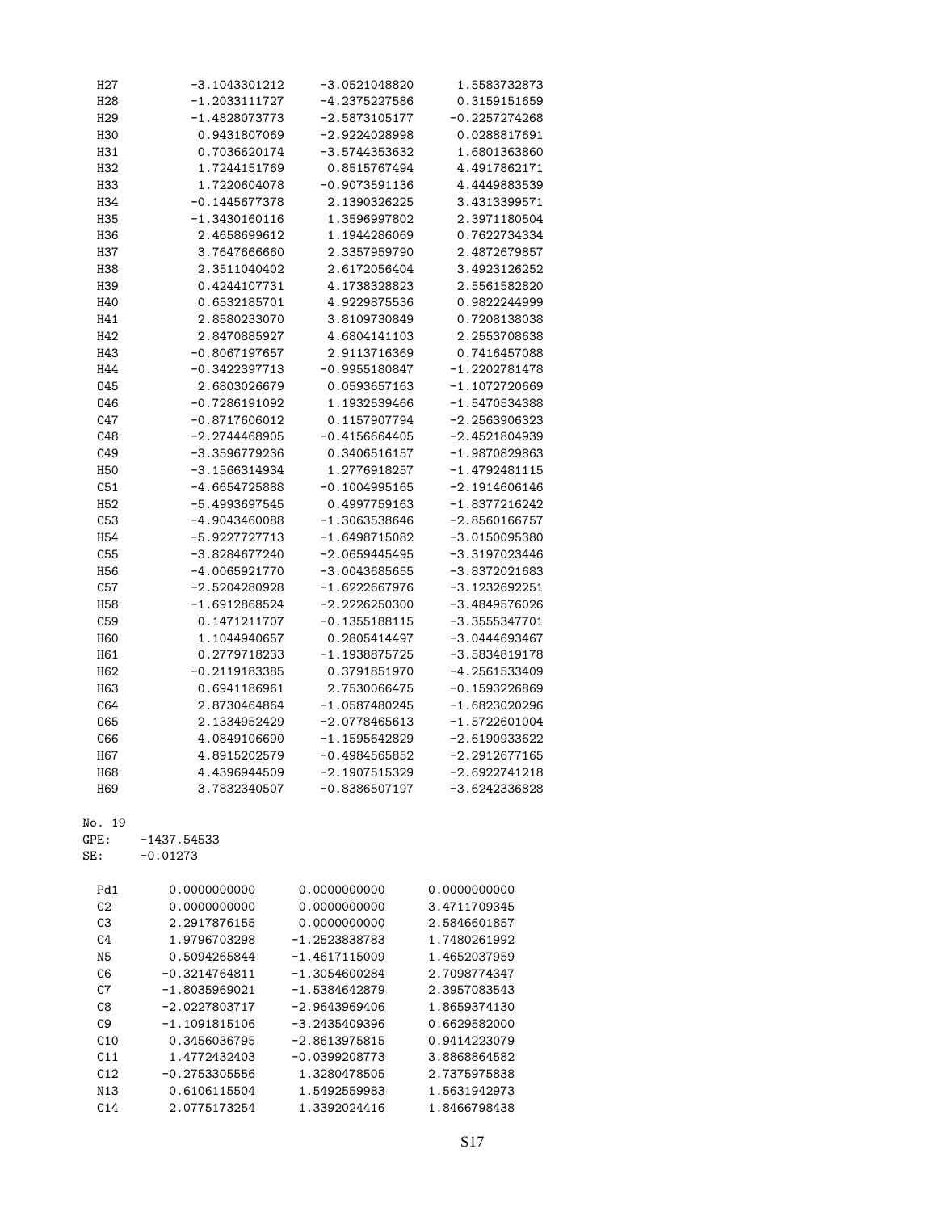| H <sub>2</sub> 7 | -3.1043301212   | -3.0521048820   | 1.5583732873    |
|------------------|-----------------|-----------------|-----------------|
| H <sub>28</sub>  | $-1.2033111727$ | $-4.2375227586$ | 0.3159151659    |
| H <sub>29</sub>  | $-1.4828073773$ | $-2.5873105177$ | $-0.2257274268$ |
| <b>H30</b>       | 0.9431807069    | $-2.9224028998$ | 0.0288817691    |
| H31              | 0.7036620174    | $-3.5744353632$ | 1.6801363860    |
| H32              | 1.7244151769    | 0.8515767494    | 4.4917862171    |
| H33              | 1.7220604078    | $-0.9073591136$ | 4.4449883539    |
|                  |                 |                 | 3.4313399571    |
| H34              | $-0.1445677378$ | 2.1390326225    |                 |
| H35              | $-1.3430160116$ | 1.3596997802    | 2.3971180504    |
| H36              | 2.4658699612    | 1.1944286069    | 0.7622734334    |
| H37              | 3.7647666660    | 2.3357959790    | 2.4872679857    |
| H38              | 2.3511040402    | 2.6172056404    | 3.4923126252    |
| H39              | 0.4244107731    | 4.1738328823    | 2.5561582820    |
| H40              | 0.6532185701    | 4.9229875536    | 0.9822244999    |
| H41              | 2.8580233070    | 3.8109730849    | 0.7208138038    |
| H42              | 2.8470885927    | 4.6804141103    | 2.2553708638    |
| H43              | $-0.8067197657$ | 2.9113716369    | 0.7416457088    |
| H44              | $-0.3422397713$ | $-0.9955180847$ | $-1.2202781478$ |
|                  |                 |                 | $-1.1072720669$ |
| 045              | 2.6803026679    | 0.0593657163    |                 |
| 046              | $-0.7286191092$ | 1.1932539466    | $-1.5470534388$ |
| C47              | $-0.8717606012$ | 0.1157907794    | $-2.2563906323$ |
| C48              | $-2.2744468905$ | $-0.4156664405$ | $-2.4521804939$ |
| C49              | -3.3596779236   | 0.3406516157    | $-1.9870829863$ |
| <b>H50</b>       | $-3.1566314934$ | 1.2776918257    | $-1.4792481115$ |
| C51              | $-4.6654725888$ | $-0.1004995165$ | $-2.1914606146$ |
| H <sub>52</sub>  | -5.4993697545   | 0.4997759163    | $-1.8377216242$ |
| C53              | $-4.9043460088$ | $-1.3063538646$ | $-2.8560166757$ |
| H <sub>54</sub>  | -5.9227727713   | $-1.6498715082$ | $-3.0150095380$ |
| C55              | $-3.8284677240$ | $-2.0659445495$ | $-3.3197023446$ |
|                  |                 |                 |                 |
| H <sub>56</sub>  | $-4.0065921770$ | $-3.0043685655$ | -3.8372021683   |
| C57              | $-2.5204280928$ | $-1.6222667976$ | $-3.1232692251$ |
| H <sub>58</sub>  | $-1.6912868524$ | $-2.2226250300$ | $-3.4849576026$ |
| C59              | 0.1471211707    | $-0.1355188115$ | $-3.3555347701$ |
| H60              | 1.1044940657    | 0.2805414497    | $-3.0444693467$ |
| H61              | 0.2779718233    | $-1.1938875725$ | $-3.5834819178$ |
| H62              | $-0.2119183385$ | 0.3791851970    | $-4.2561533409$ |
| H63              | 0.6941186961    | 2.7530066475    | $-0.1593226869$ |
| C64              | 2.8730464864    | $-1.0587480245$ | $-1.6823020296$ |
| 065              | 2.1334952429    | $-2.0778465613$ | $-1.5722601004$ |
| C66              | 4.0849106690    | $-1.1595642829$ | $-2.6190933622$ |
|                  |                 |                 |                 |
| H67              | 4.8915202579    | $-0.4984565852$ | $-2.2912677165$ |
| <b>H68</b>       | 4.4396944509    | $-2.1907515329$ | $-2.6922741218$ |
| H69              | 3.7832340507    | $-0.8386507197$ | $-3.6242336828$ |
| No. 19           |                 |                 |                 |
|                  |                 |                 |                 |
| GPE:             | -1437.54533     |                 |                 |
| SE:              | $-0.01273$      |                 |                 |
| Pd1              | 0.0000000000    | 0.0000000000    | 0.0000000000    |
| C2               | 0.0000000000    | 0.0000000000    | 3.4711709345    |
|                  |                 |                 |                 |
| C <sub>3</sub>   | 2.2917876155    | 0.0000000000    | 2.5846601857    |
| C4               | 1.9796703298    | $-1.2523838783$ | 1.7480261992    |
| N <sub>5</sub>   | 0.5094265844    | $-1.4617115009$ | 1.4652037959    |
| C6               | $-0.3214764811$ | $-1.3054600284$ | 2.7098774347    |
| C7               | $-1.8035969021$ | $-1.5384642879$ | 2.3957083543    |
| C8               | $-2.0227803717$ | $-2.9643969406$ | 1.8659374130    |
| C9               | $-1.1091815106$ | $-3.2435409396$ | 0.6629582000    |
| C10              | 0.3456036795    | $-2.8613975815$ | 0.9414223079    |
| C11              | 1.4772432403    | $-0.0399208773$ | 3.8868864582    |
| C12              | $-0.2753305556$ | 1.3280478505    | 2.7375975838    |
|                  |                 |                 |                 |
| N13              | 0.6106115504    | 1.5492559983    | 1.5631942973    |
| C14              | 2.0775173254    | 1.3392024416    | 1.8466798438    |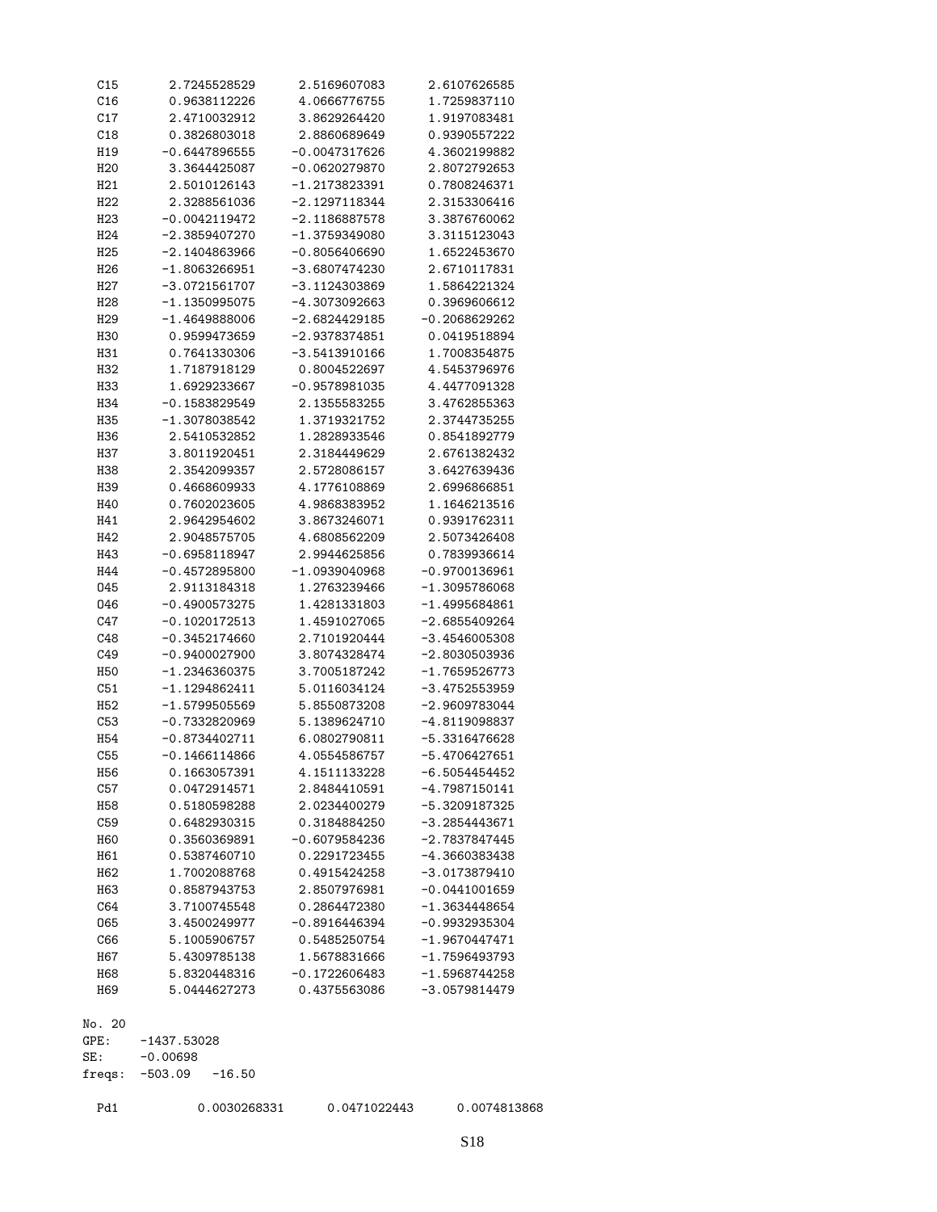| C15              | 2.7245528529    | 2.5169607083    | 2.6107626585    |
|------------------|-----------------|-----------------|-----------------|
| C16              | 0.9638112226    | 4.0666776755    | 1.7259837110    |
| C17              | 2.4710032912    | 3.8629264420    | 1.9197083481    |
| C18              | 0.3826803018    | 2.8860689649    | 0.9390557222    |
| H19              | $-0.6447896555$ | $-0.0047317626$ | 4.3602199882    |
| H <sub>20</sub>  | 3.3644425087    | $-0.0620279870$ | 2.8072792653    |
| H21              | 2.5010126143    | -1.2173823391   | 0.7808246371    |
| H22              | 2.3288561036    | $-2.1297118344$ | 2.3153306416    |
|                  |                 |                 |                 |
| H <sub>23</sub>  | $-0.0042119472$ | $-2.1186887578$ | 3.3876760062    |
| H <sub>24</sub>  | -2.3859407270   | $-1.3759349080$ | 3.3115123043    |
| H <sub>25</sub>  | $-2.1404863966$ | $-0.8056406690$ | 1.6522453670    |
| H <sub>26</sub>  | $-1.8063266951$ | $-3.6807474230$ | 2.6710117831    |
| H <sub>2</sub> 7 | $-3.0721561707$ | -3.1124303869   | 1.5864221324    |
| H <sub>28</sub>  | $-1.1350995075$ | -4.3073092663   | 0.3969606612    |
| H <sub>29</sub>  | $-1.4649888006$ | $-2.6824429185$ | $-0.2068629262$ |
| H30              | 0.9599473659    | $-2.9378374851$ | 0.0419518894    |
| H31              | 0.7641330306    | $-3.5413910166$ | 1.7008354875    |
| H32              | 1.7187918129    | 0.8004522697    | 4.5453796976    |
| H33              | 1.6929233667    | $-0.9578981035$ | 4.4477091328    |
| H34              | $-0.1583829549$ | 2.1355583255    | 3.4762855363    |
|                  |                 |                 |                 |
| H35              | $-1.3078038542$ | 1.3719321752    | 2.3744735255    |
| H36              | 2.5410532852    | 1.2828933546    | 0.8541892779    |
| H37              | 3.8011920451    | 2.3184449629    | 2.6761382432    |
| H38              | 2.3542099357    | 2.5728086157    | 3.6427639436    |
| H39              | 0.4668609933    | 4.1776108869    | 2.6996866851    |
| H40              | 0.7602023605    | 4.9868383952    | 1.1646213516    |
| H41              | 2.9642954602    | 3.8673246071    | 0.9391762311    |
| H42              | 2.9048575705    | 4.6808562209    | 2.5073426408    |
| H43              | $-0.6958118947$ | 2.9944625856    | 0.7839936614    |
| H44              | $-0.4572895800$ | $-1.0939040968$ | $-0.9700136961$ |
| 045              | 2.9113184318    | 1.2763239466    | $-1.3095786068$ |
| 046              | $-0.4900573275$ | 1.4281331803    | $-1.4995684861$ |
| C47              | $-0.1020172513$ | 1.4591027065    | $-2.6855409264$ |
|                  |                 |                 |                 |
| C48              | $-0.3452174660$ | 2.7101920444    | $-3.4546005308$ |
| C49              | $-0.9400027900$ | 3.8074328474    | $-2.8030503936$ |
| <b>H50</b>       | $-1.2346360375$ | 3.7005187242    | $-1.7659526773$ |
| C51              | $-1.1294862411$ | 5.0116034124    | $-3.4752553959$ |
| H <sub>52</sub>  | $-1.5799505569$ | 5.8550873208    | $-2.9609783044$ |
| C53              | $-0.7332820969$ | 5.1389624710    | $-4.8119098837$ |
| <b>H54</b>       | $-0.8734402711$ | 6.0802790811    | $-5.3316476628$ |
| C55              | $-0.1466114866$ | 4.0554586757    | $-5.4706427651$ |
| H56              | 0.1663057391    | 4.1511133228    | $-6.5054454452$ |
| C57              | 0.0472914571    | 2.8484410591    | $-4.7987150141$ |
| H58              | 0.5180598288    | 2.0234400279    | $-5.3209187325$ |
| C59              | 0.6482930315    | 0.3184884250    | $-3.2854443671$ |
|                  |                 |                 |                 |
| <b>H60</b>       | 0.3560369891    | $-0.6079584236$ | -2.7837847445   |
| H61              | 0.5387460710    | 0.2291723455    | $-4.3660383438$ |
| H62              | 1.7002088768    | 0.4915424258    | $-3.0173879410$ |
| H63              | 0.8587943753    | 2.8507976981    | $-0.0441001659$ |
| C64              | 3.7100745548    | 0.2864472380    | $-1.3634448654$ |
| 065              | 3.4500249977    | $-0.8916446394$ | $-0.9932935304$ |
| C66              | 5.1005906757    | 0.5485250754    | $-1.9670447471$ |
| H67              | 5.4309785138    | 1.5678831666    | $-1.7596493793$ |
| H68              | 5.8320448316    | $-0.1722606483$ | $-1.5968744258$ |
| H69              | 5.0444627273    | 0.4375563086    | $-3.0579814479$ |
|                  |                 |                 |                 |
| No. 20           |                 |                 |                 |
| GPE:             | $-1437.53028$   |                 |                 |
|                  |                 |                 |                 |
| SE:              | $-0.00698$      |                 |                 |

SE: -0.00698 freqs: -503.09 -16.50

Pd1 0.0030268331 0.0471022443 0.0074813868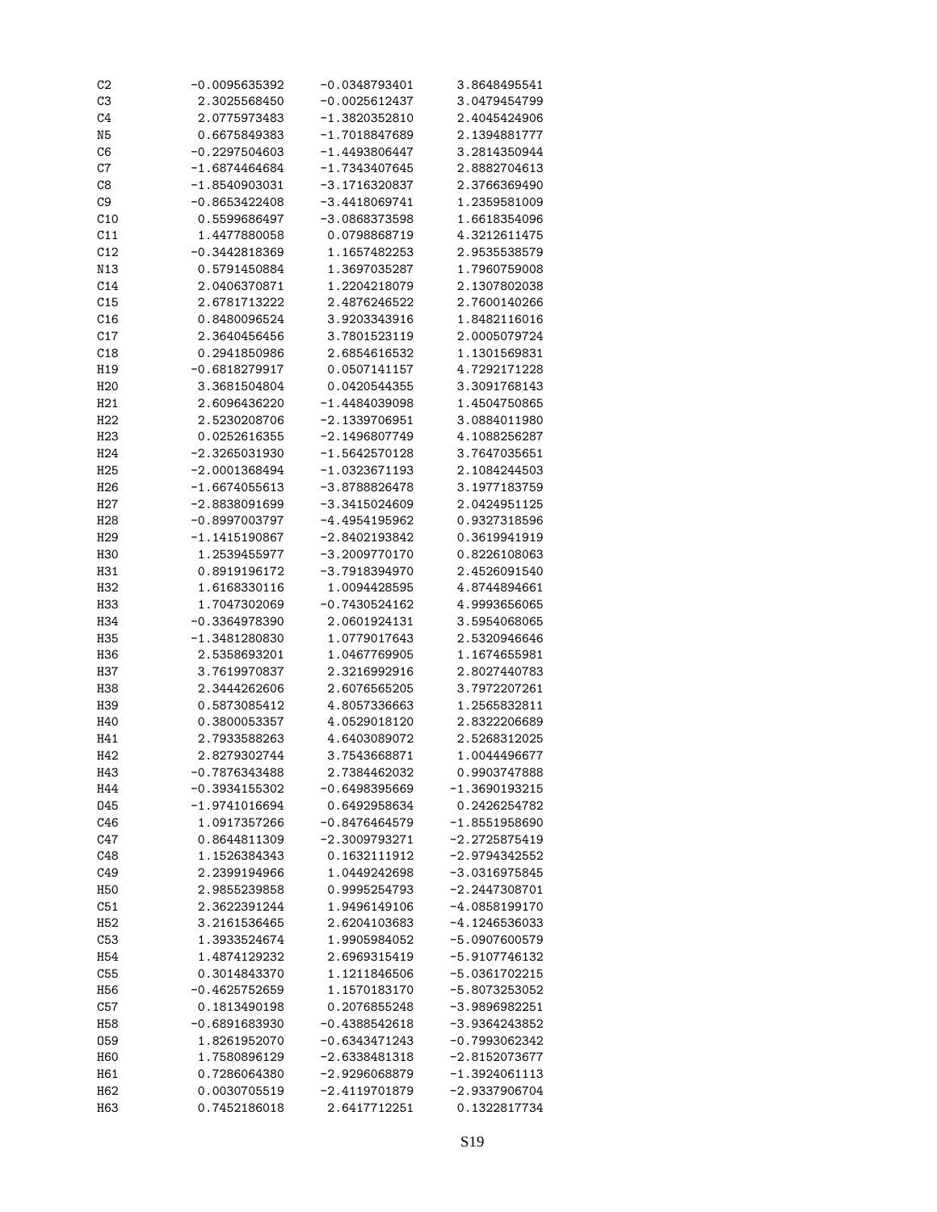| C <sub>2</sub>  | $-0.0095635392$ | $-0.0348793401$ | 3.8648495541    |
|-----------------|-----------------|-----------------|-----------------|
| C <sub>3</sub>  | 2.3025568450    | $-0.0025612437$ | 3.0479454799    |
| C4              | 2.0775973483    | -1.3820352810   | 2.4045424906    |
| N <sub>5</sub>  | 0.6675849383    | $-1.7018847689$ | 2.1394881777    |
| C6              | $-0.2297504603$ | $-1.4493806447$ | 3.2814350944    |
| C7              | $-1.6874464684$ | -1.7343407645   | 2.8882704613    |
| C8              | -1.8540903031   | $-3.1716320837$ | 2.3766369490    |
| C9              | $-0.8653422408$ | $-3.4418069741$ | 1.2359581009    |
| C10             | 0.5599686497    | -3.0868373598   | 1.6618354096    |
| C11             | 1.4477880058    | 0.0798868719    | 4.3212611475    |
| C12             | -0.3442818369   | 1.1657482253    | 2.9535538579    |
| N13             |                 | 1.3697035287    | 1.7960759008    |
|                 | 0.5791450884    |                 |                 |
| C14             | 2.0406370871    | 1.2204218079    | 2.1307802038    |
| C15             | 2.6781713222    | 2.4876246522    | 2.7600140266    |
| C16             | 0.8480096524    | 3.9203343916    | 1.8482116016    |
| C17             | 2.3640456456    | 3.7801523119    | 2.0005079724    |
| C18             | 0.2941850986    | 2.6854616532    | 1.1301569831    |
| H19             | $-0.6818279917$ | 0.0507141157    | 4.7292171228    |
| H <sub>20</sub> | 3.3681504804    | 0.0420544355    | 3.3091768143    |
| H21             | 2.6096436220    | $-1.4484039098$ | 1.4504750865    |
| H22             | 2.5230208706    | $-2.1339706951$ | 3.0884011980    |
| H <sub>23</sub> | 0.0252616355    | $-2.1496807749$ | 4.1088256287    |
| H <sub>24</sub> | $-2.3265031930$ | $-1.5642570128$ | 3.7647035651    |
| H <sub>25</sub> | $-2.0001368494$ | $-1.0323671193$ | 2.1084244503    |
| H <sub>26</sub> | $-1.6674055613$ | $-3.8788826478$ | 3.1977183759    |
| H27             | $-2.8838091699$ | $-3.3415024609$ | 2.0424951125    |
| H <sub>28</sub> | $-0.8997003797$ | $-4.4954195962$ | 0.9327318596    |
| H <sub>29</sub> | $-1.1415190867$ | -2.8402193842   | 0.3619941919    |
| H30             | 1.2539455977    | -3.2009770170   | 0.8226108063    |
| H31             |                 |                 | 2.4526091540    |
|                 | 0.8919196172    | $-3.7918394970$ |                 |
| H32             | 1.6168330116    | 1.0094428595    | 4.8744894661    |
| H33             | 1.7047302069    | $-0.7430524162$ | 4.9993656065    |
| H34             | -0.3364978390   | 2.0601924131    | 3.5954068065    |
| H35             | $-1.3481280830$ | 1.0779017643    | 2.5320946646    |
| H36             | 2.5358693201    | 1.0467769905    | 1.1674655981    |
| <b>H37</b>      | 3.7619970837    | 2.3216992916    | 2.8027440783    |
| H38             | 2.3444262606    | 2.6076565205    | 3.7972207261    |
| H39             | 0.5873085412    | 4.8057336663    | 1.2565832811    |
| H40             | 0.3800053357    | 4.0529018120    | 2.8322206689    |
| H41             | 2.7933588263    | 4.6403089072    | 2.5268312025    |
| H42             | 2.8279302744    | 3.7543668871    | 1.0044496677    |
| H43             | $-0.7876343488$ | 2.7384462032    | 0.9903747888    |
| H44             | $-0.3934155302$ | $-0.6498395669$ | $-1.3690193215$ |
| 045             | $-1.9741016694$ | 0.6492958634    | 0.2426254782    |
| C46             | 1.0917357266    | $-0.8476464579$ | $-1.8551958690$ |
| C47             | 0.8644811309    | $-2.3009793271$ | -2.2725875419   |
| C48             | 1.1526384343    | 0.1632111912    | -2.9794342552   |
| C49             | 2.2399194966    | 1.0449242698    | $-3.0316975845$ |
| H <sub>50</sub> | 2.9855239858    | 0.9995254793    | $-2.2447308701$ |
| C51             | 2.3622391244    | 1.9496149106    | $-4.0858199170$ |
| H <sub>52</sub> | 3.2161536465    | 2.6204103683    | $-4.1246536033$ |
| C53             |                 |                 | $-5.0907600579$ |
|                 | 1.3933524674    | 1.9905984052    |                 |
| H <sub>54</sub> | 1.4874129232    | 2.6969315419    | $-5.9107746132$ |
| C55             | 0.3014843370    | 1.1211846506    | $-5.0361702215$ |
| H <sub>56</sub> | $-0.4625752659$ | 1.1570183170    | $-5.8073253052$ |
| C57             | 0.1813490198    | 0.2076855248    | -3.9896982251   |
| H58             | $-0.6891683930$ | $-0.4388542618$ | $-3.9364243852$ |
| 059             | 1.8261952070    | $-0.6343471243$ | $-0.7993062342$ |
| H <sub>60</sub> | 1.7580896129    | -2.6338481318   | -2.8152073677   |
| H61             | 0.7286064380    | -2.9296068879   | $-1.3924061113$ |
| H62             | 0.0030705519    | $-2.4119701879$ | $-2.9337906704$ |
| H63             | 0.7452186018    | 2.6417712251    | 0.1322817734    |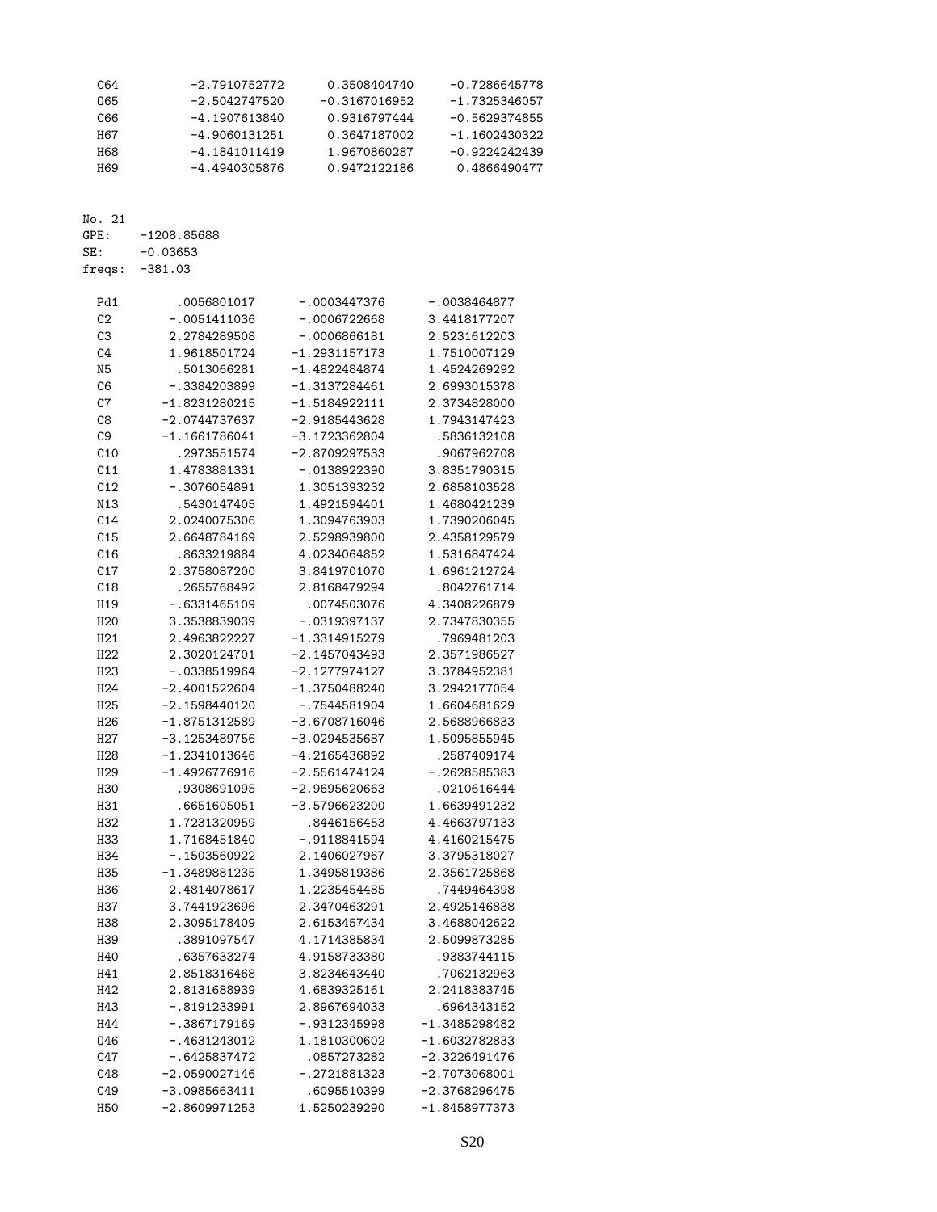| C64 | $-2.7910752772$ | 0.3508404740    | -0.7286645778   |
|-----|-----------------|-----------------|-----------------|
| 065 | $-2.5042747520$ | $-0.3167016952$ | -1.7325346057   |
| C66 | -4.1907613840   | 0.9316797444    | $-0.5629374855$ |
| H67 | $-4.9060131251$ | 0.3647187002    | -1.1602430322   |
| H68 | $-4.1841011419$ | 1.9670860287    | $-0.9224242439$ |
| H69 | -4.4940305876   | 0.9472122186    | 0.4866490477    |
|     |                 |                 |                 |

No. 21<br>GPE: GPE: -1208.85688<br>SE: -0.03653  $-0.03653$ 

freqs: -381.03

| Pd1              | .0056801017     | $-.0003447376$  | $-.0038464877$  |
|------------------|-----------------|-----------------|-----------------|
| C <sub>2</sub>   | $-.0051411036$  | $-.0006722668$  | 3.4418177207    |
| C3               | 2.2784289508    | -.0006866181    | 2.5231612203    |
| C <sub>4</sub>   | 1.9618501724    | $-1.2931157173$ | 1.7510007129    |
| N <sub>5</sub>   | .5013066281     | $-1.4822484874$ | 1.4524269292    |
| C <sub>6</sub>   | $-.3384203899$  | $-1.3137284461$ | 2.6993015378    |
| C7               | $-1.8231280215$ | -1.5184922111   | 2.3734828000    |
| C8               | $-2.0744737637$ | $-2.9185443628$ | 1.7943147423    |
| C <sub>9</sub>   | -1.1661786041   | $-3.1723362804$ | .5836132108     |
| C10              | .2973551574     | $-2.8709297533$ | .9067962708     |
| C11              | 1.4783881331    | $-.0138922390$  | 3.8351790315    |
| C12              | $-.3076054891$  | 1.3051393232    | 2.6858103528    |
| N13              | .5430147405     | 1.4921594401    | 1.4680421239    |
| C14              | 2.0240075306    | 1.3094763903    | 1.7390206045    |
| C15              | 2.6648784169    | 2.5298939800    | 2.4358129579    |
| C16              | .8633219884     | 4.0234064852    | 1.5316847424    |
| C17              | 2.3758087200    | 3.8419701070    | 1.6961212724    |
| C18              | .2655768492     | 2.8168479294    | .8042761714     |
| H19              | $-.6331465109$  | .0074503076     | 4.3408226879    |
| H <sub>20</sub>  | 3.3538839039    | -.0319397137    | 2.7347830355    |
| H21              | 2.4963822227    | $-1.3314915279$ | .7969481203     |
| H22              | 2.3020124701    | $-2.1457043493$ | 2.3571986527    |
| H <sub>23</sub>  | $-.0338519964$  | $-2.1277974127$ | 3.3784952381    |
| H <sub>24</sub>  | $-2.4001522604$ | $-1.3750488240$ | 3.2942177054    |
| H <sub>25</sub>  | -2.1598440120   | $-.7544581904$  | 1.6604681629    |
| H <sub>26</sub>  | -1.8751312589   | $-3.6708716046$ | 2.5688966833    |
| H <sub>2</sub> 7 | -3.1253489756   | $-3.0294535687$ | 1.5095855945    |
| H <sub>28</sub>  | -1.2341013646   | -4.2165436892   | .2587409174     |
| H <sub>29</sub>  | $-1.4926776916$ | $-2.5561474124$ | $-.2628585383$  |
| <b>H30</b>       | .9308691095     | $-2.9695620663$ | .0210616444     |
| H31              | .6651605051     | -3.5796623200   | 1.6639491232    |
| H32              | 1.7231320959    | .8446156453     | 4.4663797133    |
| H33              | 1.7168451840    | $-.9118841594$  | 4.4160215475    |
| H34              | $-.1503560922$  | 2.1406027967    | 3.3795318027    |
| H35              | $-1.3489881235$ | 1.3495819386    | 2.3561725868    |
| H36              | 2.4814078617    | 1.2235454485    | .7449464398     |
| <b>H37</b>       | 3.7441923696    | 2.3470463291    | 2.4925146838    |
| H38              | 2.3095178409    | 2.6153457434    | 3.4688042622    |
| H39              | .3891097547     | 4.1714385834    | 2.5099873285    |
| H40              | .6357633274     | 4.9158733380    | .9383744115     |
| H41              | 2.8518316468    | 3.8234643440    | .7062132963     |
| H42              | 2.8131688939    | 4.6839325161    | 2.2418383745    |
| H43              | -.8191233991    | 2.8967694033    | . 6964343152    |
| H44              | $-.3867179169$  | $-.9312345998$  | $-1.3485298482$ |
| 046              | $-.4631243012$  | 1.1810300602    | $-1.6032782833$ |
| C47              | $-.6425837472$  | .0857273282     | $-2.3226491476$ |
| C48              | $-2.0590027146$ | -.2721881323    | $-2.7073068001$ |
| C49              | $-3.0985663411$ | .6095510399     | $-2.3768296475$ |
| <b>H50</b>       | $-2.8609971253$ | 1.5250239290    | -1.8458977373   |
|                  |                 |                 |                 |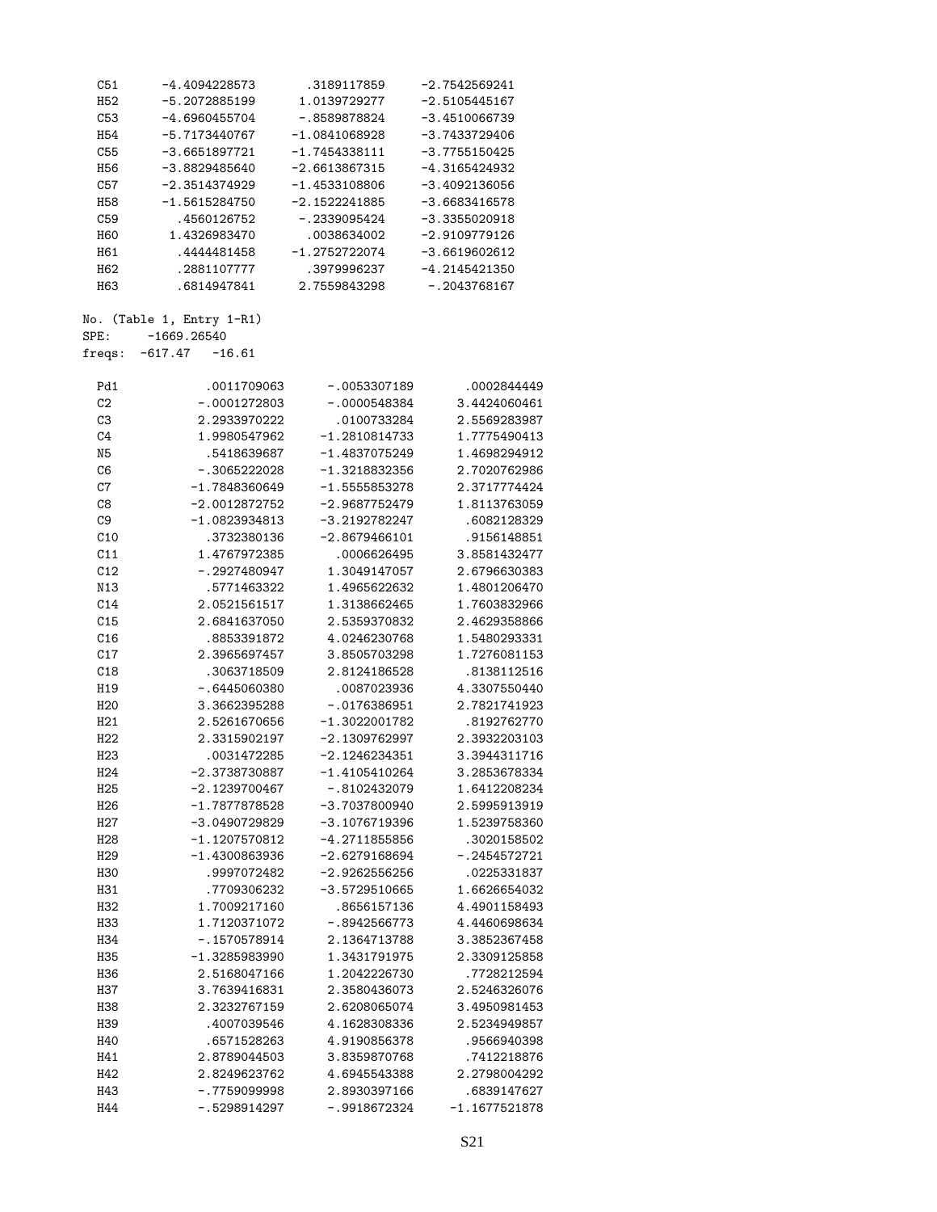| C51              | $-4.4094228573$           | .3189117859     | $-2.7542569241$ |
|------------------|---------------------------|-----------------|-----------------|
| H <sub>52</sub>  | $-5.2072885199$           | 1.0139729277    | $-2.5105445167$ |
| C53              | $-4.6960455704$           | $-.8589878824$  | $-3.4510066739$ |
| H <sub>54</sub>  | $-5.7173440767$           | $-1.0841068928$ | $-3.7433729406$ |
| C55              | $-3.6651897721$           | $-1.7454338111$ | $-3.7755150425$ |
| H <sub>56</sub>  | $-3.8829485640$           | $-2.6613867315$ | -4.3165424932   |
| C57              | $-2.3514374929$           | $-1.4533108806$ | $-3.4092136056$ |
| <b>H58</b>       | $-1.5615284750$           | $-2.1522241885$ | $-3.6683416578$ |
| C59              | .4560126752               | $-.2339095424$  | $-3.3355020918$ |
| H60              | 1.4326983470              | .0038634002     | $-2.9109779126$ |
| H61              | .4444481458               | $-1.2752722074$ | $-3.6619602612$ |
| H <sub>62</sub>  | .2881107777               | .3979996237     | $-4.2145421350$ |
| H63              | .6814947841               | 2.7559843298    | $-.2043768167$  |
|                  | No. (Table 1, Entry 1-R1) |                 |                 |
| SPE:             | $-1669.26540$             |                 |                 |
| freqs:           | $-617.47 -16.61$          |                 |                 |
| Pd1              | .0011709063               | $-.0053307189$  | .0002844449     |
| C <sub>2</sub>   | $-.0001272803$            | $-.0000548384$  | 3.4424060461    |
| C3               | 2.2933970222              | .0100733284     | 2.5569283987    |
| C <sub>4</sub>   | 1.9980547962              | $-1.2810814733$ | 1.7775490413    |
| N <sub>5</sub>   |                           |                 |                 |
|                  | .5418639687               | $-1.4837075249$ | 1.4698294912    |
| C6               | $-.3065222028$            | $-1.3218832356$ | 2.7020762986    |
| C7               | $-1.7848360649$           | $-1.5555853278$ | 2.3717774424    |
| C8               | $-2.0012872752$           | $-2.9687752479$ | 1.8113763059    |
| C <sub>9</sub>   | $-1.0823934813$           | $-3.2192782247$ | .6082128329     |
| C10              | .3732380136               | $-2.8679466101$ | .9156148851     |
| C11              | 1.4767972385              | .0006626495     | 3.8581432477    |
| C12              | $-.2927480947$            | 1.3049147057    | 2.6796630383    |
| N13              | .5771463322               | 1.4965622632    | 1.4801206470    |
| C14              | 2.0521561517              | 1.3138662465    | 1.7603832966    |
| C15              | 2.6841637050              | 2.5359370832    | 2.4629358866    |
| C16              | .8853391872               | 4.0246230768    | 1.5480293331    |
| C17              | 2.3965697457              | 3.8505703298    | 1.7276081153    |
| C18              | .3063718509               | 2.8124186528    | .8138112516     |
| H19              | $-.6445060380$            | .0087023936     | 4.3307550440    |
| H <sub>20</sub>  | 3.3662395288              | $-.0176386951$  | 2.7821741923    |
| H21              | 2.5261670656              | $-1.3022001782$ | .8192762770     |
| H22              | 2.3315902197              | $-2.1309762997$ | 2.3932203103    |
| H <sub>23</sub>  | .0031472285               | $-2.1246234351$ | 3.3944311716    |
| H <sub>24</sub>  | -2.3738730887             | $-1.4105410264$ | 3.2853678334    |
| H <sub>25</sub>  | $-2.1239700467$           | $-.8102432079$  | 1.6412208234    |
| H <sub>26</sub>  | $-1.7877878528$           | $-3.7037800940$ | 2.5995913919    |
| H <sub>2</sub> 7 | $-3.0490729829$           | $-3.1076719396$ | 1.5239758360    |
| H <sub>28</sub>  | $-1.1207570812$           | -4.2711855856   | .3020158502     |
| H <sub>29</sub>  | -1.4300863936             | $-2.6279168694$ | $-.2454572721$  |
|                  | .9997072482               |                 | .0225331837     |
| H30              |                           | $-2.9262556256$ |                 |
| H31              | .7709306232               | -3.5729510665   | 1.6626654032    |
| H32              | 1.7009217160              | .8656157136     | 4.4901158493    |
| H33              | 1.7120371072              | $-.8942566773$  | 4.4460698634    |
| H34              | $-.1570578914$            | 2.1364713788    | 3.3852367458    |
| H35              | $-1.3285983990$           | 1.3431791975    | 2.3309125858    |
| H36              | 2.5168047166              | 1.2042226730    | .7728212594     |
| H37              | 3.7639416831              | 2.3580436073    | 2.5246326076    |
| H38              | 2.3232767159              | 2.6208065074    | 3.4950981453    |
| H39              | .4007039546               | 4.1628308336    | 2.5234949857    |
| H40              | .6571528263               | 4.9190856378    | .9566940398     |
| H41              | 2.8789044503              | 3.8359870768    | .7412218876     |
| H42              | 2.8249623762              | 4.6945543388    | 2.2798004292    |
| H43              | $-.7759099998$            | 2.8930397166    | .6839147627     |

H44 -.5298914297 -.9918672324 -1.1677521878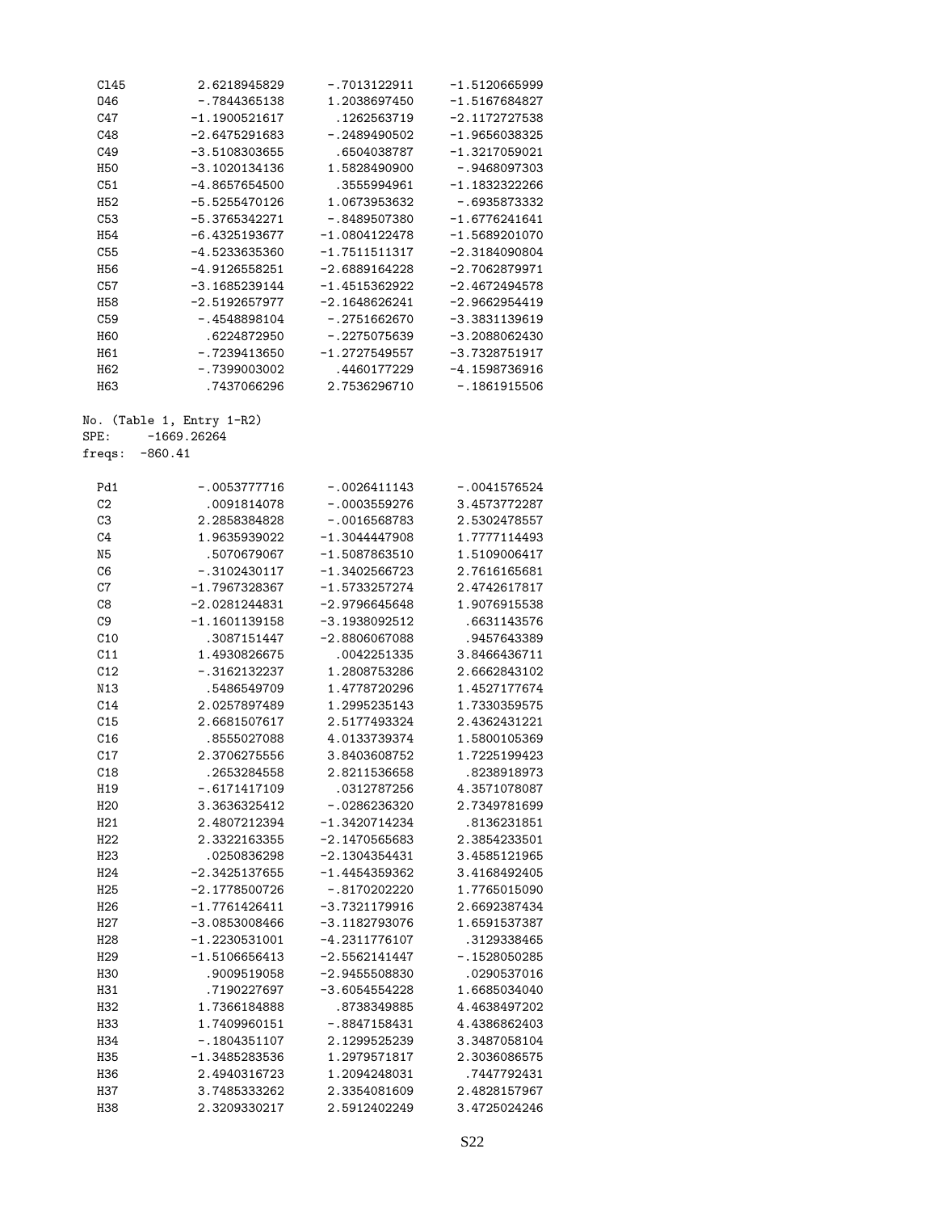| C145            | 2.6218945829          | $-.7013122911$  | $-1.5120665999$ |
|-----------------|-----------------------|-----------------|-----------------|
| 046             | $-.7844365138$        | 1.2038697450    | -1.5167684827   |
| C47             | $-1.1900521617$       | .1262563719     | $-2.1172727538$ |
| C48             | $-2.6475291683$       | $-.2489490502$  | $-1.9656038325$ |
| C49             | $-3.5108303655$       | .6504038787     | $-1.3217059021$ |
| <b>H50</b>      | $-3.1020134136$       | 1.5828490900    | -.9468097303    |
| C51             | -4.8657654500         | .3555994961     | $-1.1832322266$ |
| H <sub>52</sub> | -5.5255470126         | 1.0673953632    | -.6935873332    |
|                 |                       |                 |                 |
| C53             | $-5.3765342271$       | $-.8489507380$  | $-1.6776241641$ |
| H <sub>54</sub> | $-6.4325193677$       | $-1.0804122478$ | $-1.5689201070$ |
| C55             | -4.5233635360         | $-1.7511511317$ | $-2.3184090804$ |
| H <sub>56</sub> | $-4.9126558251$       | $-2.6889164228$ | $-2.7062879971$ |
| C57             | $-3.1685239144$       | $-1.4515362922$ | $-2.4672494578$ |
| <b>H58</b>      | $-2.5192657977$       | $-2.1648626241$ | -2.9662954419   |
| C59             | -.4548898104          | $-.2751662670$  | $-3.3831139619$ |
| H60             | .6224872950           | $-.2275075639$  | $-3.2088062430$ |
| H61             | -.7239413650          | $-1.2727549557$ | $-3.7328751917$ |
| H <sub>62</sub> | -.7399003002          | .4460177229     | $-4.1598736916$ |
| H63             | .7437066296           | 2.7536296710    | $-.1861915506$  |
| No.             | (Table 1, Entry 1-R2) |                 |                 |
| SPE:            | $-1669.26264$         |                 |                 |
|                 |                       |                 |                 |
| freqs:          | $-860.41$             |                 |                 |
| Pd1             | $-.0053777716$        | $-.0026411143$  | $-.0041576524$  |
| C2              | .0091814078           | $-.0003559276$  | 3.4573772287    |
| C3              | 2.2858384828          | $-.0016568783$  | 2.5302478557    |
| C <sub>4</sub>  | 1.9635939022          | $-1.3044447908$ | 1.7777114493    |
| N5              | .5070679067           | $-1.5087863510$ | 1.5109006417    |
| C6              | $-.3102430117$        | $-1.3402566723$ | 2.7616165681    |
| C7              | $-1.7967328367$       | $-1.5733257274$ | 2.4742617817    |
|                 |                       |                 |                 |
| C8              | $-2.0281244831$       | $-2.9796645648$ | 1.9076915538    |
| C <sub>9</sub>  | $-1.1601139158$       | -3.1938092512   | .6631143576     |
| C10             | .3087151447           | $-2.8806067088$ | .9457643389     |
| C11             | 1.4930826675          | .0042251335     | 3.8466436711    |
| C12             | $-.3162132237$        | 1.2808753286    | 2.6662843102    |
| N13             | .5486549709           | 1.4778720296    | 1.4527177674    |
| C14             | 2.0257897489          | 1.2995235143    | 1.7330359575    |
| C15             | 2.6681507617          | 2.5177493324    | 2.4362431221    |
| C16             | .8555027088           | 4.0133739374    | 1.5800105369    |
| C17             | 2.3706275556          | 3.8403608752    | 1.7225199423    |
| C18             | .2653284558           | 2.8211536658    | .8238918973     |
| H19             | $-.6171417109$        | .0312787256     | 4.3571078087    |
| H <sub>20</sub> | 3.3636325412          | $-.0286236320$  | 2.7349781699    |
| H21             | 2.4807212394          | -1.3420714234   | .8136231851     |
|                 |                       |                 | 2.3854233501    |
| H <sub>22</sub> | 2.3322163355          | $-2.1470565683$ |                 |
| H23             | .0250836298           | $-2.1304354431$ | 3.4585121965    |
| H <sub>24</sub> | $-2.3425137655$       | $-1.4454359362$ | 3.4168492405    |
| H <sub>25</sub> | $-2.1778500726$       | $-.8170202220$  | 1.7765015090    |
| H <sub>26</sub> | $-1.7761426411$       | $-3.7321179916$ | 2.6692387434    |
| H27             | $-3.0853008466$       | $-3.1182793076$ | 1.6591537387    |
| H <sub>28</sub> | $-1.2230531001$       | $-4.2311776107$ | .3129338465     |
| H <sub>29</sub> | $-1.5106656413$       | $-2.5562141447$ | $-.1528050285$  |
| <b>H30</b>      | .9009519058           | $-2.9455508830$ | .0290537016     |
| H31             | .7190227697           | $-3.6054554228$ | 1.6685034040    |
| H <sub>32</sub> | 1.7366184888          | .8738349885     | 4.4638497202    |
| H33             | 1.7409960151          | $-.8847158431$  | 4.4386862403    |
| H34             | $-.1804351107$        | 2.1299525239    | 3.3487058104    |
| H35             | $-1.3485283536$       | 1.2979571817    | 2.3036086575    |
| H36             | 2.4940316723          | 1.2094248031    | .7447792431     |
| H37             | 3.7485333262          | 2.3354081609    | 2.4828157967    |
|                 |                       |                 |                 |
| H38             | 2.3209330217          | 2.5912402249    | 3.4725024246    |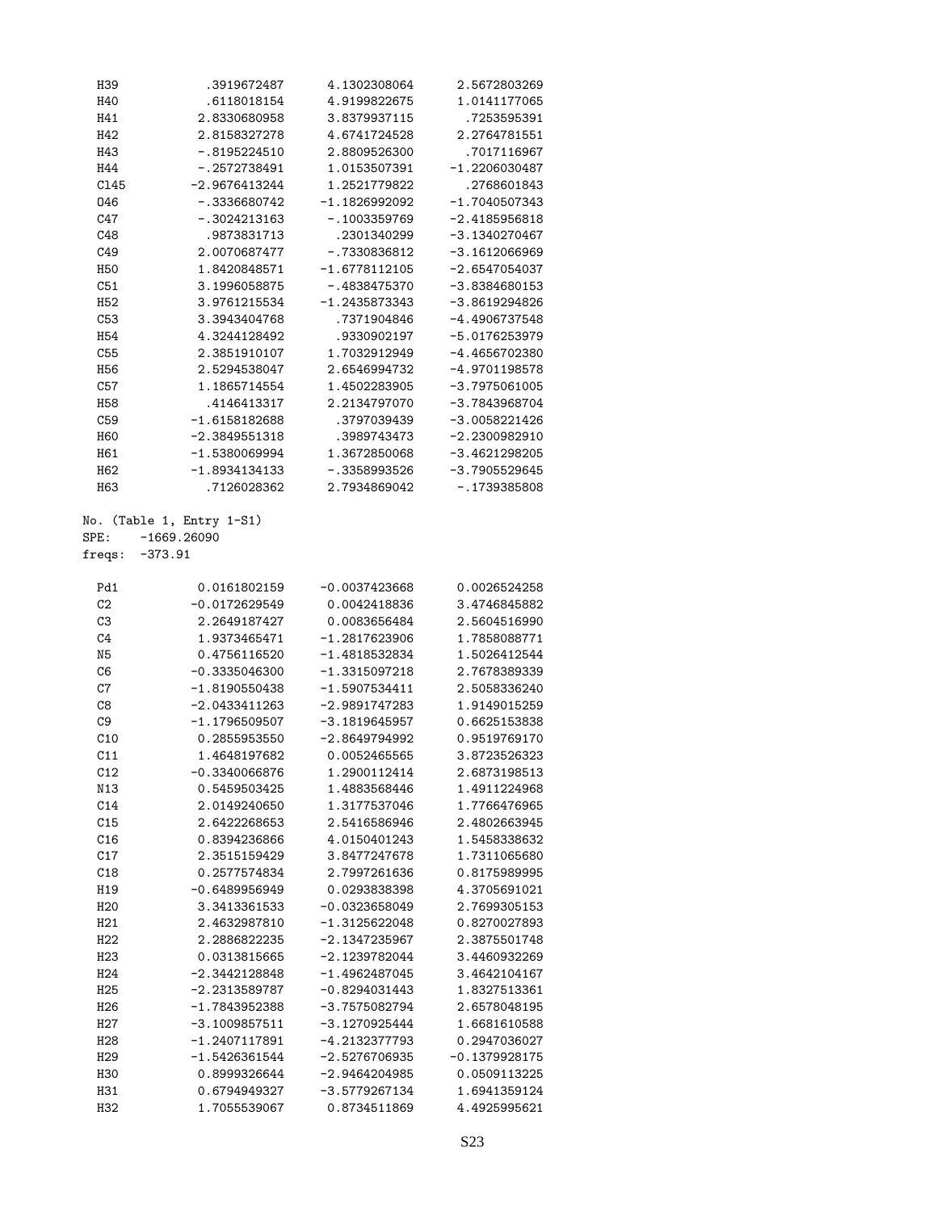| H39             | .3919672487                                             | 4.1302308064    | 2.5672803269    |
|-----------------|---------------------------------------------------------|-----------------|-----------------|
| H40             | .6118018154                                             | 4.9199822675    | 1.0141177065    |
| H41             | 2.8330680958                                            | 3.8379937115    | .7253595391     |
| H42             | 2.8158327278                                            | 4.6741724528    | 2.2764781551    |
| H43             | $-.8195224510$                                          | 2.8809526300    | .7017116967     |
| H44             | $-.2572738491$                                          | 1.0153507391    | $-1.2206030487$ |
| C145            | -2.9676413244                                           | 1.2521779822    | .2768601843     |
| 046             | -.3336680742                                            | $-1.1826992092$ | $-1.7040507343$ |
| C47             | $-.3024213163$                                          | $-.1003359769$  | $-2.4185956818$ |
| C48             | .9873831713                                             | .2301340299     | $-3.1340270467$ |
|                 |                                                         |                 |                 |
| C49             | 2.0070687477                                            | $-.7330836812$  | $-3.1612066969$ |
| <b>H50</b>      | 1.8420848571                                            | $-1.6778112105$ | $-2.6547054037$ |
| C51             | 3.1996058875                                            | $-.4838475370$  | $-3.8384680153$ |
| H <sub>52</sub> | 3.9761215534                                            | $-1.2435873343$ | $-3.8619294826$ |
| C53             | 3.3943404768                                            | .7371904846     | $-4.4906737548$ |
| H <sub>54</sub> | 4.3244128492                                            | .9330902197     | $-5.0176253979$ |
| C55             | 2.3851910107                                            | 1.7032912949    | $-4.4656702380$ |
| H <sub>56</sub> | 2.5294538047                                            | 2.6546994732    | $-4.9701198578$ |
| C57             | 1.1865714554                                            | 1.4502283905    | $-3.7975061005$ |
| H <sub>58</sub> | .4146413317                                             | 2.2134797070    | $-3.7843968704$ |
| C59             | $-1.6158182688$                                         | .3797039439     | $-3.0058221426$ |
| <b>H60</b>      | $-2.3849551318$                                         | .3989743473     | $-2.2300982910$ |
| H61             | $-1.5380069994$                                         | 1.3672850068    | $-3.4621298205$ |
| H <sub>62</sub> | $-1.8934134133$                                         | $-.3358993526$  | $-3.7905529645$ |
| H <sub>63</sub> | .7126028362                                             | 2.7934869042    | $-.1739385808$  |
|                 |                                                         |                 |                 |
| SPE:<br>freqs:  | No. (Table 1, Entry 1-S1)<br>$-1669.26090$<br>$-373.91$ |                 |                 |
|                 |                                                         |                 |                 |
| Pd1             | 0.0161802159                                            | $-0.0037423668$ | 0.0026524258    |
| C2              | $-0.0172629549$                                         | 0.0042418836    | 3.4746845882    |
| C3              | 2.2649187427                                            | 0.0083656484    | 2.5604516990    |
| C <sub>4</sub>  | 1.9373465471                                            | $-1.2817623906$ | 1.7858088771    |
| N5              | 0.4756116520                                            | $-1.4818532834$ | 1.5026412544    |
| C6              | $-0.3335046300$                                         | $-1.3315097218$ | 2.7678389339    |
| $\mbox{C}7$     | $-1.8190550438$                                         | $-1.5907534411$ | 2.5058336240    |
| C8              | $-2.0433411263$                                         | $-2.9891747283$ | 1.9149015259    |
| C <sub>9</sub>  | $-1.1796509507$                                         | $-3.1819645957$ | 0.6625153838    |
| C10             |                                                         |                 |                 |
|                 | 0.2855953550                                            | $-2.8649794992$ | 0.9519769170    |
| C11             | 1.4648197682                                            | 0.0052465565    | 3.8723526323    |
| C12             | $-0.3340066876$                                         | 1.2900112414    | 2.6873198513    |
| N13             | 0.5459503425                                            | 1.4883568446    | 1.4911224968    |
| C14             | 2.0149240650                                            | 1.3177537046    | 1.7766476965    |
| C15             | 2.6422268653                                            | 2.5416586946    | 2.4802663945    |
| C16             | 0.8394236866                                            | 4.0150401243    | 1.5458338632    |
| C17             | 2.3515159429                                            | 3.8477247678    | 1.7311065680    |
| C18             | 0.2577574834                                            | 2.7997261636    | 0.8175989995    |
| H19             | $-0.6489956949$                                         | 0.0293838398    | 4.3705691021    |
| H <sub>20</sub> | 3.3413361533                                            | $-0.0323658049$ | 2.7699305153    |
| H21             | 2.4632987810                                            | $-1.3125622048$ | 0.8270027893    |
| H22             | 2.2886822235                                            | $-2.1347235967$ | 2.3875501748    |
| H <sub>23</sub> | 0.0313815665                                            | $-2.1239782044$ | 3.4460932269    |
| H <sub>24</sub> | $-2.3442128848$                                         | $-1.4962487045$ | 3.4642104167    |
| H25             | $-2.2313589787$                                         | $-0.8294031443$ | 1.8327513361    |
| H <sub>26</sub> | $-1.7843952388$                                         | $-3.7575082794$ | 2.6578048195    |
| H27             | $-3.1009857511$                                         | $-3.1270925444$ | 1.6681610588    |
|                 |                                                         |                 |                 |
| H <sub>28</sub> | $-1.2407117891$                                         | -4.2132377793   | 0.2947036027    |
| H <sub>29</sub> | $-1.5426361544$                                         | $-2.5276706935$ | $-0.1379928175$ |
| <b>H30</b>      | 0.8999326644                                            | $-2.9464204985$ | 0.0509113225    |
| H31             | 0.6794949327                                            | $-3.5779267134$ | 1.6941359124    |
| H32             | 1.7055539067                                            | 0.8734511869    | 4.4925995621    |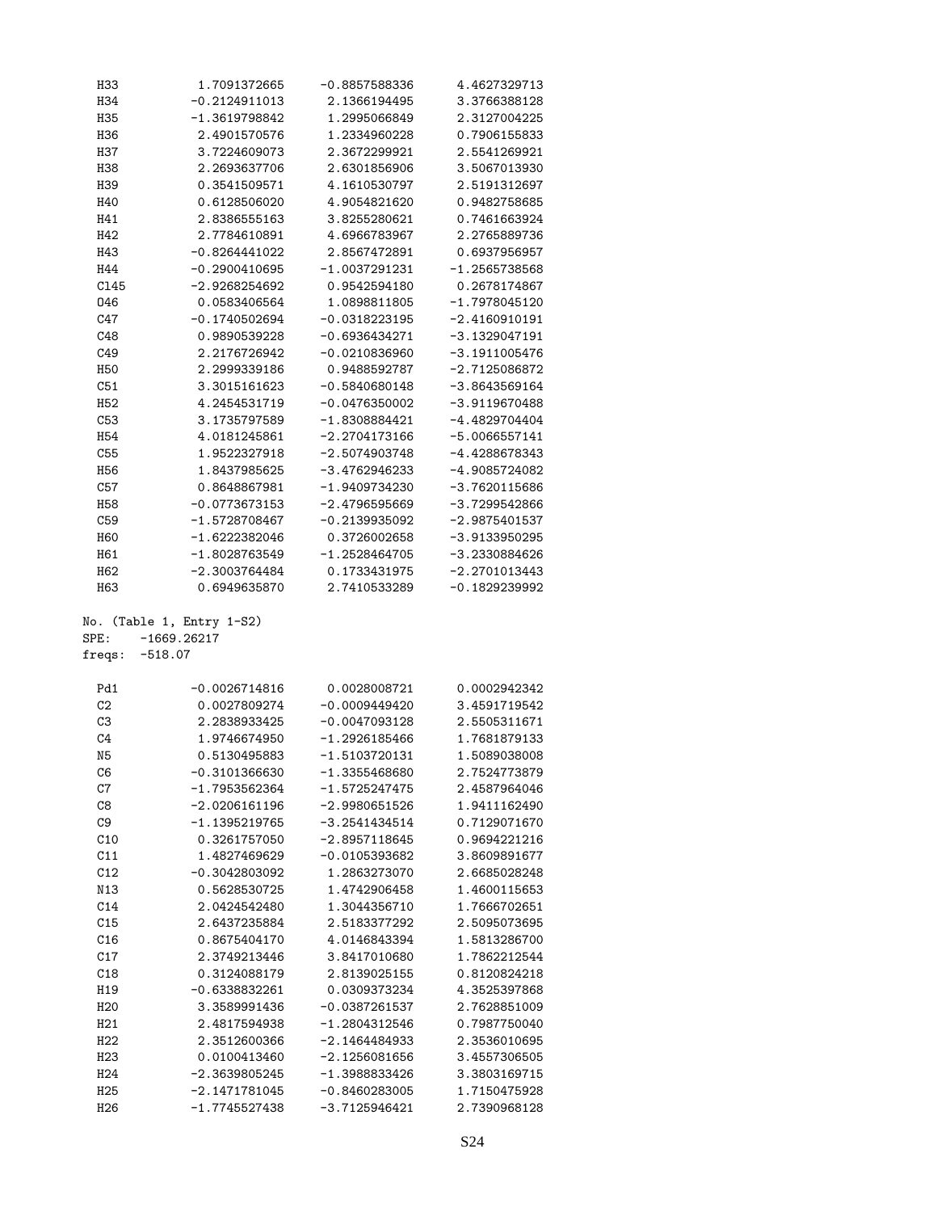| H33                                | 1.7091372665                       | $-0.8857588336$                    | 4.4627329713                 |
|------------------------------------|------------------------------------|------------------------------------|------------------------------|
| H34                                | $-0.2124911013$                    | 2.1366194495                       | 3.3766388128                 |
| <b>H35</b>                         | $-1.3619798842$                    | 1.2995066849                       | 2.3127004225                 |
| H36                                | 2.4901570576                       | 1.2334960228                       | 0.7906155833                 |
| <b>H37</b>                         | 3.7224609073                       | 2.3672299921                       | 2.5541269921                 |
| H38                                | 2.2693637706                       | 2.6301856906                       | 3.5067013930                 |
| H39                                | 0.3541509571                       | 4.1610530797                       | 2.5191312697                 |
|                                    |                                    |                                    |                              |
| H40                                | 0.6128506020                       | 4.9054821620                       | 0.9482758685                 |
| H41                                | 2.8386555163                       | 3.8255280621                       | 0.7461663924                 |
| H42                                | 2.7784610891                       | 4.6966783967                       | 2.2765889736                 |
| H43                                | $-0.8264441022$                    | 2.8567472891                       | 0.6937956957                 |
| H44                                | $-0.2900410695$                    | $-1.0037291231$                    | $-1.2565738568$              |
| C145                               | $-2.9268254692$                    | 0.9542594180                       | 0.2678174867                 |
| 046                                | 0.0583406564                       | 1.0898811805                       | -1.7978045120                |
| C47                                | $-0.1740502694$                    | $-0.0318223195$                    | $-2.4160910191$              |
| C48                                | 0.9890539228                       | $-0.6936434271$                    | -3.1329047191                |
| C49                                | 2.2176726942                       | $-0.0210836960$                    | $-3.1911005476$              |
|                                    |                                    |                                    |                              |
| <b>H50</b>                         | 2.2999339186                       | 0.9488592787                       | $-2.7125086872$              |
| C51                                | 3.3015161623                       | $-0.5840680148$                    | -3.8643569164                |
| H <sub>52</sub>                    | 4.2454531719                       | $-0.0476350002$                    | $-3.9119670488$              |
| C53                                | 3.1735797589                       | $-1.8308884421$                    | $-4.4829704404$              |
| H <sub>54</sub>                    | 4.0181245861                       | -2.2704173166                      | $-5.0066557141$              |
| C55                                | 1.9522327918                       | $-2.5074903748$                    | -4.4288678343                |
| H <sub>56</sub>                    | 1.8437985625                       | -3.4762946233                      | -4.9085724082                |
| C57                                | 0.8648867981                       | -1.9409734230                      | -3.7620115686                |
| <b>H58</b>                         | $-0.0773673153$                    | $-2.4796595669$                    | $-3.7299542866$              |
| C59                                | $-1.5728708467$                    | $-0.2139935092$                    | $-2.9875401537$              |
| H60                                | $-1.6222382046$                    | 0.3726002658                       | $-3.9133950295$              |
| H61                                |                                    |                                    |                              |
|                                    | $-1.8028763549$                    | $-1.2528464705$                    | -3.2330884626                |
| H62                                | $-2.3003764484$<br>0.6949635870    | 0.1733431975<br>2.7410533289       | $-2.2701013443$              |
|                                    |                                    |                                    |                              |
| H63                                |                                    |                                    | -0.1829239992                |
| No.                                |                                    |                                    |                              |
|                                    | (Table 1, Entry 1-S2)              |                                    |                              |
|                                    | $-1669.26217$                      |                                    |                              |
|                                    | $-518.07$                          |                                    |                              |
|                                    | $-0.0026714816$                    |                                    |                              |
| Pd1                                |                                    | 0.0028008721                       | 0.0002942342                 |
| C2                                 | 0.0027809274                       | $-0.0009449420$                    | 3.4591719542                 |
| C3                                 | 2.2838933425                       | $-0.0047093128$                    | 2.5505311671                 |
| C <sub>4</sub>                     | 1.9746674950                       | $-1.2926185466$                    | 1.7681879133                 |
| N <sub>5</sub>                     | 0.5130495883                       | $-1.5103720131$                    | 1.5089038008                 |
| C6                                 | $-0.3101366630$                    | $-1.3355468680$                    | 2.7524773879                 |
| C7                                 | $-1.7953562364$                    | -1.5725247475                      | 2.4587964046                 |
| C8                                 | $-2.0206161196$                    | $-2.9980651526$                    | 1.9411162490                 |
| C <sub>9</sub>                     | $-1.1395219765$                    | $-3.2541434514$                    | 0.7129071670                 |
| C10                                | 0.3261757050                       | $-2.8957118645$                    | 0.9694221216                 |
| SPE:<br>freqs:<br>C11              | 1.4827469629                       | $-0.0105393682$                    | 3.8609891677                 |
| C12                                | $-0.3042803092$                    | 1.2863273070                       | 2.6685028248                 |
| N13                                | 0.5628530725                       | 1.4742906458                       | 1.4600115653                 |
|                                    | 2.0424542480                       | 1.3044356710                       | 1.7666702651                 |
| C14                                | 2.6437235884                       | 2.5183377292                       | 2.5095073695                 |
| C15                                |                                    |                                    |                              |
| C16                                | 0.8675404170                       | 4.0146843394                       | 1.5813286700                 |
| C17                                | 2.3749213446                       | 3.8417010680                       | 1.7862212544                 |
| C18                                | 0.3124088179                       | 2.8139025155                       | 0.8120824218                 |
| H19                                | $-0.6338832261$                    | 0.0309373234                       | 4.3525397868                 |
| H <sub>20</sub>                    | 3.3589991436                       | $-0.0387261537$                    | 2.7628851009                 |
| H <sub>21</sub>                    | 2.4817594938                       | $-1.2804312546$                    | 0.7987750040                 |
| H22                                | 2.3512600366                       | $-2.1464484933$                    | 2.3536010695                 |
| H23                                | 0.0100413460                       | $-2.1256081656$                    | 3.4557306505                 |
| H24                                | $-2.3639805245$                    | $-1.3988833426$                    | 3.3803169715                 |
| H <sub>25</sub><br>H <sub>26</sub> | $-2.1471781045$<br>$-1.7745527438$ | $-0.8460283005$<br>$-3.7125946421$ | 1.7150475928<br>2.7390968128 |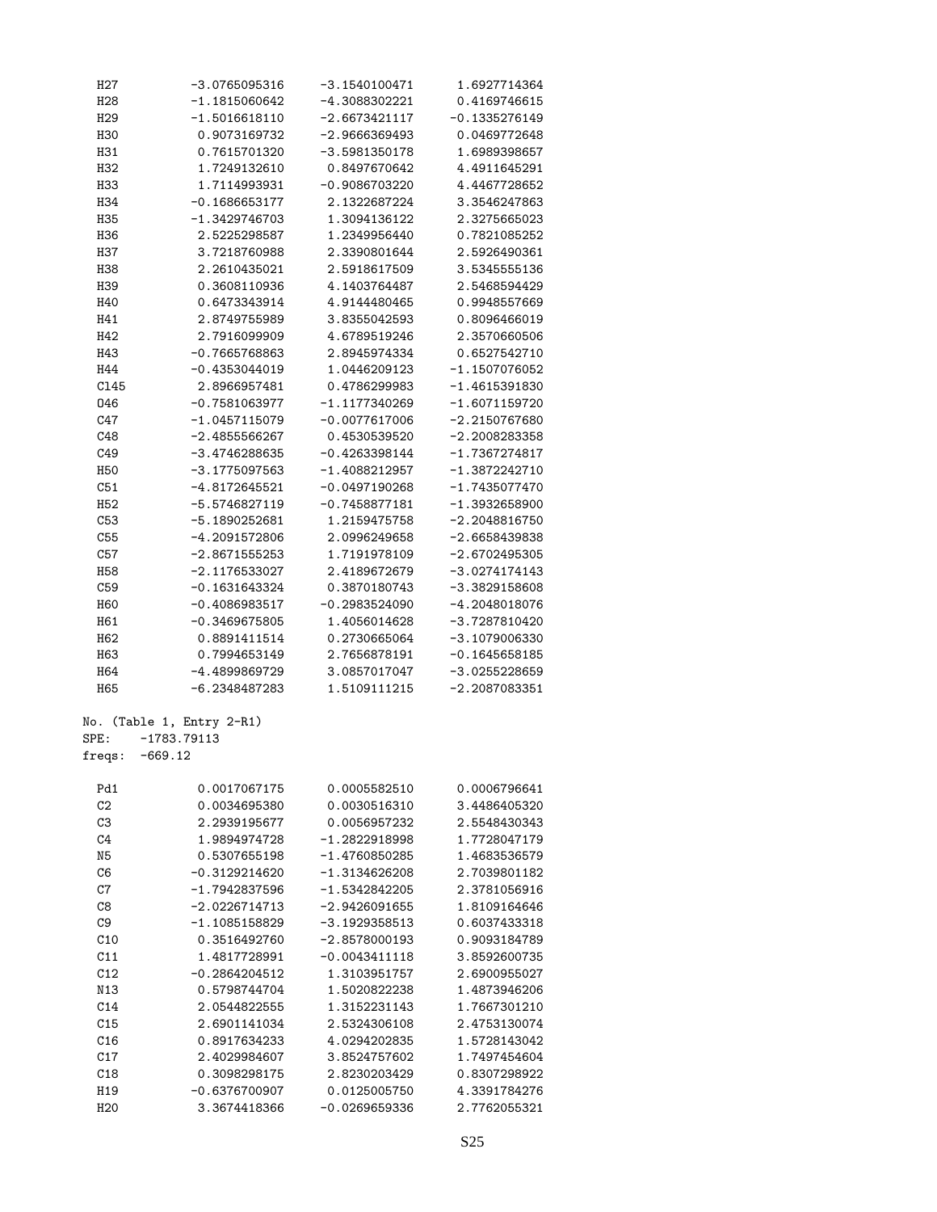| H <sub>2</sub> 7 | $-3.0765095316$           | $-3.1540100471$ | 1.6927714364                 |
|------------------|---------------------------|-----------------|------------------------------|
| H <sub>28</sub>  | $-1.1815060642$           | $-4.3088302221$ | 0.4169746615                 |
| H <sub>29</sub>  | $-1.5016618110$           | $-2.6673421117$ | $-0.1335276149$              |
| H30              | 0.9073169732              | $-2.9666369493$ | 0.0469772648                 |
| H31              | 0.7615701320              | $-3.5981350178$ | 1.6989398657                 |
| H32              | 1.7249132610              | 0.8497670642    | 4.4911645291                 |
| H33              | 1.7114993931              | $-0.9086703220$ | 4.4467728652                 |
| H34              | $-0.1686653177$           | 2.1322687224    | 3.3546247863                 |
| H35              | $-1.3429746703$           | 1.3094136122    | 2.3275665023                 |
| H36              | 2.5225298587              | 1.2349956440    | 0.7821085252                 |
| H37              | 3.7218760988              | 2.3390801644    | 2.5926490361                 |
| H38              | 2.2610435021              | 2.5918617509    | 3.5345555136                 |
| H39              | 0.3608110936              | 4.1403764487    | 2.5468594429                 |
| H40              | 0.6473343914              | 4.9144480465    | 0.9948557669                 |
| H41              | 2.8749755989              | 3.8355042593    | 0.8096466019                 |
| H42              | 2.7916099909              | 4.6789519246    | 2.3570660506                 |
| H43              | $-0.7665768863$           | 2.8945974334    | 0.6527542710                 |
| H44              | $-0.4353044019$           | 1.0446209123    | $-1.1507076052$              |
| C145             | 2.8966957481              | 0.4786299983    | $-1.4615391830$              |
| 046              | $-0.7581063977$           | $-1.1177340269$ | $-1.6071159720$              |
| C47              | $-1.0457115079$           | $-0.0077617006$ | $-2.2150767680$              |
| C48              | $-2.4855566267$           | 0.4530539520    | $-2.2008283358$              |
|                  |                           |                 | $-1.7367274817$              |
| C49              | $-3.4746288635$           | $-0.4263398144$ |                              |
| <b>H50</b>       | -3.1775097563             | $-1.4088212957$ | $-1.3872242710$              |
| C51              | $-4.8172645521$           | $-0.0497190268$ | $-1.7435077470$              |
| H <sub>52</sub>  | $-5.5746827119$           | $-0.7458877181$ | $-1.3932658900$              |
| C53              | -5.1890252681             | 1.2159475758    | $-2.2048816750$              |
| C55              | $-4.2091572806$           | 2.0996249658    | $-2.6658439838$              |
| C57              | $-2.8671555253$           | 1.7191978109    | $-2.6702495305$              |
| H58              | $-2.1176533027$           | 2.4189672679    | $-3.0274174143$              |
| C59              | $-0.1631643324$           | 0.3870180743    | $-3.3829158608$              |
| <b>H60</b>       | $-0.4086983517$           | $-0.2983524090$ | -4.2048018076                |
| H61              | $-0.3469675805$           | 1.4056014628    | $-3.7287810420$              |
| H62              | 0.8891411514              | 0.2730665064    | $-3.1079006330$              |
| H63              | 0.7994653149              | 2.7656878191    | $-0.1645658185$              |
| H64              | -4.4899869729             | 3.0857017047    | $-3.0255228659$              |
| H65              | $-6.2348487283$           | 1.5109111215    | $-2.2087083351$              |
|                  | No. (Table 1, Entry 2-R1) |                 |                              |
| SPE:             | $-1783.79113$             |                 |                              |
| freqs:           | $-669.12$                 |                 |                              |
| Pd1              | 0.0017067175              | 0.0005582510    | 0.0006796641                 |
| C <sub>2</sub>   | 0.0034695380              | 0.0030516310    | 3.4486405320                 |
| C3               | 2.2939195677              | 0.0056957232    | 2.5548430343                 |
| C4               | 1.9894974728              | $-1.2822918998$ | 1.7728047179                 |
| N <sub>5</sub>   | 0.5307655198              | $-1.4760850285$ | 1.4683536579                 |
|                  | $-0.3129214620$           | $-1.3134626208$ | 2.7039801182                 |
| C6<br>C7         | $-1.7942837596$           |                 |                              |
|                  |                           | $-1.5342842205$ | 2.3781056916<br>1.8109164646 |
| C8               | $-2.0226714713$           | $-2.9426091655$ |                              |
| C <sub>9</sub>   | $-1.1085158829$           | $-3.1929358513$ | 0.6037433318                 |
| C10              | 0.3516492760              | $-2.8578000193$ | 0.9093184789                 |
| C11              | 1.4817728991              | $-0.0043411118$ | 3.8592600735                 |
| C12              | $-0.2864204512$           | 1.3103951757    | 2.6900955027                 |
| N13              | 0.5798744704              | 1.5020822238    | 1.4873946206                 |
| C14              | 2.0544822555              | 1.3152231143    | 1.7667301210                 |
| C15              | 2.6901141034              | 2.5324306108    | 2.4753130074                 |
| C16              | 0.8917634233              | 4.0294202835    | 1.5728143042                 |
| C17              | 2.4029984607              | 3.8524757602    | 1.7497454604                 |
| C18              | 0.3098298175              | 2.8230203429    | 0.8307298922                 |
| H19              | $-0.6376700907$           | 0.0125005750    | 4.3391784276                 |
| H <sub>20</sub>  | 3.3674418366              | $-0.0269659336$ | 2.7762055321                 |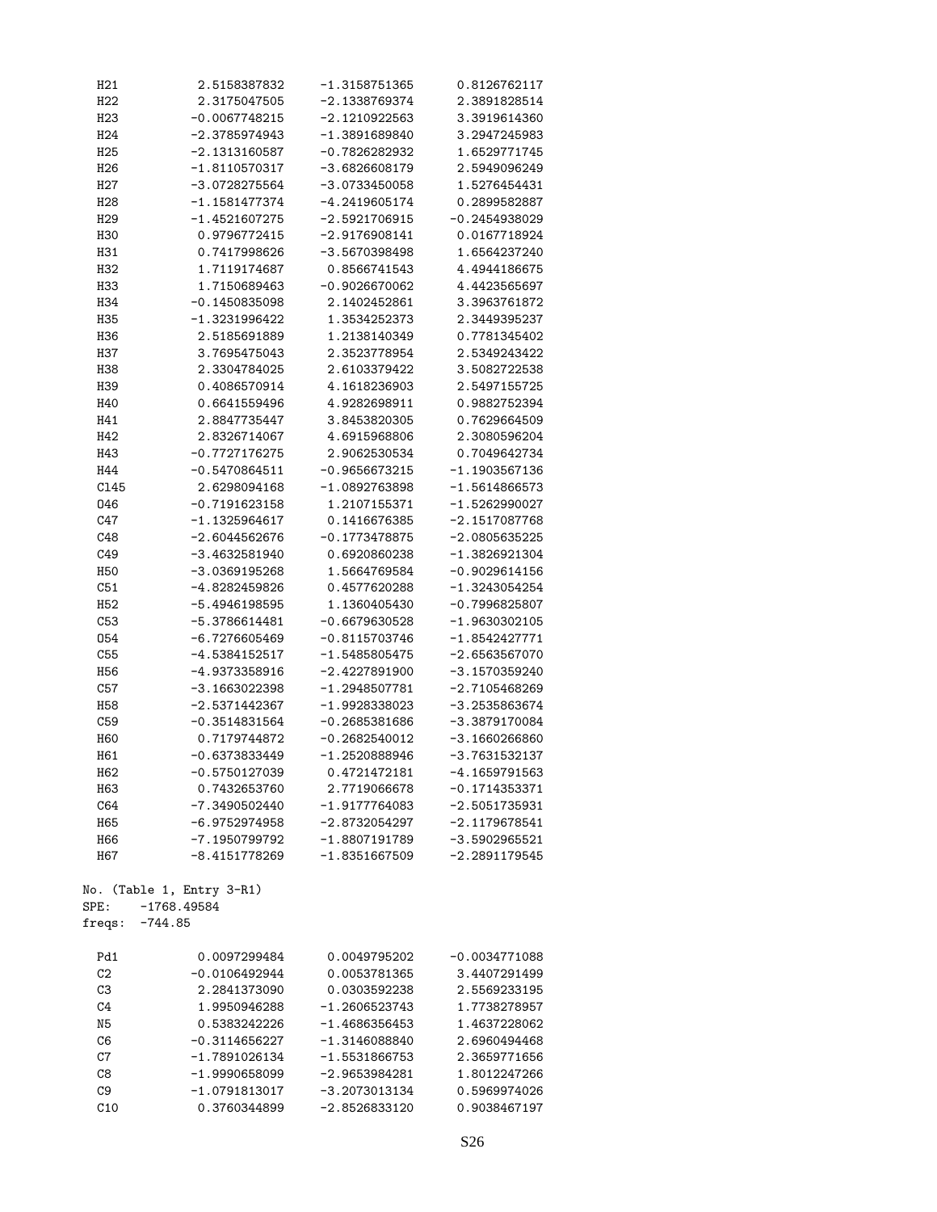| H21             | 2.5158387832              | -1.3158751365   | 0.8126762117    |
|-----------------|---------------------------|-----------------|-----------------|
| H22             | 2.3175047505              | $-2.1338769374$ | 2.3891828514    |
| H23             | $-0.0067748215$           | $-2.1210922563$ | 3.3919614360    |
| H24             | $-2.3785974943$           | $-1.3891689840$ | 3.2947245983    |
| H25             | $-2.1313160587$           | $-0.7826282932$ | 1.6529771745    |
| H <sub>26</sub> | $-1.8110570317$           | $-3.6826608179$ | 2.5949096249    |
| H27             | $-3.0728275564$           | $-3.0733450058$ | 1.5276454431    |
| H28             | $-1.1581477374$           | $-4.2419605174$ | 0.2899582887    |
|                 |                           |                 |                 |
| H <sub>29</sub> | $-1.4521607275$           | $-2.5921706915$ | $-0.2454938029$ |
| H30             | 0.9796772415              | $-2.9176908141$ | 0.0167718924    |
| H31             | 0.7417998626              | $-3.5670398498$ | 1.6564237240    |
| H32             | 1.7119174687              | 0.8566741543    | 4.4944186675    |
| H33             | 1.7150689463              | $-0.9026670062$ | 4.4423565697    |
| H34             | $-0.1450835098$           | 2.1402452861    | 3.3963761872    |
| H35             | $-1.3231996422$           | 1.3534252373    | 2.3449395237    |
| H36             | 2.5185691889              | 1.2138140349    | 0.7781345402    |
| H37             | 3.7695475043              | 2.3523778954    | 2.5349243422    |
| H38             | 2.3304784025              | 2.6103379422    | 3.5082722538    |
| H39             | 0.4086570914              | 4.1618236903    | 2.5497155725    |
| H40             | 0.6641559496              | 4.9282698911    | 0.9882752394    |
| H41             | 2.8847735447              | 3.8453820305    | 0.7629664509    |
|                 |                           | 4.6915968806    |                 |
| H42             | 2.8326714067              |                 | 2.3080596204    |
| H43             | $-0.7727176275$           | 2.9062530534    | 0.7049642734    |
| H44             | $-0.5470864511$           | $-0.9656673215$ | $-1.1903567136$ |
| C145            | 2.6298094168              | $-1.0892763898$ | $-1.5614866573$ |
| 046             | $-0.7191623158$           | 1.2107155371    | $-1.5262990027$ |
| C47             | $-1.1325964617$           | 0.1416676385    | $-2.1517087768$ |
| C48             | $-2.6044562676$           | $-0.1773478875$ | $-2.0805635225$ |
| C49             | $-3.4632581940$           | 0.6920860238    | $-1.3826921304$ |
| <b>H50</b>      | $-3.0369195268$           | 1.5664769584    | $-0.9029614156$ |
| C51             | $-4.8282459826$           | 0.4577620288    | $-1.3243054254$ |
| H <sub>52</sub> | $-5.4946198595$           | 1.1360405430    | $-0.7996825807$ |
| C53             | $-5.3786614481$           | $-0.6679630528$ | $-1.9630302105$ |
| 054             | $-6.7276605469$           | $-0.8115703746$ | $-1.8542427771$ |
| C55             | $-4.5384152517$           | $-1.5485805475$ | $-2.6563567070$ |
| H <sub>56</sub> | $-4.9373358916$           | $-2.4227891900$ | $-3.1570359240$ |
| C57             | $-3.1663022398$           | $-1.2948507781$ | $-2.7105468269$ |
|                 |                           |                 |                 |
| H <sub>58</sub> | $-2.5371442367$           | $-1.9928338023$ | $-3.2535863674$ |
| C59             | $-0.3514831564$           | $-0.2685381686$ | $-3.3879170084$ |
| <b>H60</b>      | 0.7179744872              | $-0.2682540012$ | $-3.1660266860$ |
| H61             | $-0.6373833449$           | $-1.2520888946$ | $-3.7631532137$ |
| H62             | $-0.5750127039$           | 0.4721472181    | $-4.1659791563$ |
| H63             | 0.7432653760              | 2.7719066678    | $-0.1714353371$ |
| C64             | $-7.3490502440$           | $-1.9177764083$ | $-2.5051735931$ |
| H65             | $-6.9752974958$           | $-2.8732054297$ | $-2.1179678541$ |
| H66             | $-7.1950799792$           | $-1.8807191789$ | $-3.5902965521$ |
| H67             | $-8.4151778269$           | $-1.8351667509$ | $-2.2891179545$ |
|                 | No. (Table 1, Entry 3-R1) |                 |                 |
| SPE:            | $-1768.49584$             |                 |                 |
| freqs:          | $-744.85$                 |                 |                 |
| Pd1             | 0.0097299484              | 0.0049795202    | $-0.0034771088$ |
| C <sub>2</sub>  | $-0.0106492944$           | 0.0053781365    | 3.4407291499    |
| C3              | 2.2841373090              | 0.0303592238    | 2.5569233195    |
| C <sub>4</sub>  | 1.9950946288              | $-1.2606523743$ | 1.7738278957    |
| N <sub>5</sub>  | 0.5383242226              | $-1.4686356453$ | 1.4637228062    |
| C6              | $-0.3114656227$           | $-1.3146088840$ | 2.6960494468    |
| $\mbox{C}7$     | $-1.7891026134$           | $-1.5531866753$ | 2.3659771656    |
|                 |                           |                 |                 |
| C8              | $-1.9990658099$           | $-2.9653984281$ | 1.8012247266    |
| C9              | $-1.0791813017$           | $-3.2073013134$ | 0.5969974026    |
| C10             | 0.3760344899              | $-2.8526833120$ | 0.9038467197    |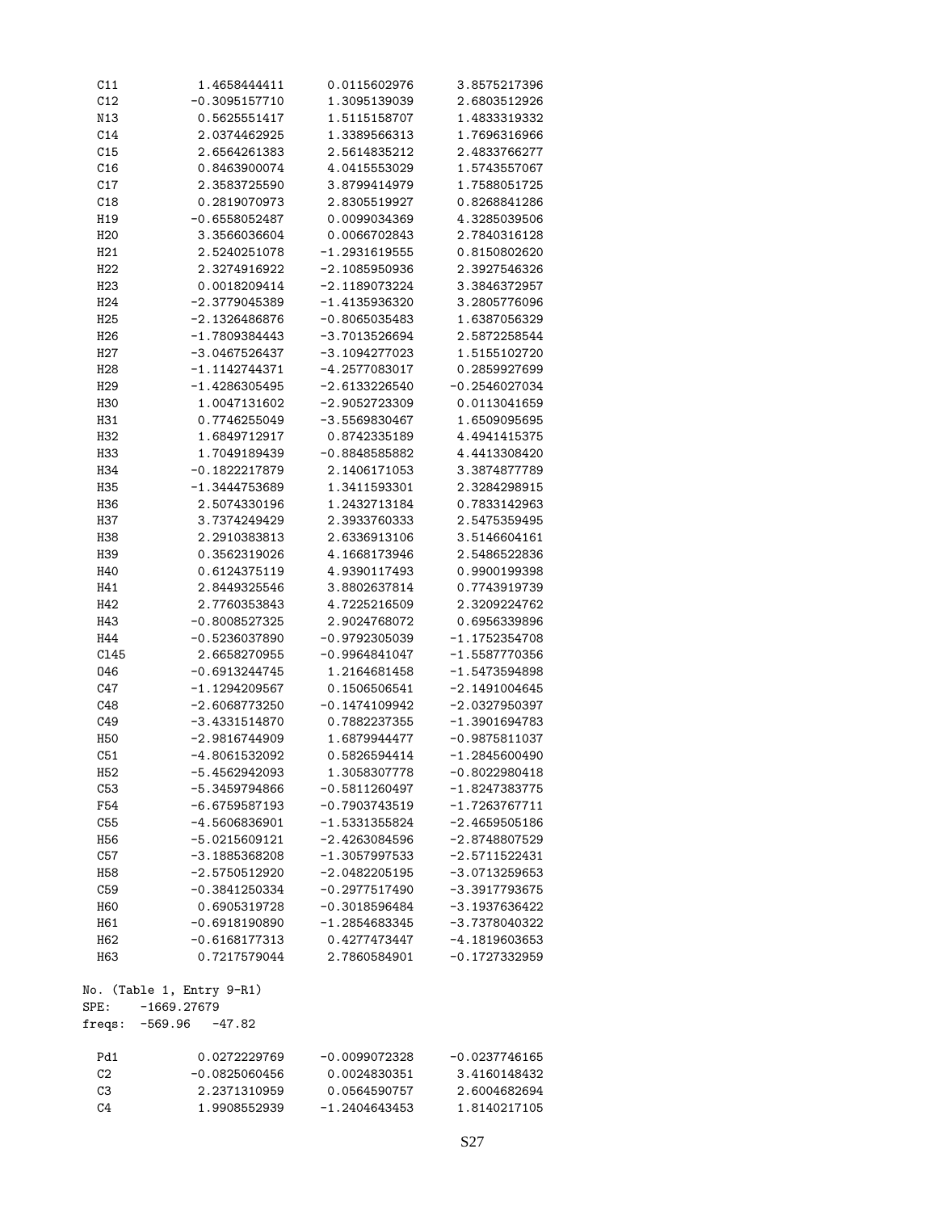| C11              | 1.4658444411              | 0.0115602976    | 3.8575217396    |
|------------------|---------------------------|-----------------|-----------------|
| C12              | $-0.3095157710$           | 1.3095139039    | 2.6803512926    |
| N13              | 0.5625551417              | 1.5115158707    | 1.4833319332    |
| C14              | 2.0374462925              | 1.3389566313    | 1.7696316966    |
| C15              | 2.6564261383              | 2.5614835212    | 2.4833766277    |
| C16              | 0.8463900074              | 4.0415553029    | 1.5743557067    |
| C17              | 2.3583725590              | 3.8799414979    | 1.7588051725    |
| C18              | 0.2819070973              | 2.8305519927    | 0.8268841286    |
| H19              | $-0.6558052487$           | 0.0099034369    | 4.3285039506    |
| H <sub>20</sub>  | 3.3566036604              | 0.0066702843    | 2.7840316128    |
|                  |                           |                 |                 |
| H <sub>21</sub>  | 2.5240251078              | $-1.2931619555$ | 0.8150802620    |
| H22              | 2.3274916922              | $-2.1085950936$ | 2.3927546326    |
| H <sub>23</sub>  | 0.0018209414              | $-2.1189073224$ | 3.3846372957    |
| H <sub>24</sub>  | $-2.3779045389$           | $-1.4135936320$ | 3.2805776096    |
| H <sub>25</sub>  | $-2.1326486876$           | $-0.8065035483$ | 1.6387056329    |
| H <sub>26</sub>  | $-1.7809384443$           | $-3.7013526694$ | 2.5872258544    |
| H <sub>2</sub> 7 | $-3.0467526437$           | $-3.1094277023$ | 1.5155102720    |
| H <sub>28</sub>  | $-1.1142744371$           | $-4.2577083017$ | 0.2859927699    |
| H <sub>29</sub>  | $-1.4286305495$           | $-2.6133226540$ | $-0.2546027034$ |
| H30              | 1.0047131602              | $-2.9052723309$ | 0.0113041659    |
| H31              | 0.7746255049              | $-3.5569830467$ | 1.6509095695    |
| H32              | 1.6849712917              | 0.8742335189    | 4.4941415375    |
| H33              | 1.7049189439              | $-0.8848585882$ | 4.4413308420    |
|                  |                           | 2.1406171053    |                 |
| H34              | $-0.1822217879$           |                 | 3.3874877789    |
| H35              | $-1.3444753689$           | 1.3411593301    | 2.3284298915    |
| H36              | 2.5074330196              | 1.2432713184    | 0.7833142963    |
| H37              | 3.7374249429              | 2.3933760333    | 2.5475359495    |
| H38              | 2.2910383813              | 2.6336913106    | 3.5146604161    |
| H39              | 0.3562319026              | 4.1668173946    | 2.5486522836    |
| H40              | 0.6124375119              | 4.9390117493    | 0.9900199398    |
| H41              | 2.8449325546              | 3.8802637814    | 0.7743919739    |
| H42              | 2.7760353843              | 4.7225216509    | 2.3209224762    |
| H43              | $-0.8008527325$           | 2.9024768072    | 0.6956339896    |
| H44              | $-0.5236037890$           | $-0.9792305039$ | $-1.1752354708$ |
| C145             | 2.6658270955              | $-0.9964841047$ | $-1.5587770356$ |
| 046              | $-0.6913244745$           | 1.2164681458    | $-1.5473594898$ |
| C47              | $-1.1294209567$           | 0.1506506541    | $-2.1491004645$ |
| C48              | $-2.6068773250$           | $-0.1474109942$ | $-2.0327950397$ |
| C49              | $-3.4331514870$           | 0.7882237355    | $-1.3901694783$ |
|                  |                           |                 |                 |
| H50              | $-2.9816744909$           | 1.6879944477    | $-0.9875811037$ |
| C51              | -4.8061532092             | 0.5826594414    | $-1.2845600490$ |
| H <sub>52</sub>  | $-5.4562942093$           | 1.3058307778    | $-0.8022980418$ |
| C53              | -5.3459794866             | $-0.5811260497$ | $-1.8247383775$ |
| F54              | $-6.6759587193$           | $-0.7903743519$ | $-1.7263767711$ |
| C55              | $-4.5606836901$           | $-1.5331355824$ | $-2.4659505186$ |
| H56              | $-5.0215609121$           | $-2.4263084596$ | $-2.8748807529$ |
| C57              | $-3.1885368208$           | $-1.3057997533$ | $-2.5711522431$ |
| H <sub>58</sub>  | $-2.5750512920$           | $-2.0482205195$ | $-3.0713259653$ |
| C59              | $-0.3841250334$           | $-0.2977517490$ | $-3.3917793675$ |
| <b>H60</b>       | 0.6905319728              | $-0.3018596484$ | -3.1937636422   |
| H61              | $-0.6918190890$           | $-1.2854683345$ | -3.7378040322   |
| H <sub>62</sub>  | $-0.6168177313$           | 0.4277473447    | $-4.1819603653$ |
| H63              | 0.7217579044              | 2.7860584901    | $-0.1727332959$ |
|                  |                           |                 |                 |
|                  | No. (Table 1, Entry 9-R1) |                 |                 |
| ${\tt SPE}$ :    | $-1669.27679$             |                 |                 |
| freqs:           | $-569.96 -47.82$          |                 |                 |
| Pd1              | 0.0272229769              | $-0.0099072328$ | $-0.0237746165$ |
| C2               | $-0.0825060456$           | 0.0024830351    | 3.4160148432    |
| C3               | 2.2371310959              | 0.0564590757    | 2.6004682694    |
| C <sub>4</sub>   | 1.9908552939              | $-1.2404643453$ | 1.8140217105    |
|                  |                           |                 |                 |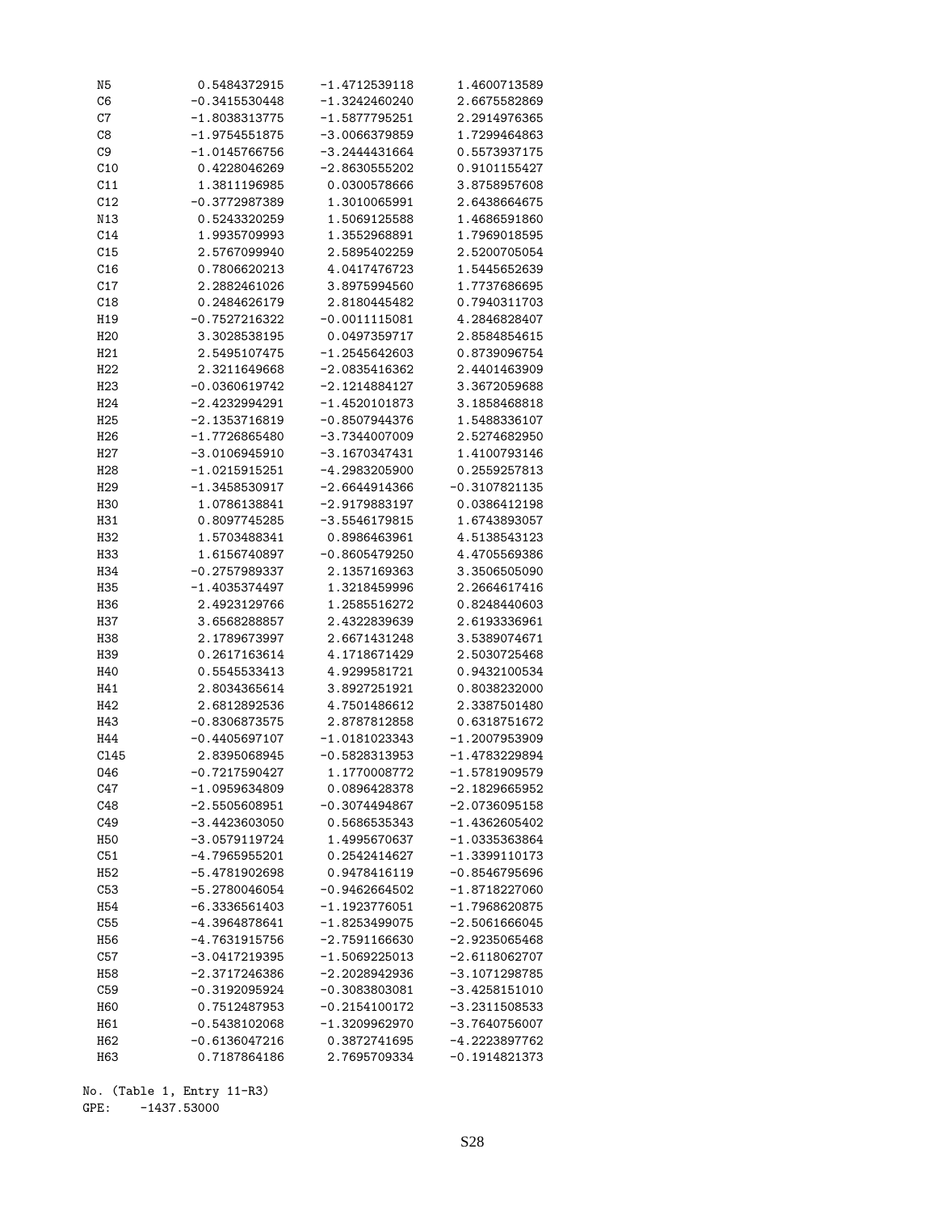| N5               | 0.5484372915    | -1.4712539118   | 1.4600713589    |
|------------------|-----------------|-----------------|-----------------|
| C <sub>6</sub>   | $-0.3415530448$ | -1.3242460240   | 2.6675582869    |
| C7               | -1.8038313775   | $-1.5877795251$ | 2.2914976365    |
| C8               | $-1.9754551875$ | -3.0066379859   | 1.7299464863    |
| C9               | $-1.0145766756$ | $-3.2444431664$ | 0.5573937175    |
| C10              | 0.4228046269    | $-2.8630555202$ | 0.9101155427    |
| C11              | 1.3811196985    | 0.0300578666    | 3.8758957608    |
| C12              | $-0.3772987389$ | 1.3010065991    | 2.6438664675    |
| N13              | 0.5243320259    | 1.5069125588    | 1.4686591860    |
|                  |                 |                 |                 |
| C14              | 1.9935709993    | 1.3552968891    | 1.7969018595    |
| C15              | 2.5767099940    | 2.5895402259    | 2.5200705054    |
| C16              | 0.7806620213    | 4.0417476723    | 1.5445652639    |
| C17              | 2.2882461026    | 3.8975994560    | 1.7737686695    |
| C18              | 0.2484626179    | 2.8180445482    | 0.7940311703    |
| H19              | $-0.7527216322$ | $-0.0011115081$ | 4.2846828407    |
| H <sub>20</sub>  | 3.3028538195    | 0.0497359717    | 2.8584854615    |
| H21              | 2.5495107475    | $-1.2545642603$ | 0.8739096754    |
| H22              | 2.3211649668    | -2.0835416362   | 2.4401463909    |
| H <sub>23</sub>  | $-0.0360619742$ | $-2.1214884127$ | 3.3672059688    |
| H <sub>24</sub>  | $-2.4232994291$ | $-1.4520101873$ | 3.1858468818    |
| H <sub>25</sub>  | $-2.1353716819$ | $-0.8507944376$ | 1.5488336107    |
| H <sub>26</sub>  | $-1.7726865480$ | $-3.7344007009$ | 2.5274682950    |
| H <sub>2</sub> 7 | $-3.0106945910$ | -3.1670347431   | 1.4100793146    |
|                  |                 |                 |                 |
| H <sub>28</sub>  | -1.0215915251   | -4.2983205900   | 0.2559257813    |
| H <sub>29</sub>  | $-1.3458530917$ | $-2.6644914366$ | $-0.3107821135$ |
| H30              | 1.0786138841    | $-2.9179883197$ | 0.0386412198    |
| H31              | 0.8097745285    | -3.5546179815   | 1.6743893057    |
| H32              | 1.5703488341    | 0.8986463961    | 4.5138543123    |
| H33              | 1.6156740897    | $-0.8605479250$ | 4.4705569386    |
| H34              | $-0.2757989337$ | 2.1357169363    | 3.3506505090    |
| H35              | $-1.4035374497$ | 1.3218459996    | 2.2664617416    |
| H36              | 2.4923129766    | 1.2585516272    | 0.8248440603    |
| H37              | 3.6568288857    | 2.4322839639    | 2.6193336961    |
| H38              | 2.1789673997    | 2.6671431248    | 3.5389074671    |
| H39              | 0.2617163614    | 4.1718671429    | 2.5030725468    |
| H40              | 0.5545533413    | 4.9299581721    | 0.9432100534    |
| H41              | 2.8034365614    | 3.8927251921    | 0.8038232000    |
| H42              | 2.6812892536    | 4.7501486612    | 2.3387501480    |
| H43              | $-0.8306873575$ | 2.8787812858    | 0.6318751672    |
|                  |                 |                 |                 |
| H44              | $-0.4405697107$ | $-1.0181023343$ | -1.2007953909   |
| C145             | 2.8395068945    | $-0.5828313953$ | $-1.4783229894$ |
| 046              | $-0.7217590427$ | 1.1770008772    | $-1.5781909579$ |
| C47              | $-1.0959634809$ | 0.0896428378    | $-2.1829665952$ |
| C48              | $-2.5505608951$ | $-0.3074494867$ | $-2.0736095158$ |
| C49              | $-3.4423603050$ | 0.5686535343    | $-1.4362605402$ |
| H50              | $-3.0579119724$ | 1.4995670637    | -1.0335363864   |
| C51              | $-4.7965955201$ | 0.2542414627    | -1.3399110173   |
| H <sub>52</sub>  | $-5.4781902698$ | 0.9478416119    | $-0.8546795696$ |
| C53              | $-5.2780046054$ | $-0.9462664502$ | $-1.8718227060$ |
| H <sub>54</sub>  | $-6.3336561403$ | $-1.1923776051$ | $-1.7968620875$ |
| C55              | -4.3964878641   | $-1.8253499075$ | $-2.5061666045$ |
| H <sub>56</sub>  | $-4.7631915756$ | $-2.7591166630$ | -2.9235065468   |
| C57              | $-3.0417219395$ | $-1.5069225013$ | $-2.6118062707$ |
| H <sub>58</sub>  | $-2.3717246386$ | $-2.2028942936$ | $-3.1071298785$ |
|                  |                 |                 |                 |
| C59              | $-0.3192095924$ | $-0.3083803081$ | $-3.4258151010$ |
| H <sub>60</sub>  | 0.7512487953    | $-0.2154100172$ | -3.2311508533   |
| H61              | $-0.5438102068$ | $-1.3209962970$ | $-3.7640756007$ |
| H62              | $-0.6136047216$ | 0.3872741695    | -4.2223897762   |
| H63              | 0.7187864186    | 2.7695709334    | -0.1914821373   |

No. (Table 1, Entry 11-R3) GPE: -1437.53000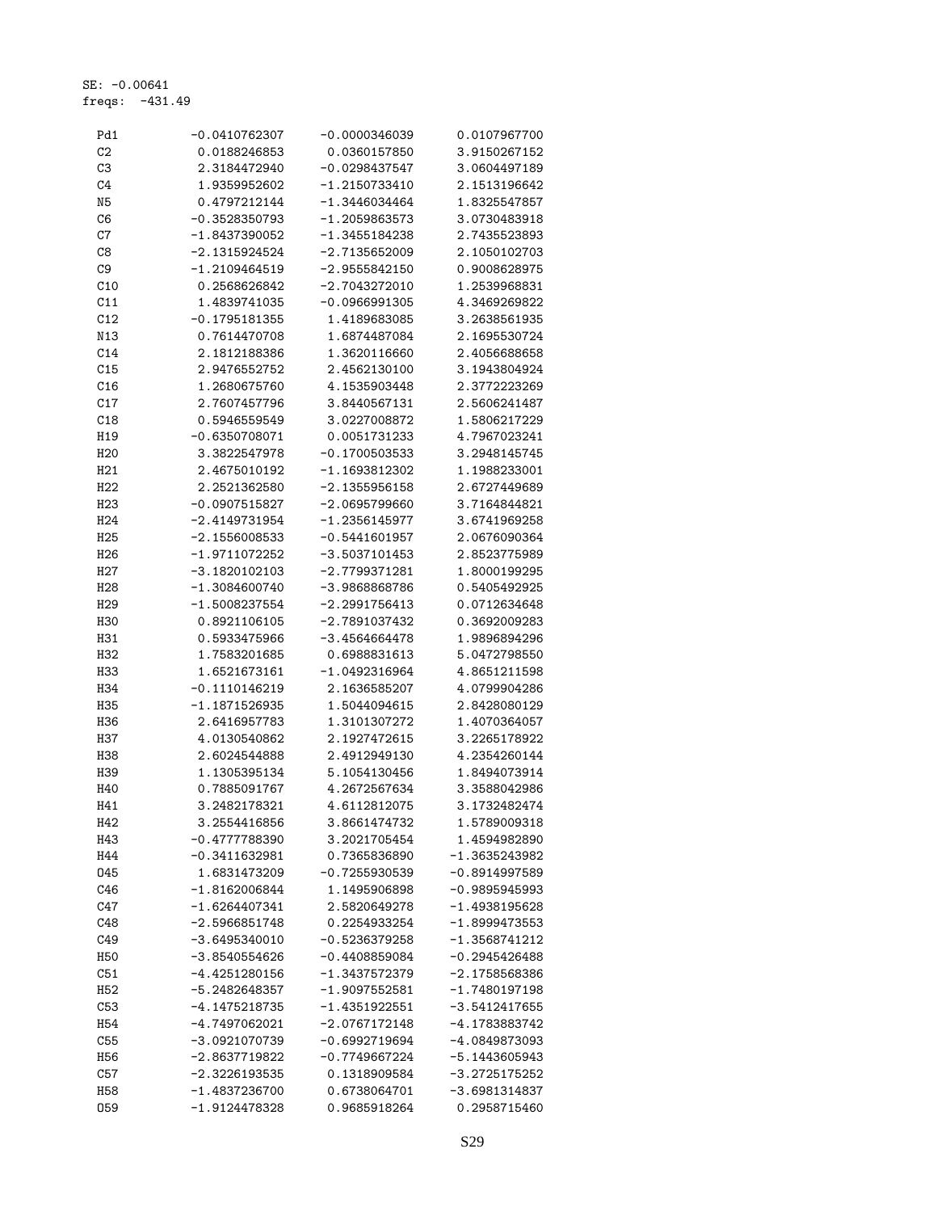SE: -0.00641 freqs: -431.49

| Pd1             | -0.0410762307   | -0.0000346039   | 0.0107967700    |
|-----------------|-----------------|-----------------|-----------------|
| C <sub>2</sub>  | 0.0188246853    | 0.0360157850    | 3.9150267152    |
| C <sub>3</sub>  | 2.3184472940    | -0.0298437547   | 3.0604497189    |
| C <sub>4</sub>  | 1.9359952602    | -1.2150733410   | 2.1513196642    |
| N5              | 0.4797212144    | -1.3446034464   | 1.8325547857    |
| C6              | $-0.3528350793$ | -1.2059863573   | 3.0730483918    |
| C7              | $-1.8437390052$ | -1.3455184238   | 2.7435523893    |
| C8              | -2.1315924524   | -2.7135652009   | 2.1050102703    |
| C <sub>9</sub>  | -1.2109464519   | $-2.9555842150$ | 0.9008628975    |
| C10             | 0.2568626842    | -2.7043272010   | 1.2539968831    |
| C11             | 1.4839741035    | $-0.0966991305$ | 4.3469269822    |
| C12             | $-0.1795181355$ | 1.4189683085    | 3.2638561935    |
| N13             | 0.7614470708    | 1.6874487084    | 2.1695530724    |
| C14             | 2.1812188386    | 1.3620116660    | 2.4056688658    |
| C15             | 2.9476552752    | 2.4562130100    | 3.1943804924    |
| C16             | 1.2680675760    | 4.1535903448    | 2.3772223269    |
| C17             | 2.7607457796    | 3.8440567131    | 2.5606241487    |
| C18             | 0.5946559549    | 3.0227008872    | 1.5806217229    |
| H19             | $-0.6350708071$ | 0.0051731233    | 4.7967023241    |
| H <sub>20</sub> | 3.3822547978    | $-0.1700503533$ | 3.2948145745    |
| H <sub>21</sub> | 2.4675010192    | -1.1693812302   | 1.1988233001    |
| H <sub>22</sub> | 2.2521362580    | -2.1355956158   | 2.6727449689    |
| H <sub>23</sub> | $-0.0907515827$ | -2.0695799660   | 3.7164844821    |
| H <sub>24</sub> |                 | -1.2356145977   | 3.6741969258    |
|                 | -2.4149731954   |                 |                 |
| H <sub>25</sub> | $-2.1556008533$ | -0.5441601957   | 2.0676090364    |
| H <sub>26</sub> | $-1.9711072252$ | -3.5037101453   | 2.8523775989    |
| H27             | -3.1820102103   | -2.7799371281   | 1.8000199295    |
| H <sub>28</sub> | $-1.3084600740$ | -3.9868868786   | 0.5405492925    |
| H <sub>29</sub> | $-1.5008237554$ | -2.2991756413   | 0.0712634648    |
| H30             | 0.8921106105    | -2.7891037432   | 0.3692009283    |
| H31             | 0.5933475966    | -3.4564664478   | 1.9896894296    |
| H <sub>32</sub> | 1.7583201685    | 0.6988831613    | 5.0472798550    |
| H33             | 1.6521673161    | -1.0492316964   | 4.8651211598    |
| H34             | $-0.1110146219$ | 2.1636585207    | 4.0799904286    |
| H35             | -1.1871526935   | 1.5044094615    | 2.8428080129    |
| H36             | 2.6416957783    | 1.3101307272    | 1.4070364057    |
| H37             | 4.0130540862    | 2.1927472615    | 3.2265178922    |
| H38             | 2.6024544888    | 2.4912949130    | 4.2354260144    |
| H39             | 1.1305395134    | 5.1054130456    | 1.8494073914    |
| H40             | 0.7885091767    | 4.2672567634    | 3.3588042986    |
| H41             | 3.2482178321    | 4.6112812075    | 3.1732482474    |
| H42             | 3.2554416856    | 3.8661474732    | 1.5789009318    |
| H43             | $-0.4777788390$ | 3.2021705454    | 1.4594982890    |
| H44             | $-0.3411632981$ | 0.7365836890    | -1.3635243982   |
| 045             | 1.6831473209    | $-0.7255930539$ | $-0.8914997589$ |
| C46             | $-1.8162006844$ | 1.1495906898    | $-0.9895945993$ |
| C47             | $-1.6264407341$ | 2.5820649278    | -1.4938195628   |
| C48             | $-2.5966851748$ | 0.2254933254    | $-1.8999473553$ |
| C49             | -3.6495340010   | $-0.5236379258$ | -1.3568741212   |
| H50             | -3.8540554626   | $-0.4408859084$ | $-0.2945426488$ |
| C51             | $-4.4251280156$ | $-1.3437572379$ | $-2.1758568386$ |
| H52             | $-5.2482648357$ | -1.9097552581   | $-1.7480197198$ |
| C53             | -4.1475218735   | -1.4351922551   | -3.5412417655   |
| H <sub>54</sub> | $-4.7497062021$ | $-2.0767172148$ | -4.1783883742   |
| C55             | $-3.0921070739$ | -0.6992719694   | -4.0849873093   |
| H56             | -2.8637719822   | -0.7749667224   | -5.1443605943   |
| C57             | $-2.3226193535$ | 0.1318909584    | -3.2725175252   |
| H58             | $-1.4837236700$ | 0.6738064701    | $-3.6981314837$ |
| 059             | $-1.9124478328$ | 0.9685918264    | 0.2958715460    |
|                 |                 |                 |                 |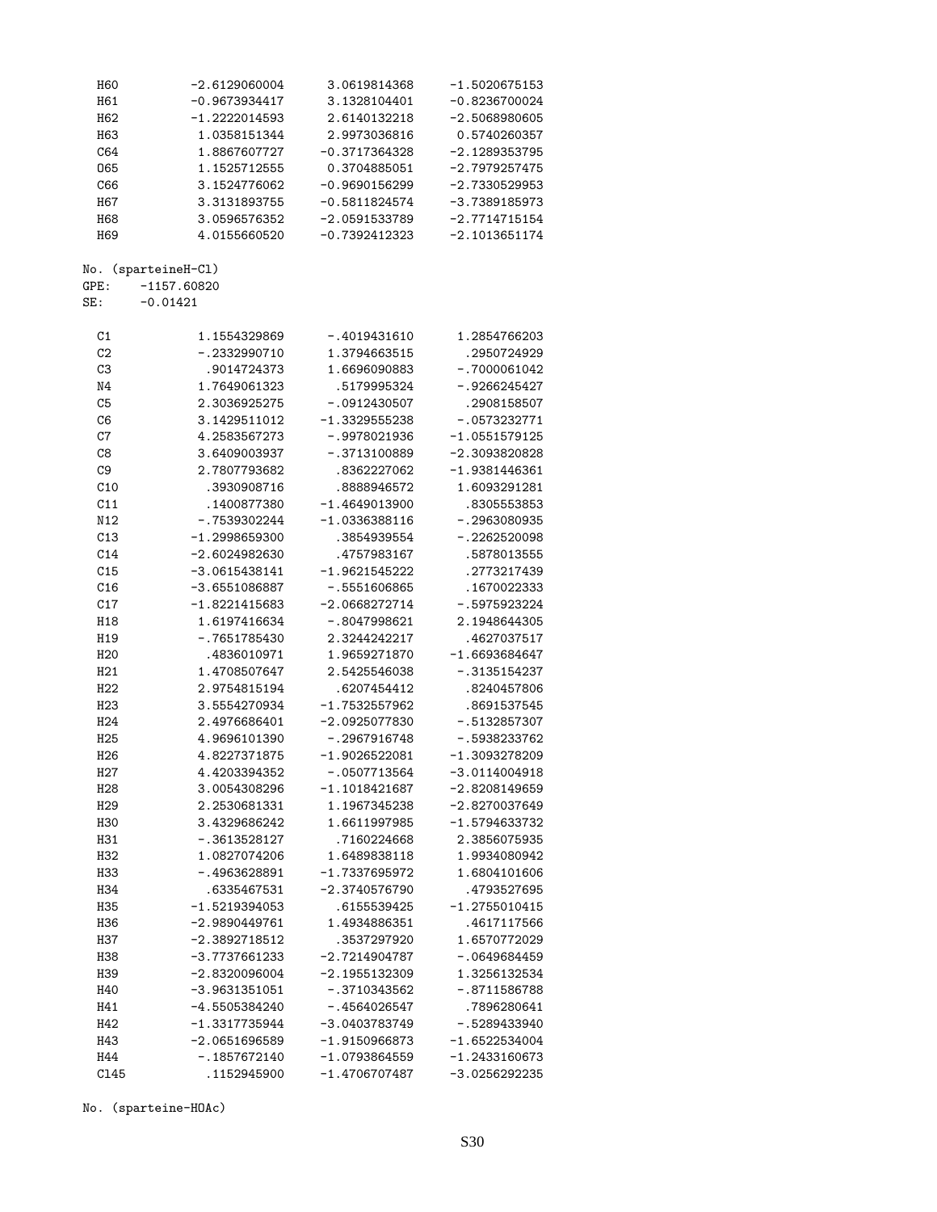| H <sub>60</sub>  | $-2.6129060004$ | 3.0619814368    | $-1.5020675153$ |
|------------------|-----------------|-----------------|-----------------|
| H61              | $-0.9673934417$ | 3.1328104401    | $-0.8236700024$ |
|                  |                 |                 |                 |
| H62              | $-1.2222014593$ | 2.6140132218    | $-2.5068980605$ |
| H <sub>63</sub>  | 1.0358151344    | 2.9973036816    | 0.5740260357    |
| C64              | 1.8867607727    | $-0.3717364328$ | $-2.1289353795$ |
|                  |                 |                 |                 |
| 065              | 1.1525712555    | 0.3704885051    | $-2.7979257475$ |
| C66              | 3.1524776062    | $-0.9690156299$ | -2.7330529953   |
| H <sub>67</sub>  | 3.3131893755    | $-0.5811824574$ | $-3.7389185973$ |
| <b>H68</b>       | 3.0596576352    | $-2.0591533789$ | $-2.7714715154$ |
|                  |                 |                 |                 |
| H <sub>69</sub>  | 4.0155660520    | $-0.7392412323$ | $-2.1013651174$ |
| No.              | (sparteineH-Cl) |                 |                 |
| GPE:             | $-1157.60820$   |                 |                 |
| SE:              | $-0.01421$      |                 |                 |
|                  |                 |                 |                 |
| C1               | 1.1554329869    | -.4019431610    | 1.2854766203    |
| C <sub>2</sub>   | $-.2332990710$  | 1.3794663515    | .2950724929     |
| C3               | .9014724373     | 1.6696090883    | $-.7000061042$  |
|                  |                 |                 |                 |
| N4               | 1.7649061323    | .5179995324     | $-.9266245427$  |
| C <sub>5</sub>   | 2.3036925275    | $-.0912430507$  | .2908158507     |
| C <sub>6</sub>   | 3.1429511012    | $-1.3329555238$ | $-.0573232771$  |
| C7               | 4.2583567273    | $-.9978021936$  | $-1.0551579125$ |
|                  |                 |                 |                 |
| C8               | 3.6409003937    | $-.3713100889$  | -2.3093820828   |
| C <sub>9</sub>   | 2.7807793682    | .8362227062     | -1.9381446361   |
| C10              | .3930908716     | .8888946572     | 1.6093291281    |
| C11              | .1400877380     | $-1.4649013900$ | .8305553853     |
|                  |                 |                 |                 |
| N12              | $-.7539302244$  | $-1.0336388116$ | -.2963080935    |
| C13              | $-1.2998659300$ | .3854939554     | -.2262520098    |
| C14              | $-2.6024982630$ | .4757983167     | .5878013555     |
|                  |                 |                 |                 |
| C15              | $-3.0615438141$ | $-1.9621545222$ | .2773217439     |
| C16              | $-3.6551086887$ | $-.5551606865$  | .1670022333     |
| C17              | $-1.8221415683$ | $-2.0668272714$ | $-.5975923224$  |
| H18              | 1.6197416634    | $-.8047998621$  | 2.1948644305    |
| H <sub>19</sub>  |                 |                 |                 |
|                  | $-.7651785430$  | 2.3244242217    | .4627037517     |
| H <sub>20</sub>  | .4836010971     | 1.9659271870    | $-1.6693684647$ |
| H21              | 1.4708507647    | 2.5425546038    | $-.3135154237$  |
| H22              | 2.9754815194    | .6207454412     | .8240457806     |
| H <sub>23</sub>  | 3.5554270934    | $-1.7532557962$ | .8691537545     |
|                  |                 |                 |                 |
| H <sub>24</sub>  | 2.4976686401    | $-2.0925077830$ | $-.5132857307$  |
| H <sub>25</sub>  | 4.9696101390    | $-.2967916748$  | $-.5938233762$  |
| H <sub>26</sub>  | 4.8227371875    | $-1.9026522081$ | $-1.3093278209$ |
|                  |                 | $-.0507713564$  | $-3.0114004918$ |
| H <sub>2</sub> 7 | 4.4203394352    |                 |                 |
| H <sub>28</sub>  | 3.0054308296    | $-1.1018421687$ | $-2.8208149659$ |
| H <sub>29</sub>  | 2.2530681331    | 1.1967345238    | $-2.8270037649$ |
| <b>H30</b>       | 3.4329686242    | 1.6611997985    | $-1.5794633732$ |
|                  |                 |                 | 2.3856075935    |
| H31              | $-.3613528127$  | .7160224668     |                 |
| H <sub>32</sub>  | 1.0827074206    | 1.6489838118    | 1.9934080942    |
| H33              | $-.4963628891$  | $-1.7337695972$ | 1.6804101606    |
| H <sub>34</sub>  | .6335467531     | $-2.3740576790$ | .4793527695     |
|                  |                 |                 |                 |
| H35              | $-1.5219394053$ | .6155539425     | $-1.2755010415$ |
| H <sub>36</sub>  | $-2.9890449761$ | 1.4934886351    | .4617117566     |
| <b>H37</b>       | $-2.3892718512$ | .3537297920     | 1.6570772029    |
| H38              | $-3.7737661233$ | $-2.7214904787$ | $-.0649684459$  |
|                  |                 |                 |                 |
| H39              | $-2.8320096004$ | $-2.1955132309$ | 1.3256132534    |
| H40              | $-3.9631351051$ | $-.3710343562$  | $-.8711586788$  |
| H41              | $-4.5505384240$ | $-.4564026547$  | .7896280641     |
| H42              | $-1.3317735944$ | $-3.0403783749$ | $-.5289433940$  |
|                  |                 |                 |                 |
| H43              | $-2.0651696589$ | $-1.9150966873$ | $-1.6522534004$ |
| H44              | $-.1857672140$  | $-1.0793864559$ | $-1.2433160673$ |
| C145             | .1152945900     | -1.4706707487   | $-3.0256292235$ |
|                  |                 |                 |                 |

No. (sparteine-HOAc)